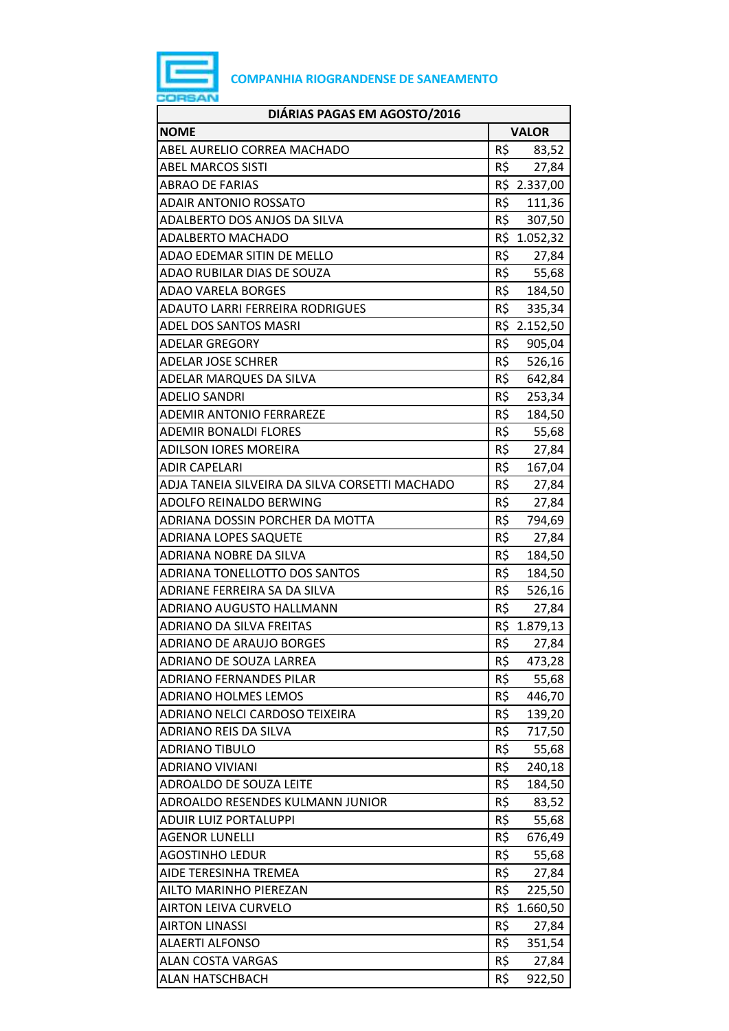

| DIÁRIAS PAGAS EM AGOSTO/2016                   |     |              |
|------------------------------------------------|-----|--------------|
| <b>NOME</b>                                    |     | <b>VALOR</b> |
| ABEL AURELIO CORREA MACHADO                    | R\$ | 83,52        |
| <b>ABEL MARCOS SISTI</b>                       | R\$ | 27,84        |
| <b>ABRAO DE FARIAS</b>                         |     | R\$ 2.337,00 |
| ADAIR ANTONIO ROSSATO                          | R\$ | 111,36       |
| ADALBERTO DOS ANJOS DA SILVA                   |     | R\$ 307,50   |
| <b>ADALBERTO MACHADO</b>                       |     | R\$ 1.052,32 |
| ADAO EDEMAR SITIN DE MELLO                     | R\$ | 27,84        |
| ADAO RUBILAR DIAS DE SOUZA                     | R\$ | 55,68        |
| ADAO VARELA BORGES                             |     | R\$ 184,50   |
| ADAUTO LARRI FERREIRA RODRIGUES                | R\$ | 335,34       |
| ADEL DOS SANTOS MASRI                          |     | R\$ 2.152,50 |
| ADELAR GREGORY                                 | R\$ | 905,04       |
| <b>ADELAR JOSE SCHRER</b>                      | R\$ | 526,16       |
| ADELAR MARQUES DA SILVA                        | R\$ | 642,84       |
| <b>ADELIO SANDRI</b>                           | R\$ | 253,34       |
| <b>ADEMIR ANTONIO FERRAREZE</b>                | R\$ | 184,50       |
| ADEMIR BONALDI FLORES                          | R\$ | 55,68        |
| ADILSON IORES MOREIRA                          | R\$ | 27,84        |
| ADIR CAPELARI                                  | R\$ | 167,04       |
| ADJA TANEIA SILVEIRA DA SILVA CORSETTI MACHADO | R\$ | 27,84        |
| ADOLFO REINALDO BERWING                        | R\$ | 27,84        |
| ADRIANA DOSSIN PORCHER DA MOTTA                | R\$ | 794,69       |
| <b>ADRIANA LOPES SAQUETE</b>                   | R\$ | 27,84        |
| ADRIANA NOBRE DA SILVA                         | R\$ | 184,50       |
| ADRIANA TONELLOTTO DOS SANTOS                  | R\$ | 184,50       |
| ADRIANE FERREIRA SA DA SILVA                   | R\$ | 526,16       |
| ADRIANO AUGUSTO HALLMANN                       | R\$ | 27,84        |
| <b>ADRIANO DA SILVA FREITAS</b>                |     | R\$ 1.879,13 |
| <b>ADRIANO DE ARAUJO BORGES</b>                | R\$ | 27,84        |
| ADRIANO DE SOUZA LARREA                        | R\$ | 473,28       |
| ADRIANO FERNANDES PILAR                        | R\$ | 55,68        |
| <b>ADRIANO HOLMES LEMOS</b>                    | R\$ | 446,70       |
| ADRIANO NELCI CARDOSO TEIXEIRA                 | R\$ | 139,20       |
| ADRIANO REIS DA SILVA                          | R\$ | 717,50       |
| <b>ADRIANO TIBULO</b>                          | R\$ | 55,68        |
| ADRIANO VIVIANI                                | R\$ | 240,18       |
| ADROALDO DE SOUZA LEITE                        | R\$ | 184,50       |
| ADROALDO RESENDES KULMANN JUNIOR               | R\$ | 83,52        |
| <b>ADUIR LUIZ PORTALUPPI</b>                   | R\$ | 55,68        |
| <b>AGENOR LUNELLI</b>                          | R\$ | 676,49       |
| <b>AGOSTINHO LEDUR</b>                         | R\$ | 55,68        |
| AIDE TERESINHA TREMEA                          | R\$ | 27,84        |
| AILTO MARINHO PIEREZAN                         | R\$ | 225,50       |
| <b>AIRTON LEIVA CURVELO</b>                    | R\$ | 1.660,50     |
| <b>AIRTON LINASSI</b>                          | R\$ | 27,84        |
| <b>ALAERTI ALFONSO</b>                         | R\$ | 351,54       |
| ALAN COSTA VARGAS                              | R\$ | 27,84        |
| ALAN HATSCHBACH                                | R\$ | 922,50       |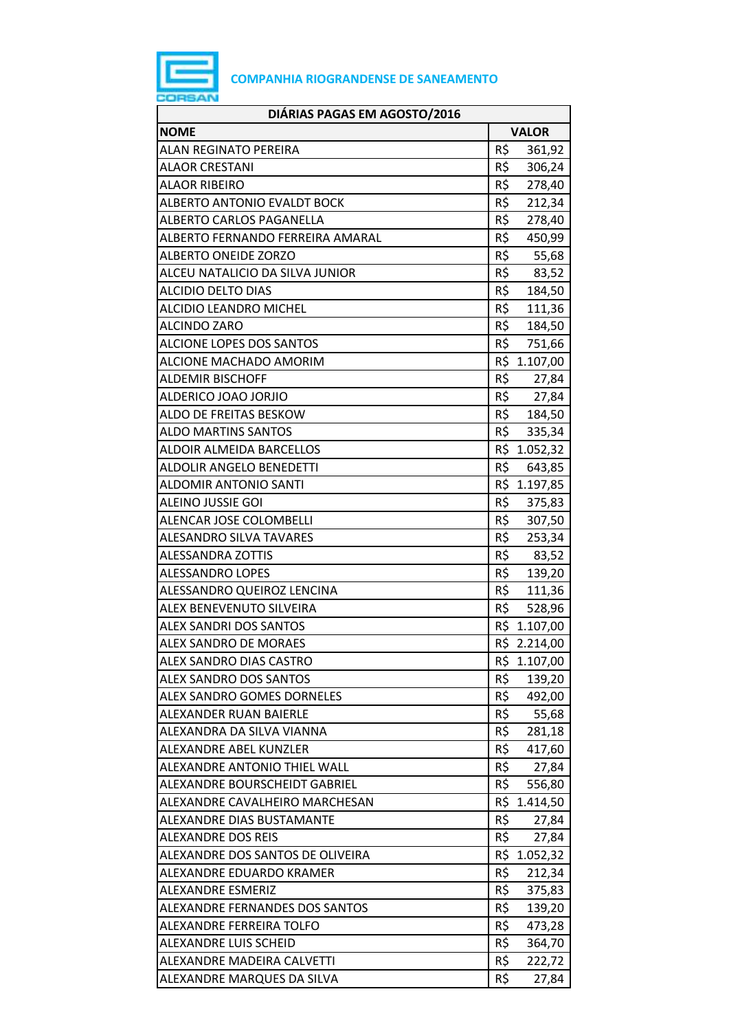

| DIÁRIAS PAGAS EM AGOSTO/2016      |                 |
|-----------------------------------|-----------------|
| <b>NOME</b>                       | <b>VALOR</b>    |
| <b>ALAN REGINATO PEREIRA</b>      | R\$<br>361,92   |
| <b>ALAOR CRESTANI</b>             | R\$<br>306,24   |
| <b>ALAOR RIBEIRO</b>              | R\$<br>278,40   |
| ALBERTO ANTONIO EVALDT BOCK       | R\$<br>212,34   |
| ALBERTO CARLOS PAGANELLA          | R\$<br>278,40   |
| ALBERTO FERNANDO FERREIRA AMARAL  | R\$<br>450,99   |
| <b>ALBERTO ONEIDE ZORZO</b>       | R\$<br>55,68    |
| ALCEU NATALICIO DA SILVA JUNIOR   | R\$<br>83,52    |
| <b>ALCIDIO DELTO DIAS</b>         | R\$<br>184,50   |
| <b>ALCIDIO LEANDRO MICHEL</b>     | R\$<br>111,36   |
| <b>ALCINDO ZARO</b>               | R\$<br>184,50   |
| <b>ALCIONE LOPES DOS SANTOS</b>   | R\$<br>751,66   |
| ALCIONE MACHADO AMORIM            | R\$ 1.107,00    |
| <b>ALDEMIR BISCHOFF</b>           | R\$<br>27,84    |
| ALDERICO JOAO JORJIO              | R\$<br>27,84    |
| ALDO DE FREITAS BESKOW            | R\$<br>184,50   |
| <b>ALDO MARTINS SANTOS</b>        | R\$<br>335,34   |
| ALDOIR ALMEIDA BARCELLOS          | R\$<br>1.052,32 |
| ALDOLIR ANGELO BENEDETTI          | R\$<br>643,85   |
| <b>ALDOMIR ANTONIO SANTI</b>      | R\$ 1.197,85    |
| <b>ALEINO JUSSIE GOI</b>          | R\$<br>375,83   |
| ALENCAR JOSE COLOMBELLI           | R\$<br>307,50   |
| <b>ALESANDRO SILVA TAVARES</b>    | R\$<br>253,34   |
| ALESSANDRA ZOTTIS                 | R\$<br>83,52    |
| <b>ALESSANDRO LOPES</b>           | R\$<br>139,20   |
| ALESSANDRO QUEIROZ LENCINA        | R\$<br>111,36   |
| <b>ALEX BENEVENUTO SILVEIRA</b>   | R\$<br>528,96   |
| <b>ALEX SANDRI DOS SANTOS</b>     | R\$<br>1.107,00 |
| <b>ALEX SANDRO DE MORAES</b>      | R\$ 2.214,00    |
| ALEX SANDRO DIAS CASTRO           | R\$ 1.107,00    |
| <b>ALEX SANDRO DOS SANTOS</b>     | R\$<br>139,20   |
| <b>ALEX SANDRO GOMES DORNELES</b> | R\$<br>492,00   |
| ALEXANDER RUAN BAIERLE            | R\$<br>55,68    |
| ALEXANDRA DA SILVA VIANNA         | R\$<br>281,18   |
| ALEXANDRE ABEL KUNZLER            | R\$<br>417,60   |
| ALEXANDRE ANTONIO THIEL WALL      | R\$<br>27,84    |
| ALEXANDRE BOURSCHEIDT GABRIEL     | R\$<br>556,80   |
| ALEXANDRE CAVALHEIRO MARCHESAN    | R\$<br>1.414,50 |
| ALEXANDRE DIAS BUSTAMANTE         | R\$<br>27,84    |
| <b>ALEXANDRE DOS REIS</b>         | R\$<br>27,84    |
| ALEXANDRE DOS SANTOS DE OLIVEIRA  | R\$<br>1.052,32 |
| ALEXANDRE EDUARDO KRAMER          | R\$<br>212,34   |
| <b>ALEXANDRE ESMERIZ</b>          | R\$<br>375,83   |
| ALEXANDRE FERNANDES DOS SANTOS    | R\$<br>139,20   |
| ALEXANDRE FERREIRA TOLFO          | R\$<br>473,28   |
| ALEXANDRE LUIS SCHEID             | R\$<br>364,70   |
| ALEXANDRE MADEIRA CALVETTI        | R\$<br>222,72   |
| ALEXANDRE MARQUES DA SILVA        | R\$<br>27,84    |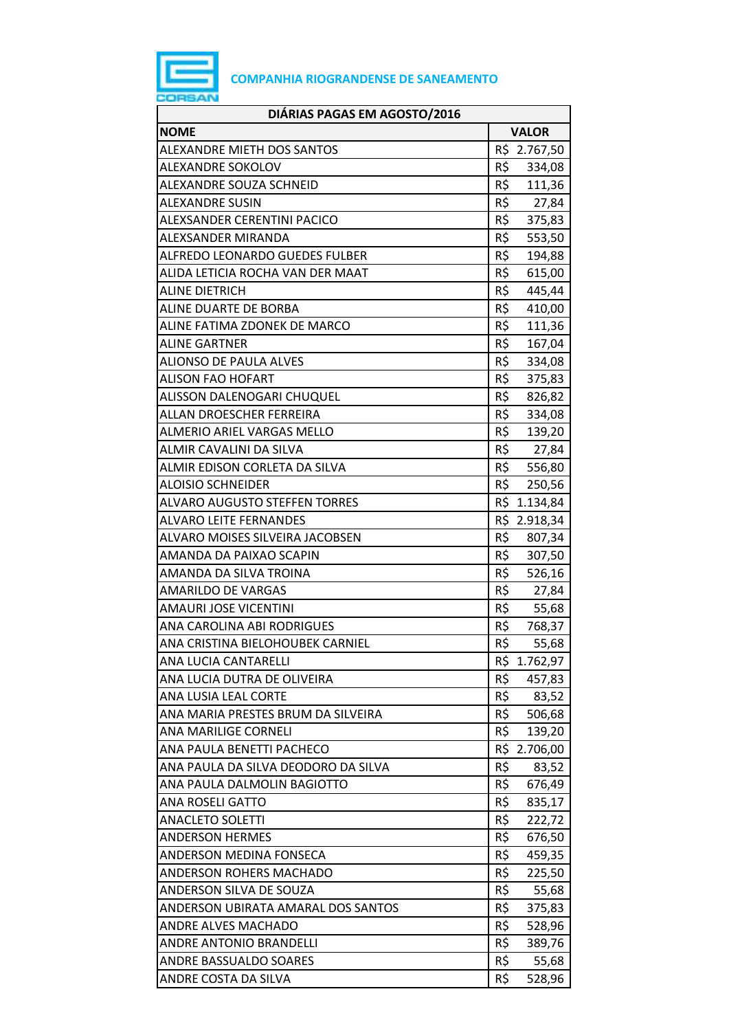

| <b>NOME</b><br><b>VALOR</b><br>R\$ 2.767,50<br><b>ALEXANDRE MIETH DOS SANTOS</b><br>R\$<br>ALEXANDRE SOKOLOV<br>334,08<br>R\$<br>ALEXANDRE SOUZA SCHNEID<br>111,36<br>R\$ 27,84<br><b>ALEXANDRE SUSIN</b><br>ALEXSANDER CERENTINI PACICO<br>R\$<br>375,83<br>R\$<br>ALEXSANDER MIRANDA<br>553,50<br>R\$<br><b>ALFREDO LEONARDO GUEDES FULBER</b><br>194,88<br>R\$<br>ALIDA LETICIA ROCHA VAN DER MAAT<br>615,00<br>R\$<br><b>ALINE DIETRICH</b><br>445,44<br>R\$<br>ALINE DUARTE DE BORBA<br>410,00<br>R\$<br>111,36<br>ALINE FATIMA ZDONEK DE MARCO<br>R\$<br><b>ALINE GARTNER</b><br>167,04<br>R\$<br><b>ALIONSO DE PAULA ALVES</b><br>334,08<br>R\$<br><b>ALISON FAO HOFART</b><br>375,83<br>R\$<br>ALISSON DALENOGARI CHUQUEL<br>826,82<br>R\$<br>ALLAN DROESCHER FERREIRA<br>334,08<br>R\$<br><b>ALMERIO ARIEL VARGAS MELLO</b><br>139,20<br>R\$<br><b>ALMIR CAVALINI DA SILVA</b><br>27,84<br>R\$ 556,80<br>ALMIR EDISON CORLETA DA SILVA<br>R\$<br><b>ALOISIO SCHNEIDER</b><br>250,56<br>R\$ 1.134,84<br><b>ALVARO AUGUSTO STEFFEN TORRES</b><br>R\$ 2.918,34<br><b>ALVARO LEITE FERNANDES</b><br>R\$<br>ALVARO MOISES SILVEIRA JACOBSEN<br>807,34<br>R\$ 307,50<br>AMANDA DA PAIXAO SCAPIN<br>R\$<br>526,16<br>AMANDA DA SILVA TROINA<br>R\$<br><b>AMARILDO DE VARGAS</b><br>27,84<br>R\$<br><b>AMAURI JOSE VICENTINI</b><br>55,68<br>R\$<br>ANA CAROLINA ABI RODRIGUES<br>768,37<br>R\$<br>ANA CRISTINA BIELOHOUBEK CARNIEL<br>55,68<br>ANA LUCIA CANTARELLI<br>R\$ 1.762,97<br>R\$<br>ANA LUCIA DUTRA DE OLIVEIRA<br>457,83<br>ANA LUSIA LEAL CORTE<br>R\$<br>83,52<br>R\$<br>ANA MARIA PRESTES BRUM DA SILVEIRA<br>506,68<br>R\$<br>ANA MARILIGE CORNELI<br>139,20<br>ANA PAULA BENETTI PACHECO<br>R\$ 2.706,00<br>R\$<br>ANA PAULA DA SILVA DEODORO DA SILVA<br>83,52<br>ANA PAULA DALMOLIN BAGIOTTO<br>R\$<br>676,49<br>R\$<br><b>ANA ROSELI GATTO</b><br>835,17<br>R\$<br><b>ANACLETO SOLETTI</b><br>222,72<br><b>ANDERSON HERMES</b><br>R\$<br>676,50<br>R\$<br>ANDERSON MEDINA FONSECA<br>459,35<br>R\$<br>ANDERSON ROHERS MACHADO<br>225,50<br>R\$<br>ANDERSON SILVA DE SOUZA<br>55,68<br>R\$<br>ANDERSON UBIRATA AMARAL DOS SANTOS<br>375,83<br><b>ANDRE ALVES MACHADO</b><br>R\$<br>528,96<br>R\$<br>ANDRE ANTONIO BRANDELLI<br>389,76<br>ANDRE BASSUALDO SOARES<br>R\$<br>55,68<br>R\$<br>ANDRE COSTA DA SILVA<br>528,96 | DIÁRIAS PAGAS EM AGOSTO/2016 |  |
|----------------------------------------------------------------------------------------------------------------------------------------------------------------------------------------------------------------------------------------------------------------------------------------------------------------------------------------------------------------------------------------------------------------------------------------------------------------------------------------------------------------------------------------------------------------------------------------------------------------------------------------------------------------------------------------------------------------------------------------------------------------------------------------------------------------------------------------------------------------------------------------------------------------------------------------------------------------------------------------------------------------------------------------------------------------------------------------------------------------------------------------------------------------------------------------------------------------------------------------------------------------------------------------------------------------------------------------------------------------------------------------------------------------------------------------------------------------------------------------------------------------------------------------------------------------------------------------------------------------------------------------------------------------------------------------------------------------------------------------------------------------------------------------------------------------------------------------------------------------------------------------------------------------------------------------------------------------------------------------------------------------------------------------------------------------------------------------------------------------------------------------------------------------------------------------------------------------------------------------------------------------------------------------------------------------------------------------------|------------------------------|--|
|                                                                                                                                                                                                                                                                                                                                                                                                                                                                                                                                                                                                                                                                                                                                                                                                                                                                                                                                                                                                                                                                                                                                                                                                                                                                                                                                                                                                                                                                                                                                                                                                                                                                                                                                                                                                                                                                                                                                                                                                                                                                                                                                                                                                                                                                                                                                              |                              |  |
|                                                                                                                                                                                                                                                                                                                                                                                                                                                                                                                                                                                                                                                                                                                                                                                                                                                                                                                                                                                                                                                                                                                                                                                                                                                                                                                                                                                                                                                                                                                                                                                                                                                                                                                                                                                                                                                                                                                                                                                                                                                                                                                                                                                                                                                                                                                                              |                              |  |
|                                                                                                                                                                                                                                                                                                                                                                                                                                                                                                                                                                                                                                                                                                                                                                                                                                                                                                                                                                                                                                                                                                                                                                                                                                                                                                                                                                                                                                                                                                                                                                                                                                                                                                                                                                                                                                                                                                                                                                                                                                                                                                                                                                                                                                                                                                                                              |                              |  |
|                                                                                                                                                                                                                                                                                                                                                                                                                                                                                                                                                                                                                                                                                                                                                                                                                                                                                                                                                                                                                                                                                                                                                                                                                                                                                                                                                                                                                                                                                                                                                                                                                                                                                                                                                                                                                                                                                                                                                                                                                                                                                                                                                                                                                                                                                                                                              |                              |  |
|                                                                                                                                                                                                                                                                                                                                                                                                                                                                                                                                                                                                                                                                                                                                                                                                                                                                                                                                                                                                                                                                                                                                                                                                                                                                                                                                                                                                                                                                                                                                                                                                                                                                                                                                                                                                                                                                                                                                                                                                                                                                                                                                                                                                                                                                                                                                              |                              |  |
|                                                                                                                                                                                                                                                                                                                                                                                                                                                                                                                                                                                                                                                                                                                                                                                                                                                                                                                                                                                                                                                                                                                                                                                                                                                                                                                                                                                                                                                                                                                                                                                                                                                                                                                                                                                                                                                                                                                                                                                                                                                                                                                                                                                                                                                                                                                                              |                              |  |
|                                                                                                                                                                                                                                                                                                                                                                                                                                                                                                                                                                                                                                                                                                                                                                                                                                                                                                                                                                                                                                                                                                                                                                                                                                                                                                                                                                                                                                                                                                                                                                                                                                                                                                                                                                                                                                                                                                                                                                                                                                                                                                                                                                                                                                                                                                                                              |                              |  |
|                                                                                                                                                                                                                                                                                                                                                                                                                                                                                                                                                                                                                                                                                                                                                                                                                                                                                                                                                                                                                                                                                                                                                                                                                                                                                                                                                                                                                                                                                                                                                                                                                                                                                                                                                                                                                                                                                                                                                                                                                                                                                                                                                                                                                                                                                                                                              |                              |  |
|                                                                                                                                                                                                                                                                                                                                                                                                                                                                                                                                                                                                                                                                                                                                                                                                                                                                                                                                                                                                                                                                                                                                                                                                                                                                                                                                                                                                                                                                                                                                                                                                                                                                                                                                                                                                                                                                                                                                                                                                                                                                                                                                                                                                                                                                                                                                              |                              |  |
|                                                                                                                                                                                                                                                                                                                                                                                                                                                                                                                                                                                                                                                                                                                                                                                                                                                                                                                                                                                                                                                                                                                                                                                                                                                                                                                                                                                                                                                                                                                                                                                                                                                                                                                                                                                                                                                                                                                                                                                                                                                                                                                                                                                                                                                                                                                                              |                              |  |
|                                                                                                                                                                                                                                                                                                                                                                                                                                                                                                                                                                                                                                                                                                                                                                                                                                                                                                                                                                                                                                                                                                                                                                                                                                                                                                                                                                                                                                                                                                                                                                                                                                                                                                                                                                                                                                                                                                                                                                                                                                                                                                                                                                                                                                                                                                                                              |                              |  |
|                                                                                                                                                                                                                                                                                                                                                                                                                                                                                                                                                                                                                                                                                                                                                                                                                                                                                                                                                                                                                                                                                                                                                                                                                                                                                                                                                                                                                                                                                                                                                                                                                                                                                                                                                                                                                                                                                                                                                                                                                                                                                                                                                                                                                                                                                                                                              |                              |  |
|                                                                                                                                                                                                                                                                                                                                                                                                                                                                                                                                                                                                                                                                                                                                                                                                                                                                                                                                                                                                                                                                                                                                                                                                                                                                                                                                                                                                                                                                                                                                                                                                                                                                                                                                                                                                                                                                                                                                                                                                                                                                                                                                                                                                                                                                                                                                              |                              |  |
|                                                                                                                                                                                                                                                                                                                                                                                                                                                                                                                                                                                                                                                                                                                                                                                                                                                                                                                                                                                                                                                                                                                                                                                                                                                                                                                                                                                                                                                                                                                                                                                                                                                                                                                                                                                                                                                                                                                                                                                                                                                                                                                                                                                                                                                                                                                                              |                              |  |
|                                                                                                                                                                                                                                                                                                                                                                                                                                                                                                                                                                                                                                                                                                                                                                                                                                                                                                                                                                                                                                                                                                                                                                                                                                                                                                                                                                                                                                                                                                                                                                                                                                                                                                                                                                                                                                                                                                                                                                                                                                                                                                                                                                                                                                                                                                                                              |                              |  |
|                                                                                                                                                                                                                                                                                                                                                                                                                                                                                                                                                                                                                                                                                                                                                                                                                                                                                                                                                                                                                                                                                                                                                                                                                                                                                                                                                                                                                                                                                                                                                                                                                                                                                                                                                                                                                                                                                                                                                                                                                                                                                                                                                                                                                                                                                                                                              |                              |  |
|                                                                                                                                                                                                                                                                                                                                                                                                                                                                                                                                                                                                                                                                                                                                                                                                                                                                                                                                                                                                                                                                                                                                                                                                                                                                                                                                                                                                                                                                                                                                                                                                                                                                                                                                                                                                                                                                                                                                                                                                                                                                                                                                                                                                                                                                                                                                              |                              |  |
|                                                                                                                                                                                                                                                                                                                                                                                                                                                                                                                                                                                                                                                                                                                                                                                                                                                                                                                                                                                                                                                                                                                                                                                                                                                                                                                                                                                                                                                                                                                                                                                                                                                                                                                                                                                                                                                                                                                                                                                                                                                                                                                                                                                                                                                                                                                                              |                              |  |
|                                                                                                                                                                                                                                                                                                                                                                                                                                                                                                                                                                                                                                                                                                                                                                                                                                                                                                                                                                                                                                                                                                                                                                                                                                                                                                                                                                                                                                                                                                                                                                                                                                                                                                                                                                                                                                                                                                                                                                                                                                                                                                                                                                                                                                                                                                                                              |                              |  |
|                                                                                                                                                                                                                                                                                                                                                                                                                                                                                                                                                                                                                                                                                                                                                                                                                                                                                                                                                                                                                                                                                                                                                                                                                                                                                                                                                                                                                                                                                                                                                                                                                                                                                                                                                                                                                                                                                                                                                                                                                                                                                                                                                                                                                                                                                                                                              |                              |  |
|                                                                                                                                                                                                                                                                                                                                                                                                                                                                                                                                                                                                                                                                                                                                                                                                                                                                                                                                                                                                                                                                                                                                                                                                                                                                                                                                                                                                                                                                                                                                                                                                                                                                                                                                                                                                                                                                                                                                                                                                                                                                                                                                                                                                                                                                                                                                              |                              |  |
|                                                                                                                                                                                                                                                                                                                                                                                                                                                                                                                                                                                                                                                                                                                                                                                                                                                                                                                                                                                                                                                                                                                                                                                                                                                                                                                                                                                                                                                                                                                                                                                                                                                                                                                                                                                                                                                                                                                                                                                                                                                                                                                                                                                                                                                                                                                                              |                              |  |
|                                                                                                                                                                                                                                                                                                                                                                                                                                                                                                                                                                                                                                                                                                                                                                                                                                                                                                                                                                                                                                                                                                                                                                                                                                                                                                                                                                                                                                                                                                                                                                                                                                                                                                                                                                                                                                                                                                                                                                                                                                                                                                                                                                                                                                                                                                                                              |                              |  |
|                                                                                                                                                                                                                                                                                                                                                                                                                                                                                                                                                                                                                                                                                                                                                                                                                                                                                                                                                                                                                                                                                                                                                                                                                                                                                                                                                                                                                                                                                                                                                                                                                                                                                                                                                                                                                                                                                                                                                                                                                                                                                                                                                                                                                                                                                                                                              |                              |  |
|                                                                                                                                                                                                                                                                                                                                                                                                                                                                                                                                                                                                                                                                                                                                                                                                                                                                                                                                                                                                                                                                                                                                                                                                                                                                                                                                                                                                                                                                                                                                                                                                                                                                                                                                                                                                                                                                                                                                                                                                                                                                                                                                                                                                                                                                                                                                              |                              |  |
|                                                                                                                                                                                                                                                                                                                                                                                                                                                                                                                                                                                                                                                                                                                                                                                                                                                                                                                                                                                                                                                                                                                                                                                                                                                                                                                                                                                                                                                                                                                                                                                                                                                                                                                                                                                                                                                                                                                                                                                                                                                                                                                                                                                                                                                                                                                                              |                              |  |
|                                                                                                                                                                                                                                                                                                                                                                                                                                                                                                                                                                                                                                                                                                                                                                                                                                                                                                                                                                                                                                                                                                                                                                                                                                                                                                                                                                                                                                                                                                                                                                                                                                                                                                                                                                                                                                                                                                                                                                                                                                                                                                                                                                                                                                                                                                                                              |                              |  |
|                                                                                                                                                                                                                                                                                                                                                                                                                                                                                                                                                                                                                                                                                                                                                                                                                                                                                                                                                                                                                                                                                                                                                                                                                                                                                                                                                                                                                                                                                                                                                                                                                                                                                                                                                                                                                                                                                                                                                                                                                                                                                                                                                                                                                                                                                                                                              |                              |  |
|                                                                                                                                                                                                                                                                                                                                                                                                                                                                                                                                                                                                                                                                                                                                                                                                                                                                                                                                                                                                                                                                                                                                                                                                                                                                                                                                                                                                                                                                                                                                                                                                                                                                                                                                                                                                                                                                                                                                                                                                                                                                                                                                                                                                                                                                                                                                              |                              |  |
|                                                                                                                                                                                                                                                                                                                                                                                                                                                                                                                                                                                                                                                                                                                                                                                                                                                                                                                                                                                                                                                                                                                                                                                                                                                                                                                                                                                                                                                                                                                                                                                                                                                                                                                                                                                                                                                                                                                                                                                                                                                                                                                                                                                                                                                                                                                                              |                              |  |
|                                                                                                                                                                                                                                                                                                                                                                                                                                                                                                                                                                                                                                                                                                                                                                                                                                                                                                                                                                                                                                                                                                                                                                                                                                                                                                                                                                                                                                                                                                                                                                                                                                                                                                                                                                                                                                                                                                                                                                                                                                                                                                                                                                                                                                                                                                                                              |                              |  |
|                                                                                                                                                                                                                                                                                                                                                                                                                                                                                                                                                                                                                                                                                                                                                                                                                                                                                                                                                                                                                                                                                                                                                                                                                                                                                                                                                                                                                                                                                                                                                                                                                                                                                                                                                                                                                                                                                                                                                                                                                                                                                                                                                                                                                                                                                                                                              |                              |  |
|                                                                                                                                                                                                                                                                                                                                                                                                                                                                                                                                                                                                                                                                                                                                                                                                                                                                                                                                                                                                                                                                                                                                                                                                                                                                                                                                                                                                                                                                                                                                                                                                                                                                                                                                                                                                                                                                                                                                                                                                                                                                                                                                                                                                                                                                                                                                              |                              |  |
|                                                                                                                                                                                                                                                                                                                                                                                                                                                                                                                                                                                                                                                                                                                                                                                                                                                                                                                                                                                                                                                                                                                                                                                                                                                                                                                                                                                                                                                                                                                                                                                                                                                                                                                                                                                                                                                                                                                                                                                                                                                                                                                                                                                                                                                                                                                                              |                              |  |
|                                                                                                                                                                                                                                                                                                                                                                                                                                                                                                                                                                                                                                                                                                                                                                                                                                                                                                                                                                                                                                                                                                                                                                                                                                                                                                                                                                                                                                                                                                                                                                                                                                                                                                                                                                                                                                                                                                                                                                                                                                                                                                                                                                                                                                                                                                                                              |                              |  |
|                                                                                                                                                                                                                                                                                                                                                                                                                                                                                                                                                                                                                                                                                                                                                                                                                                                                                                                                                                                                                                                                                                                                                                                                                                                                                                                                                                                                                                                                                                                                                                                                                                                                                                                                                                                                                                                                                                                                                                                                                                                                                                                                                                                                                                                                                                                                              |                              |  |
|                                                                                                                                                                                                                                                                                                                                                                                                                                                                                                                                                                                                                                                                                                                                                                                                                                                                                                                                                                                                                                                                                                                                                                                                                                                                                                                                                                                                                                                                                                                                                                                                                                                                                                                                                                                                                                                                                                                                                                                                                                                                                                                                                                                                                                                                                                                                              |                              |  |
|                                                                                                                                                                                                                                                                                                                                                                                                                                                                                                                                                                                                                                                                                                                                                                                                                                                                                                                                                                                                                                                                                                                                                                                                                                                                                                                                                                                                                                                                                                                                                                                                                                                                                                                                                                                                                                                                                                                                                                                                                                                                                                                                                                                                                                                                                                                                              |                              |  |
|                                                                                                                                                                                                                                                                                                                                                                                                                                                                                                                                                                                                                                                                                                                                                                                                                                                                                                                                                                                                                                                                                                                                                                                                                                                                                                                                                                                                                                                                                                                                                                                                                                                                                                                                                                                                                                                                                                                                                                                                                                                                                                                                                                                                                                                                                                                                              |                              |  |
|                                                                                                                                                                                                                                                                                                                                                                                                                                                                                                                                                                                                                                                                                                                                                                                                                                                                                                                                                                                                                                                                                                                                                                                                                                                                                                                                                                                                                                                                                                                                                                                                                                                                                                                                                                                                                                                                                                                                                                                                                                                                                                                                                                                                                                                                                                                                              |                              |  |
|                                                                                                                                                                                                                                                                                                                                                                                                                                                                                                                                                                                                                                                                                                                                                                                                                                                                                                                                                                                                                                                                                                                                                                                                                                                                                                                                                                                                                                                                                                                                                                                                                                                                                                                                                                                                                                                                                                                                                                                                                                                                                                                                                                                                                                                                                                                                              |                              |  |
|                                                                                                                                                                                                                                                                                                                                                                                                                                                                                                                                                                                                                                                                                                                                                                                                                                                                                                                                                                                                                                                                                                                                                                                                                                                                                                                                                                                                                                                                                                                                                                                                                                                                                                                                                                                                                                                                                                                                                                                                                                                                                                                                                                                                                                                                                                                                              |                              |  |
|                                                                                                                                                                                                                                                                                                                                                                                                                                                                                                                                                                                                                                                                                                                                                                                                                                                                                                                                                                                                                                                                                                                                                                                                                                                                                                                                                                                                                                                                                                                                                                                                                                                                                                                                                                                                                                                                                                                                                                                                                                                                                                                                                                                                                                                                                                                                              |                              |  |
|                                                                                                                                                                                                                                                                                                                                                                                                                                                                                                                                                                                                                                                                                                                                                                                                                                                                                                                                                                                                                                                                                                                                                                                                                                                                                                                                                                                                                                                                                                                                                                                                                                                                                                                                                                                                                                                                                                                                                                                                                                                                                                                                                                                                                                                                                                                                              |                              |  |
|                                                                                                                                                                                                                                                                                                                                                                                                                                                                                                                                                                                                                                                                                                                                                                                                                                                                                                                                                                                                                                                                                                                                                                                                                                                                                                                                                                                                                                                                                                                                                                                                                                                                                                                                                                                                                                                                                                                                                                                                                                                                                                                                                                                                                                                                                                                                              |                              |  |
|                                                                                                                                                                                                                                                                                                                                                                                                                                                                                                                                                                                                                                                                                                                                                                                                                                                                                                                                                                                                                                                                                                                                                                                                                                                                                                                                                                                                                                                                                                                                                                                                                                                                                                                                                                                                                                                                                                                                                                                                                                                                                                                                                                                                                                                                                                                                              |                              |  |
|                                                                                                                                                                                                                                                                                                                                                                                                                                                                                                                                                                                                                                                                                                                                                                                                                                                                                                                                                                                                                                                                                                                                                                                                                                                                                                                                                                                                                                                                                                                                                                                                                                                                                                                                                                                                                                                                                                                                                                                                                                                                                                                                                                                                                                                                                                                                              |                              |  |
|                                                                                                                                                                                                                                                                                                                                                                                                                                                                                                                                                                                                                                                                                                                                                                                                                                                                                                                                                                                                                                                                                                                                                                                                                                                                                                                                                                                                                                                                                                                                                                                                                                                                                                                                                                                                                                                                                                                                                                                                                                                                                                                                                                                                                                                                                                                                              |                              |  |
|                                                                                                                                                                                                                                                                                                                                                                                                                                                                                                                                                                                                                                                                                                                                                                                                                                                                                                                                                                                                                                                                                                                                                                                                                                                                                                                                                                                                                                                                                                                                                                                                                                                                                                                                                                                                                                                                                                                                                                                                                                                                                                                                                                                                                                                                                                                                              |                              |  |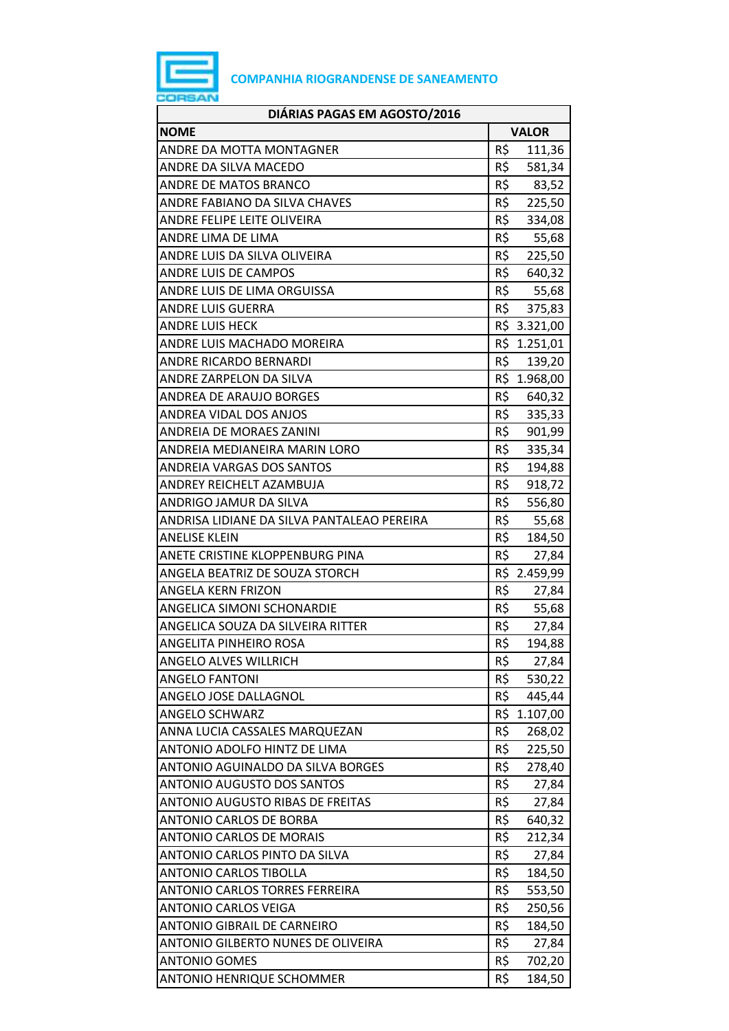

| DIÁRIAS PAGAS EM AGOSTO/2016               |     |              |
|--------------------------------------------|-----|--------------|
| <b>NOME</b>                                |     | <b>VALOR</b> |
| ANDRE DA MOTTA MONTAGNER                   | R\$ | 111,36       |
| ANDRE DA SILVA MACEDO                      | R\$ | 581,34       |
| ANDRE DE MATOS BRANCO                      | R\$ | 83,52        |
| ANDRE FABIANO DA SILVA CHAVES              | R\$ | 225,50       |
| ANDRE FELIPE LEITE OLIVEIRA                | R\$ | 334,08       |
| ANDRE LIMA DE LIMA                         | R\$ | 55,68        |
| ANDRE LUIS DA SILVA OLIVEIRA               | R\$ | 225,50       |
| <b>ANDRE LUIS DE CAMPOS</b>                | R\$ | 640,32       |
| ANDRE LUIS DE LIMA ORGUISSA                |     | R\$ 55,68    |
| <b>ANDRE LUIS GUERRA</b>                   |     | R\$ 375,83   |
| ANDRE LUIS HECK                            |     | R\$ 3.321,00 |
| ANDRE LUIS MACHADO MOREIRA                 |     | R\$ 1.251,01 |
| <b>ANDRE RICARDO BERNARDI</b>              | R\$ | 139,20       |
| ANDRE ZARPELON DA SILVA                    |     | R\$ 1.968,00 |
| ANDREA DE ARAUJO BORGES                    |     | R\$ 640,32   |
| ANDREA VIDAL DOS ANJOS                     | R\$ | 335,33       |
| ANDREIA DE MORAES ZANINI                   | R\$ | 901,99       |
| ANDREIA MEDIANEIRA MARIN LORO              | R\$ | 335,34       |
| ANDREIA VARGAS DOS SANTOS                  | R\$ | 194,88       |
| ANDREY REICHELT AZAMBUJA                   | R\$ | 918,72       |
| ANDRIGO JAMUR DA SILVA                     | R\$ | 556,80       |
| ANDRISA LIDIANE DA SILVA PANTALEAO PEREIRA | R\$ | 55,68        |
| <b>ANELISE KLEIN</b>                       | R\$ | 184,50       |
| ANETE CRISTINE KLOPPENBURG PINA            | R\$ | 27,84        |
| ANGELA BEATRIZ DE SOUZA STORCH             |     | R\$ 2.459,99 |
| ANGELA KERN FRIZON                         | R\$ | 27,84        |
| ANGELICA SIMONI SCHONARDIE                 | R\$ | 55,68        |
| ANGELICA SOUZA DA SILVEIRA RITTER          | R\$ | 27,84        |
| ANGELITA PINHEIRO ROSA                     | R\$ | 194,88       |
| <b>ANGELO ALVES WILLRICH</b>               | R\$ | 27,84        |
| <b>ANGELO FANTONI</b>                      | R\$ | 530,22       |
| ANGELO JOSE DALLAGNOL                      | R\$ | 445,44       |
| <b>ANGELO SCHWARZ</b>                      | R\$ | 1.107,00     |
| ANNA LUCIA CASSALES MARQUEZAN              | R\$ | 268,02       |
| ANTONIO ADOLFO HINTZ DE LIMA               | R\$ | 225,50       |
| ANTONIO AGUINALDO DA SILVA BORGES          | R\$ | 278,40       |
| <b>ANTONIO AUGUSTO DOS SANTOS</b>          | R\$ | 27,84        |
| <b>ANTONIO AUGUSTO RIBAS DE FREITAS</b>    | R\$ | 27,84        |
| ANTONIO CARLOS DE BORBA                    | R\$ | 640,32       |
| <b>ANTONIO CARLOS DE MORAIS</b>            | R\$ | 212,34       |
| ANTONIO CARLOS PINTO DA SILVA              | R\$ | 27,84        |
| <b>ANTONIO CARLOS TIBOLLA</b>              | R\$ | 184,50       |
| ANTONIO CARLOS TORRES FERREIRA             | R\$ | 553,50       |
| <b>ANTONIO CARLOS VEIGA</b>                | R\$ | 250,56       |
| <b>ANTONIO GIBRAIL DE CARNEIRO</b>         | R\$ | 184,50       |
| ANTONIO GILBERTO NUNES DE OLIVEIRA         | R\$ | 27,84        |
| <b>ANTONIO GOMES</b>                       | R\$ | 702,20       |
| <b>ANTONIO HENRIQUE SCHOMMER</b>           | R\$ | 184,50       |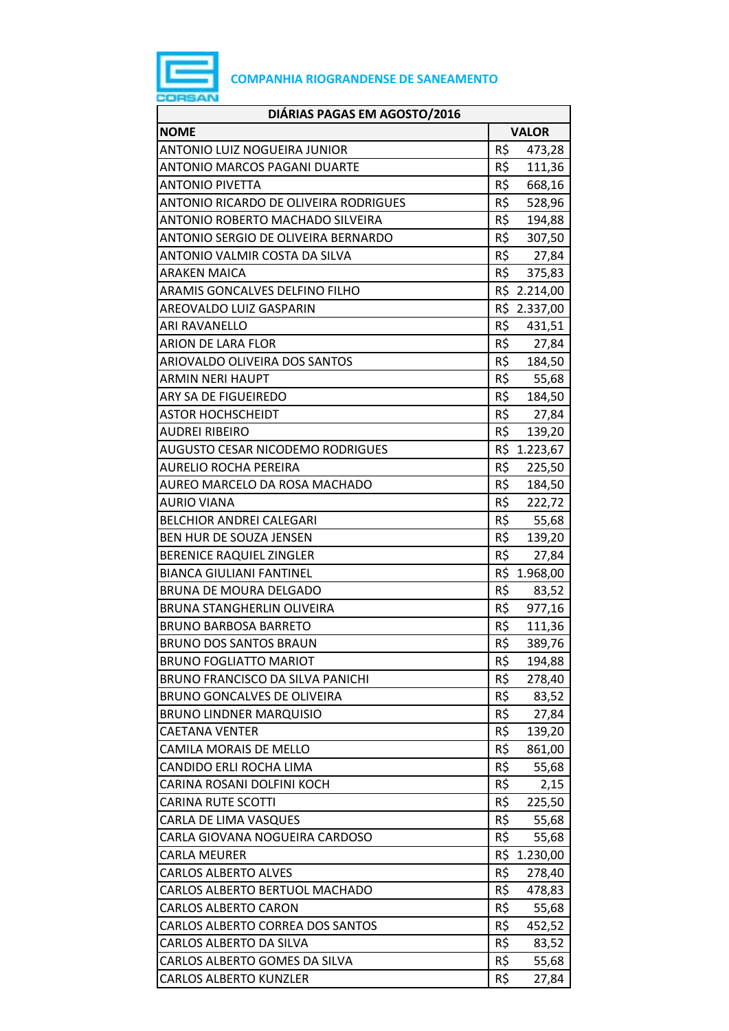

| DIÁRIAS PAGAS EM AGOSTO/2016                 |     |              |
|----------------------------------------------|-----|--------------|
| <b>NOME</b>                                  |     | <b>VALOR</b> |
| <b>ANTONIO LUIZ NOGUEIRA JUNIOR</b>          | R\$ | 473,28       |
| <b>ANTONIO MARCOS PAGANI DUARTE</b>          | R\$ | 111,36       |
| <b>ANTONIO PIVETTA</b>                       | R\$ | 668,16       |
| <b>ANTONIO RICARDO DE OLIVEIRA RODRIGUES</b> | R\$ | 528,96       |
| ANTONIO ROBERTO MACHADO SILVEIRA             | R\$ | 194,88       |
| ANTONIO SERGIO DE OLIVEIRA BERNARDO          | R\$ | 307,50       |
| ANTONIO VALMIR COSTA DA SILVA                |     | R\$ 27,84    |
| <b>ARAKEN MAICA</b>                          | R\$ | 375,83       |
| ARAMIS GONCALVES DELFINO FILHO               |     | R\$ 2.214,00 |
| AREOVALDO LUIZ GASPARIN                      |     | R\$ 2.337,00 |
| ARI RAVANELLO                                | R\$ | 431,51       |
| ARION DE LARA FLOR                           | R\$ | 27,84        |
| ARIOVALDO OLIVEIRA DOS SANTOS                | R\$ | 184,50       |
| <b>ARMIN NERI HAUPT</b>                      | R\$ | 55,68        |
| ARY SA DE FIGUEIREDO                         |     | R\$ 184,50   |
| <b>ASTOR HOCHSCHEIDT</b>                     | R\$ | 27,84        |
| <b>AUDREI RIBEIRO</b>                        | R\$ | 139,20       |
| <b>AUGUSTO CESAR NICODEMO RODRIGUES</b>      |     | R\$ 1.223,67 |
| <b>AURELIO ROCHA PEREIRA</b>                 | R\$ | 225,50       |
| AUREO MARCELO DA ROSA MACHADO                | R\$ | 184,50       |
| <b>AURIO VIANA</b>                           | R\$ | 222,72       |
| <b>BELCHIOR ANDREI CALEGARI</b>              | R\$ | 55,68        |
| BEN HUR DE SOUZA JENSEN                      | R\$ | 139,20       |
| <b>BERENICE RAQUIEL ZINGLER</b>              | R\$ | 27,84        |
| <b>BIANCA GIULIANI FANTINEL</b>              |     | R\$ 1.968,00 |
| BRUNA DE MOURA DELGADO                       | R\$ | 83,52        |
| <b>BRUNA STANGHERLIN OLIVEIRA</b>            | R\$ | 977,16       |
| <b>BRUNO BARBOSA BARRETO</b>                 | R\$ | 111,36       |
| <b>BRUNO DOS SANTOS BRAUN</b>                | R\$ | 389,76       |
| <b>BRUNO FOGLIATTO MARIOT</b>                | R\$ | 194,88       |
| <b>BRUNO FRANCISCO DA SILVA PANICHI</b>      | R\$ | 278,40       |
| BRUNO GONCALVES DE OLIVEIRA                  | R\$ | 83,52        |
| <b>BRUNO LINDNER MARQUISIO</b>               | R\$ | 27,84        |
| <b>CAETANA VENTER</b>                        | R\$ | 139,20       |
| CAMILA MORAIS DE MELLO                       | R\$ | 861,00       |
| CANDIDO ERLI ROCHA LIMA                      | R\$ | 55,68        |
| CARINA ROSANI DOLFINI KOCH                   | R\$ | 2,15         |
| <b>CARINA RUTE SCOTTI</b>                    | R\$ | 225,50       |
| CARLA DE LIMA VASQUES                        | R\$ | 55,68        |
| CARLA GIOVANA NOGUEIRA CARDOSO               | R\$ | 55,68        |
| <b>CARLA MEURER</b>                          | R\$ | 1.230,00     |
| <b>CARLOS ALBERTO ALVES</b>                  | R\$ | 278,40       |
| CARLOS ALBERTO BERTUOL MACHADO               | R\$ | 478,83       |
| <b>CARLOS ALBERTO CARON</b>                  | R\$ | 55,68        |
| CARLOS ALBERTO CORREA DOS SANTOS             | R\$ | 452,52       |
| CARLOS ALBERTO DA SILVA                      | R\$ | 83,52        |
| CARLOS ALBERTO GOMES DA SILVA                | R\$ | 55,68        |
| <b>CARLOS ALBERTO KUNZLER</b>                | R\$ | 27,84        |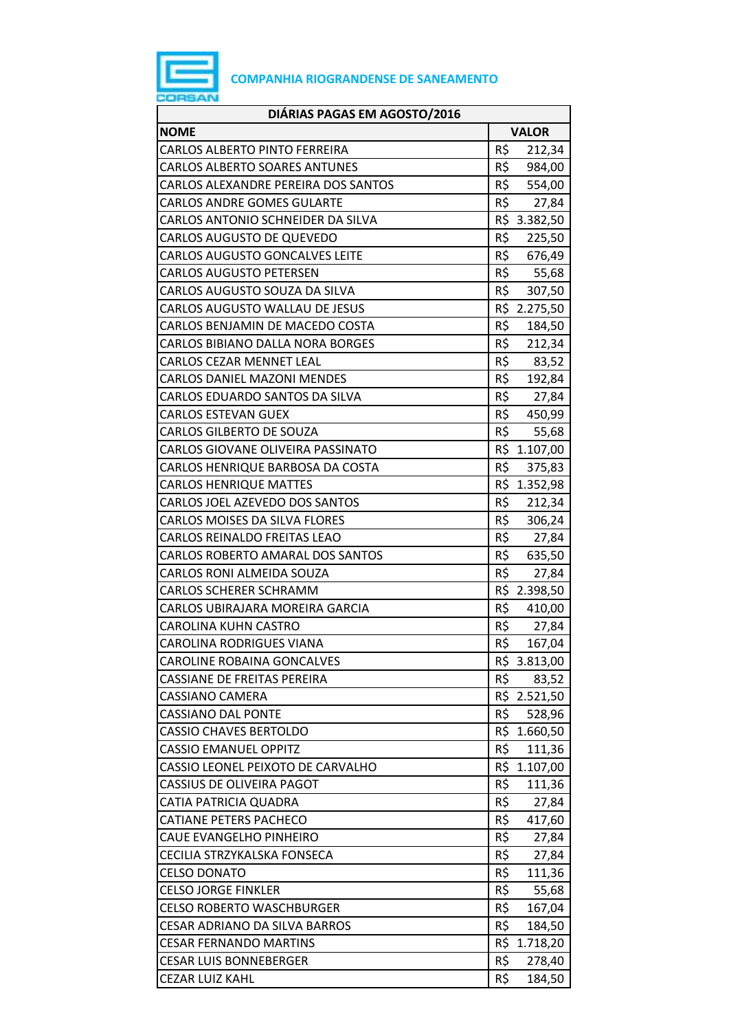

| DIÁRIAS PAGAS EM AGOSTO/2016          |                 |
|---------------------------------------|-----------------|
| <b>NOME</b>                           | <b>VALOR</b>    |
| CARLOS ALBERTO PINTO FERREIRA         | R\$<br>212,34   |
| <b>CARLOS ALBERTO SOARES ANTUNES</b>  | R\$<br>984,00   |
| CARLOS ALEXANDRE PEREIRA DOS SANTOS   | R\$ 554,00      |
| <b>CARLOS ANDRE GOMES GULARTE</b>     | R\$<br>27,84    |
| CARLOS ANTONIO SCHNEIDER DA SILVA     | R\$ 3.382,50    |
| CARLOS AUGUSTO DE QUEVEDO             | R\$<br>225,50   |
| <b>CARLOS AUGUSTO GONCALVES LEITE</b> | R\$<br>676,49   |
| <b>CARLOS AUGUSTO PETERSEN</b>        | R\$<br>55,68    |
| CARLOS AUGUSTO SOUZA DA SILVA         | R\$<br>307,50   |
| CARLOS AUGUSTO WALLAU DE JESUS        | R\$ 2.275,50    |
| CARLOS BENJAMIN DE MACEDO COSTA       | R\$<br>184,50   |
| CARLOS BIBIANO DALLA NORA BORGES      | R\$<br>212,34   |
| <b>CARLOS CEZAR MENNET LEAL</b>       | R\$ 83,52       |
| <b>CARLOS DANIEL MAZONI MENDES</b>    | R\$<br>192,84   |
| CARLOS EDUARDO SANTOS DA SILVA        | R\$<br>27,84    |
| <b>CARLOS ESTEVAN GUEX</b>            | R\$<br>450,99   |
| <b>CARLOS GILBERTO DE SOUZA</b>       | R\$<br>55,68    |
| CARLOS GIOVANE OLIVEIRA PASSINATO     | R\$ 1.107,00    |
| CARLOS HENRIQUE BARBOSA DA COSTA      | R\$<br>375,83   |
| <b>CARLOS HENRIQUE MATTES</b>         | R\$ 1.352,98    |
| CARLOS JOEL AZEVEDO DOS SANTOS        | R\$<br>212,34   |
| CARLOS MOISES DA SILVA FLORES         | R\$<br>306,24   |
| CARLOS REINALDO FREITAS LEAO          | R\$<br>27,84    |
| CARLOS ROBERTO AMARAL DOS SANTOS      | R\$<br>635,50   |
| <b>CARLOS RONI ALMEIDA SOUZA</b>      | R\$<br>27,84    |
| <b>CARLOS SCHERER SCHRAMM</b>         | R\$ 2.398,50    |
| CARLOS UBIRAJARA MOREIRA GARCIA       | R\$<br>410,00   |
| <b>CAROLINA KUHN CASTRO</b>           | R\$<br>27,84    |
| CAROLINA RODRIGUES VIANA              | R\$<br>167,04   |
| CAROLINE ROBAINA GONCALVES            | R\$ 3.813,00    |
| <b>CASSIANE DE FREITAS PEREIRA</b>    | R\$<br>83,52    |
| CASSIANO CAMERA                       | R\$ 2.521,50    |
| <b>CASSIANO DAL PONTE</b>             | R\$<br>528,96   |
| <b>CASSIO CHAVES BERTOLDO</b>         | R\$ 1.660,50    |
| <b>CASSIO EMANUEL OPPITZ</b>          | R\$<br>111,36   |
| CASSIO LEONEL PEIXOTO DE CARVALHO     | R\$<br>1.107,00 |
| <b>CASSIUS DE OLIVEIRA PAGOT</b>      | R\$<br>111,36   |
| CATIA PATRICIA QUADRA                 | R\$<br>27,84    |
| <b>CATIANE PETERS PACHECO</b>         | R\$<br>417,60   |
| CAUE EVANGELHO PINHEIRO               | R\$<br>27,84    |
| CECILIA STRZYKALSKA FONSECA           | R\$<br>27,84    |
| <b>CELSO DONATO</b>                   | R\$<br>111,36   |
| <b>CELSO JORGE FINKLER</b>            | R\$<br>55,68    |
| <b>CELSO ROBERTO WASCHBURGER</b>      | R\$<br>167,04   |
| CESAR ADRIANO DA SILVA BARROS         | R\$<br>184,50   |
| <b>CESAR FERNANDO MARTINS</b>         | R\$<br>1.718,20 |
| <b>CESAR LUIS BONNEBERGER</b>         | R\$<br>278,40   |
| <b>CEZAR LUIZ KAHL</b>                | R\$<br>184,50   |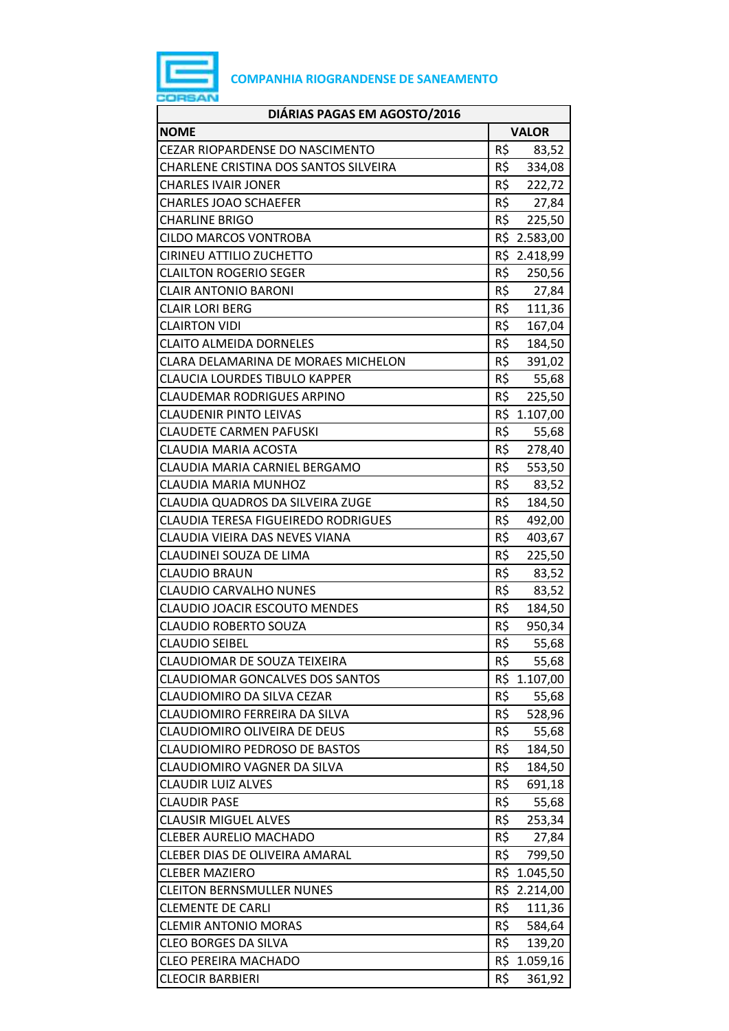

| <b>NOME</b><br><b>VALOR</b><br>R\$<br><b>CEZAR RIOPARDENSE DO NASCIMENTO</b><br>83,52<br>R\$<br>CHARLENE CRISTINA DOS SANTOS SILVEIRA<br>334,08<br>R\$<br><b>CHARLES IVAIR JONER</b><br>222,72<br>R\$ 27,84<br><b>CHARLES JOAO SCHAEFER</b><br>R\$<br><b>CHARLINE BRIGO</b><br>225,50<br>R\$ 2.583,00<br><b>CILDO MARCOS VONTROBA</b><br>R\$ 2.418,99<br><b>CIRINEU ATTILIO ZUCHETTO</b><br>R\$<br><b>CLAILTON ROGERIO SEGER</b><br>250,56<br>R\$ 27,84<br><b>CLAIR ANTONIO BARONI</b><br>R\$<br><b>CLAIR LORI BERG</b><br>111,36<br>R\$<br>167,04<br><b>CLAIRTON VIDI</b><br>R\$<br><b>CLAITO ALMEIDA DORNELES</b><br>184,50<br>R\$<br>CLARA DELAMARINA DE MORAES MICHELON<br>391,02<br>R\$<br><b>CLAUCIA LOURDES TIBULO KAPPER</b><br>55,68<br>R\$<br><b>CLAUDEMAR RODRIGUES ARPINO</b><br>225,50<br>R\$<br><b>CLAUDENIR PINTO LEIVAS</b><br>1.107,00<br>R\$<br><b>CLAUDETE CARMEN PAFUSKI</b><br>55,68<br>R\$<br>CLAUDIA MARIA ACOSTA<br>278,40<br>R\$<br>CLAUDIA MARIA CARNIEL BERGAMO<br>553,50<br>R\$<br>CLAUDIA MARIA MUNHOZ<br>83,52<br>R\$<br>CLAUDIA QUADROS DA SILVEIRA ZUGE<br>184,50<br><b>CLAUDIA TERESA FIGUEIREDO RODRIGUES</b><br>R\$<br>492,00<br>R\$<br>CLAUDIA VIEIRA DAS NEVES VIANA<br>403,67<br>R\$<br>CLAUDINEI SOUZA DE LIMA<br>225,50<br>R\$<br><b>CLAUDIO BRAUN</b><br>83,52<br>R\$<br><b>CLAUDIO CARVALHO NUNES</b><br>83,52<br>R\$<br><b>CLAUDIO JOACIR ESCOUTO MENDES</b><br>184,50<br>R\$<br><b>CLAUDIO ROBERTO SOUZA</b><br>950,34<br>R\$<br><b>CLAUDIO SEIBEL</b><br>55,68<br>CLAUDIOMAR DE SOUZA TEIXEIRA<br>R\$<br>55,68<br>R\$<br><b>CLAUDIOMAR GONCALVES DOS SANTOS</b><br>1.107,00<br>R\$<br>CLAUDIOMIRO DA SILVA CEZAR<br>55,68<br>R\$<br>CLAUDIOMIRO FERREIRA DA SILVA<br>528,96<br>R\$<br><b>CLAUDIOMIRO OLIVEIRA DE DEUS</b><br>55,68<br><b>CLAUDIOMIRO PEDROSO DE BASTOS</b><br>R\$<br>184,50<br>R\$<br>CLAUDIOMIRO VAGNER DA SILVA<br>184,50<br>R\$<br><b>CLAUDIR LUIZ ALVES</b><br>691,18<br>R\$<br>55,68<br><b>CLAUDIR PASE</b><br>R\$<br><b>CLAUSIR MIGUEL ALVES</b><br>253,34<br><b>CLEBER AURELIO MACHADO</b><br>R\$<br>27,84<br>R\$<br>CLEBER DIAS DE OLIVEIRA AMARAL<br>799,50<br>R\$<br><b>CLEBER MAZIERO</b><br>1.045,50<br>R\$<br><b>CLEITON BERNSMULLER NUNES</b><br>2.214,00<br>R\$<br><b>CLEMENTE DE CARLI</b><br>111,36<br><b>CLEMIR ANTONIO MORAS</b><br>R\$<br>584,64<br>R\$<br><b>CLEO BORGES DA SILVA</b><br>139,20<br>R\$ 1.059,16<br><b>CLEO PEREIRA MACHADO</b><br>R\$<br>361,92<br><b>CLEOCIR BARBIERI</b> | DIÁRIAS PAGAS EM AGOSTO/2016 |  |
|------------------------------------------------------------------------------------------------------------------------------------------------------------------------------------------------------------------------------------------------------------------------------------------------------------------------------------------------------------------------------------------------------------------------------------------------------------------------------------------------------------------------------------------------------------------------------------------------------------------------------------------------------------------------------------------------------------------------------------------------------------------------------------------------------------------------------------------------------------------------------------------------------------------------------------------------------------------------------------------------------------------------------------------------------------------------------------------------------------------------------------------------------------------------------------------------------------------------------------------------------------------------------------------------------------------------------------------------------------------------------------------------------------------------------------------------------------------------------------------------------------------------------------------------------------------------------------------------------------------------------------------------------------------------------------------------------------------------------------------------------------------------------------------------------------------------------------------------------------------------------------------------------------------------------------------------------------------------------------------------------------------------------------------------------------------------------------------------------------------------------------------------------------------------------------------------------------------------------------------------------------------------------------------------------------------------------------------------------------------------------------------------------------------------------------------------------------------------------|------------------------------|--|
|                                                                                                                                                                                                                                                                                                                                                                                                                                                                                                                                                                                                                                                                                                                                                                                                                                                                                                                                                                                                                                                                                                                                                                                                                                                                                                                                                                                                                                                                                                                                                                                                                                                                                                                                                                                                                                                                                                                                                                                                                                                                                                                                                                                                                                                                                                                                                                                                                                                                              |                              |  |
|                                                                                                                                                                                                                                                                                                                                                                                                                                                                                                                                                                                                                                                                                                                                                                                                                                                                                                                                                                                                                                                                                                                                                                                                                                                                                                                                                                                                                                                                                                                                                                                                                                                                                                                                                                                                                                                                                                                                                                                                                                                                                                                                                                                                                                                                                                                                                                                                                                                                              |                              |  |
|                                                                                                                                                                                                                                                                                                                                                                                                                                                                                                                                                                                                                                                                                                                                                                                                                                                                                                                                                                                                                                                                                                                                                                                                                                                                                                                                                                                                                                                                                                                                                                                                                                                                                                                                                                                                                                                                                                                                                                                                                                                                                                                                                                                                                                                                                                                                                                                                                                                                              |                              |  |
|                                                                                                                                                                                                                                                                                                                                                                                                                                                                                                                                                                                                                                                                                                                                                                                                                                                                                                                                                                                                                                                                                                                                                                                                                                                                                                                                                                                                                                                                                                                                                                                                                                                                                                                                                                                                                                                                                                                                                                                                                                                                                                                                                                                                                                                                                                                                                                                                                                                                              |                              |  |
|                                                                                                                                                                                                                                                                                                                                                                                                                                                                                                                                                                                                                                                                                                                                                                                                                                                                                                                                                                                                                                                                                                                                                                                                                                                                                                                                                                                                                                                                                                                                                                                                                                                                                                                                                                                                                                                                                                                                                                                                                                                                                                                                                                                                                                                                                                                                                                                                                                                                              |                              |  |
|                                                                                                                                                                                                                                                                                                                                                                                                                                                                                                                                                                                                                                                                                                                                                                                                                                                                                                                                                                                                                                                                                                                                                                                                                                                                                                                                                                                                                                                                                                                                                                                                                                                                                                                                                                                                                                                                                                                                                                                                                                                                                                                                                                                                                                                                                                                                                                                                                                                                              |                              |  |
|                                                                                                                                                                                                                                                                                                                                                                                                                                                                                                                                                                                                                                                                                                                                                                                                                                                                                                                                                                                                                                                                                                                                                                                                                                                                                                                                                                                                                                                                                                                                                                                                                                                                                                                                                                                                                                                                                                                                                                                                                                                                                                                                                                                                                                                                                                                                                                                                                                                                              |                              |  |
|                                                                                                                                                                                                                                                                                                                                                                                                                                                                                                                                                                                                                                                                                                                                                                                                                                                                                                                                                                                                                                                                                                                                                                                                                                                                                                                                                                                                                                                                                                                                                                                                                                                                                                                                                                                                                                                                                                                                                                                                                                                                                                                                                                                                                                                                                                                                                                                                                                                                              |                              |  |
|                                                                                                                                                                                                                                                                                                                                                                                                                                                                                                                                                                                                                                                                                                                                                                                                                                                                                                                                                                                                                                                                                                                                                                                                                                                                                                                                                                                                                                                                                                                                                                                                                                                                                                                                                                                                                                                                                                                                                                                                                                                                                                                                                                                                                                                                                                                                                                                                                                                                              |                              |  |
|                                                                                                                                                                                                                                                                                                                                                                                                                                                                                                                                                                                                                                                                                                                                                                                                                                                                                                                                                                                                                                                                                                                                                                                                                                                                                                                                                                                                                                                                                                                                                                                                                                                                                                                                                                                                                                                                                                                                                                                                                                                                                                                                                                                                                                                                                                                                                                                                                                                                              |                              |  |
|                                                                                                                                                                                                                                                                                                                                                                                                                                                                                                                                                                                                                                                                                                                                                                                                                                                                                                                                                                                                                                                                                                                                                                                                                                                                                                                                                                                                                                                                                                                                                                                                                                                                                                                                                                                                                                                                                                                                                                                                                                                                                                                                                                                                                                                                                                                                                                                                                                                                              |                              |  |
|                                                                                                                                                                                                                                                                                                                                                                                                                                                                                                                                                                                                                                                                                                                                                                                                                                                                                                                                                                                                                                                                                                                                                                                                                                                                                                                                                                                                                                                                                                                                                                                                                                                                                                                                                                                                                                                                                                                                                                                                                                                                                                                                                                                                                                                                                                                                                                                                                                                                              |                              |  |
|                                                                                                                                                                                                                                                                                                                                                                                                                                                                                                                                                                                                                                                                                                                                                                                                                                                                                                                                                                                                                                                                                                                                                                                                                                                                                                                                                                                                                                                                                                                                                                                                                                                                                                                                                                                                                                                                                                                                                                                                                                                                                                                                                                                                                                                                                                                                                                                                                                                                              |                              |  |
|                                                                                                                                                                                                                                                                                                                                                                                                                                                                                                                                                                                                                                                                                                                                                                                                                                                                                                                                                                                                                                                                                                                                                                                                                                                                                                                                                                                                                                                                                                                                                                                                                                                                                                                                                                                                                                                                                                                                                                                                                                                                                                                                                                                                                                                                                                                                                                                                                                                                              |                              |  |
|                                                                                                                                                                                                                                                                                                                                                                                                                                                                                                                                                                                                                                                                                                                                                                                                                                                                                                                                                                                                                                                                                                                                                                                                                                                                                                                                                                                                                                                                                                                                                                                                                                                                                                                                                                                                                                                                                                                                                                                                                                                                                                                                                                                                                                                                                                                                                                                                                                                                              |                              |  |
|                                                                                                                                                                                                                                                                                                                                                                                                                                                                                                                                                                                                                                                                                                                                                                                                                                                                                                                                                                                                                                                                                                                                                                                                                                                                                                                                                                                                                                                                                                                                                                                                                                                                                                                                                                                                                                                                                                                                                                                                                                                                                                                                                                                                                                                                                                                                                                                                                                                                              |                              |  |
|                                                                                                                                                                                                                                                                                                                                                                                                                                                                                                                                                                                                                                                                                                                                                                                                                                                                                                                                                                                                                                                                                                                                                                                                                                                                                                                                                                                                                                                                                                                                                                                                                                                                                                                                                                                                                                                                                                                                                                                                                                                                                                                                                                                                                                                                                                                                                                                                                                                                              |                              |  |
|                                                                                                                                                                                                                                                                                                                                                                                                                                                                                                                                                                                                                                                                                                                                                                                                                                                                                                                                                                                                                                                                                                                                                                                                                                                                                                                                                                                                                                                                                                                                                                                                                                                                                                                                                                                                                                                                                                                                                                                                                                                                                                                                                                                                                                                                                                                                                                                                                                                                              |                              |  |
|                                                                                                                                                                                                                                                                                                                                                                                                                                                                                                                                                                                                                                                                                                                                                                                                                                                                                                                                                                                                                                                                                                                                                                                                                                                                                                                                                                                                                                                                                                                                                                                                                                                                                                                                                                                                                                                                                                                                                                                                                                                                                                                                                                                                                                                                                                                                                                                                                                                                              |                              |  |
|                                                                                                                                                                                                                                                                                                                                                                                                                                                                                                                                                                                                                                                                                                                                                                                                                                                                                                                                                                                                                                                                                                                                                                                                                                                                                                                                                                                                                                                                                                                                                                                                                                                                                                                                                                                                                                                                                                                                                                                                                                                                                                                                                                                                                                                                                                                                                                                                                                                                              |                              |  |
|                                                                                                                                                                                                                                                                                                                                                                                                                                                                                                                                                                                                                                                                                                                                                                                                                                                                                                                                                                                                                                                                                                                                                                                                                                                                                                                                                                                                                                                                                                                                                                                                                                                                                                                                                                                                                                                                                                                                                                                                                                                                                                                                                                                                                                                                                                                                                                                                                                                                              |                              |  |
|                                                                                                                                                                                                                                                                                                                                                                                                                                                                                                                                                                                                                                                                                                                                                                                                                                                                                                                                                                                                                                                                                                                                                                                                                                                                                                                                                                                                                                                                                                                                                                                                                                                                                                                                                                                                                                                                                                                                                                                                                                                                                                                                                                                                                                                                                                                                                                                                                                                                              |                              |  |
|                                                                                                                                                                                                                                                                                                                                                                                                                                                                                                                                                                                                                                                                                                                                                                                                                                                                                                                                                                                                                                                                                                                                                                                                                                                                                                                                                                                                                                                                                                                                                                                                                                                                                                                                                                                                                                                                                                                                                                                                                                                                                                                                                                                                                                                                                                                                                                                                                                                                              |                              |  |
|                                                                                                                                                                                                                                                                                                                                                                                                                                                                                                                                                                                                                                                                                                                                                                                                                                                                                                                                                                                                                                                                                                                                                                                                                                                                                                                                                                                                                                                                                                                                                                                                                                                                                                                                                                                                                                                                                                                                                                                                                                                                                                                                                                                                                                                                                                                                                                                                                                                                              |                              |  |
|                                                                                                                                                                                                                                                                                                                                                                                                                                                                                                                                                                                                                                                                                                                                                                                                                                                                                                                                                                                                                                                                                                                                                                                                                                                                                                                                                                                                                                                                                                                                                                                                                                                                                                                                                                                                                                                                                                                                                                                                                                                                                                                                                                                                                                                                                                                                                                                                                                                                              |                              |  |
|                                                                                                                                                                                                                                                                                                                                                                                                                                                                                                                                                                                                                                                                                                                                                                                                                                                                                                                                                                                                                                                                                                                                                                                                                                                                                                                                                                                                                                                                                                                                                                                                                                                                                                                                                                                                                                                                                                                                                                                                                                                                                                                                                                                                                                                                                                                                                                                                                                                                              |                              |  |
|                                                                                                                                                                                                                                                                                                                                                                                                                                                                                                                                                                                                                                                                                                                                                                                                                                                                                                                                                                                                                                                                                                                                                                                                                                                                                                                                                                                                                                                                                                                                                                                                                                                                                                                                                                                                                                                                                                                                                                                                                                                                                                                                                                                                                                                                                                                                                                                                                                                                              |                              |  |
|                                                                                                                                                                                                                                                                                                                                                                                                                                                                                                                                                                                                                                                                                                                                                                                                                                                                                                                                                                                                                                                                                                                                                                                                                                                                                                                                                                                                                                                                                                                                                                                                                                                                                                                                                                                                                                                                                                                                                                                                                                                                                                                                                                                                                                                                                                                                                                                                                                                                              |                              |  |
|                                                                                                                                                                                                                                                                                                                                                                                                                                                                                                                                                                                                                                                                                                                                                                                                                                                                                                                                                                                                                                                                                                                                                                                                                                                                                                                                                                                                                                                                                                                                                                                                                                                                                                                                                                                                                                                                                                                                                                                                                                                                                                                                                                                                                                                                                                                                                                                                                                                                              |                              |  |
|                                                                                                                                                                                                                                                                                                                                                                                                                                                                                                                                                                                                                                                                                                                                                                                                                                                                                                                                                                                                                                                                                                                                                                                                                                                                                                                                                                                                                                                                                                                                                                                                                                                                                                                                                                                                                                                                                                                                                                                                                                                                                                                                                                                                                                                                                                                                                                                                                                                                              |                              |  |
|                                                                                                                                                                                                                                                                                                                                                                                                                                                                                                                                                                                                                                                                                                                                                                                                                                                                                                                                                                                                                                                                                                                                                                                                                                                                                                                                                                                                                                                                                                                                                                                                                                                                                                                                                                                                                                                                                                                                                                                                                                                                                                                                                                                                                                                                                                                                                                                                                                                                              |                              |  |
|                                                                                                                                                                                                                                                                                                                                                                                                                                                                                                                                                                                                                                                                                                                                                                                                                                                                                                                                                                                                                                                                                                                                                                                                                                                                                                                                                                                                                                                                                                                                                                                                                                                                                                                                                                                                                                                                                                                                                                                                                                                                                                                                                                                                                                                                                                                                                                                                                                                                              |                              |  |
|                                                                                                                                                                                                                                                                                                                                                                                                                                                                                                                                                                                                                                                                                                                                                                                                                                                                                                                                                                                                                                                                                                                                                                                                                                                                                                                                                                                                                                                                                                                                                                                                                                                                                                                                                                                                                                                                                                                                                                                                                                                                                                                                                                                                                                                                                                                                                                                                                                                                              |                              |  |
|                                                                                                                                                                                                                                                                                                                                                                                                                                                                                                                                                                                                                                                                                                                                                                                                                                                                                                                                                                                                                                                                                                                                                                                                                                                                                                                                                                                                                                                                                                                                                                                                                                                                                                                                                                                                                                                                                                                                                                                                                                                                                                                                                                                                                                                                                                                                                                                                                                                                              |                              |  |
|                                                                                                                                                                                                                                                                                                                                                                                                                                                                                                                                                                                                                                                                                                                                                                                                                                                                                                                                                                                                                                                                                                                                                                                                                                                                                                                                                                                                                                                                                                                                                                                                                                                                                                                                                                                                                                                                                                                                                                                                                                                                                                                                                                                                                                                                                                                                                                                                                                                                              |                              |  |
|                                                                                                                                                                                                                                                                                                                                                                                                                                                                                                                                                                                                                                                                                                                                                                                                                                                                                                                                                                                                                                                                                                                                                                                                                                                                                                                                                                                                                                                                                                                                                                                                                                                                                                                                                                                                                                                                                                                                                                                                                                                                                                                                                                                                                                                                                                                                                                                                                                                                              |                              |  |
|                                                                                                                                                                                                                                                                                                                                                                                                                                                                                                                                                                                                                                                                                                                                                                                                                                                                                                                                                                                                                                                                                                                                                                                                                                                                                                                                                                                                                                                                                                                                                                                                                                                                                                                                                                                                                                                                                                                                                                                                                                                                                                                                                                                                                                                                                                                                                                                                                                                                              |                              |  |
|                                                                                                                                                                                                                                                                                                                                                                                                                                                                                                                                                                                                                                                                                                                                                                                                                                                                                                                                                                                                                                                                                                                                                                                                                                                                                                                                                                                                                                                                                                                                                                                                                                                                                                                                                                                                                                                                                                                                                                                                                                                                                                                                                                                                                                                                                                                                                                                                                                                                              |                              |  |
|                                                                                                                                                                                                                                                                                                                                                                                                                                                                                                                                                                                                                                                                                                                                                                                                                                                                                                                                                                                                                                                                                                                                                                                                                                                                                                                                                                                                                                                                                                                                                                                                                                                                                                                                                                                                                                                                                                                                                                                                                                                                                                                                                                                                                                                                                                                                                                                                                                                                              |                              |  |
|                                                                                                                                                                                                                                                                                                                                                                                                                                                                                                                                                                                                                                                                                                                                                                                                                                                                                                                                                                                                                                                                                                                                                                                                                                                                                                                                                                                                                                                                                                                                                                                                                                                                                                                                                                                                                                                                                                                                                                                                                                                                                                                                                                                                                                                                                                                                                                                                                                                                              |                              |  |
|                                                                                                                                                                                                                                                                                                                                                                                                                                                                                                                                                                                                                                                                                                                                                                                                                                                                                                                                                                                                                                                                                                                                                                                                                                                                                                                                                                                                                                                                                                                                                                                                                                                                                                                                                                                                                                                                                                                                                                                                                                                                                                                                                                                                                                                                                                                                                                                                                                                                              |                              |  |
|                                                                                                                                                                                                                                                                                                                                                                                                                                                                                                                                                                                                                                                                                                                                                                                                                                                                                                                                                                                                                                                                                                                                                                                                                                                                                                                                                                                                                                                                                                                                                                                                                                                                                                                                                                                                                                                                                                                                                                                                                                                                                                                                                                                                                                                                                                                                                                                                                                                                              |                              |  |
|                                                                                                                                                                                                                                                                                                                                                                                                                                                                                                                                                                                                                                                                                                                                                                                                                                                                                                                                                                                                                                                                                                                                                                                                                                                                                                                                                                                                                                                                                                                                                                                                                                                                                                                                                                                                                                                                                                                                                                                                                                                                                                                                                                                                                                                                                                                                                                                                                                                                              |                              |  |
|                                                                                                                                                                                                                                                                                                                                                                                                                                                                                                                                                                                                                                                                                                                                                                                                                                                                                                                                                                                                                                                                                                                                                                                                                                                                                                                                                                                                                                                                                                                                                                                                                                                                                                                                                                                                                                                                                                                                                                                                                                                                                                                                                                                                                                                                                                                                                                                                                                                                              |                              |  |
|                                                                                                                                                                                                                                                                                                                                                                                                                                                                                                                                                                                                                                                                                                                                                                                                                                                                                                                                                                                                                                                                                                                                                                                                                                                                                                                                                                                                                                                                                                                                                                                                                                                                                                                                                                                                                                                                                                                                                                                                                                                                                                                                                                                                                                                                                                                                                                                                                                                                              |                              |  |
|                                                                                                                                                                                                                                                                                                                                                                                                                                                                                                                                                                                                                                                                                                                                                                                                                                                                                                                                                                                                                                                                                                                                                                                                                                                                                                                                                                                                                                                                                                                                                                                                                                                                                                                                                                                                                                                                                                                                                                                                                                                                                                                                                                                                                                                                                                                                                                                                                                                                              |                              |  |
|                                                                                                                                                                                                                                                                                                                                                                                                                                                                                                                                                                                                                                                                                                                                                                                                                                                                                                                                                                                                                                                                                                                                                                                                                                                                                                                                                                                                                                                                                                                                                                                                                                                                                                                                                                                                                                                                                                                                                                                                                                                                                                                                                                                                                                                                                                                                                                                                                                                                              |                              |  |
|                                                                                                                                                                                                                                                                                                                                                                                                                                                                                                                                                                                                                                                                                                                                                                                                                                                                                                                                                                                                                                                                                                                                                                                                                                                                                                                                                                                                                                                                                                                                                                                                                                                                                                                                                                                                                                                                                                                                                                                                                                                                                                                                                                                                                                                                                                                                                                                                                                                                              |                              |  |
|                                                                                                                                                                                                                                                                                                                                                                                                                                                                                                                                                                                                                                                                                                                                                                                                                                                                                                                                                                                                                                                                                                                                                                                                                                                                                                                                                                                                                                                                                                                                                                                                                                                                                                                                                                                                                                                                                                                                                                                                                                                                                                                                                                                                                                                                                                                                                                                                                                                                              |                              |  |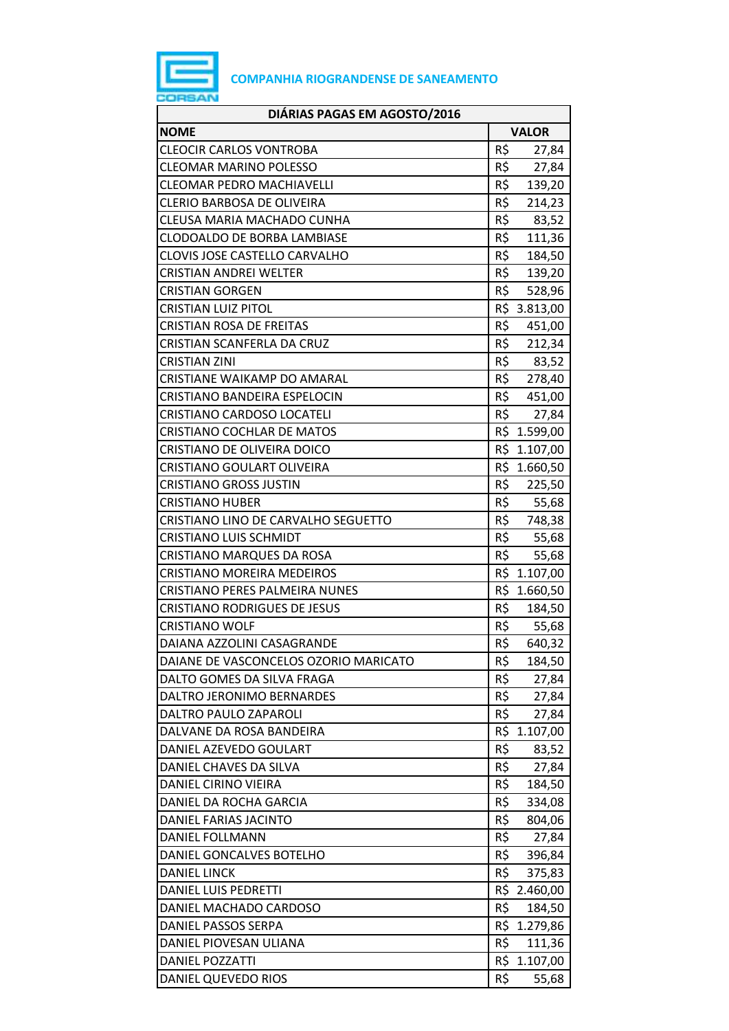

| DIÁRIAS PAGAS EM AGOSTO/2016          |     |              |
|---------------------------------------|-----|--------------|
| <b>NOME</b>                           |     | <b>VALOR</b> |
| <b>CLEOCIR CARLOS VONTROBA</b>        | R\$ | 27,84        |
| <b>CLEOMAR MARINO POLESSO</b>         | R\$ | 27,84        |
| <b>CLEOMAR PEDRO MACHIAVELLI</b>      | R\$ | 139,20       |
| <b>CLERIO BARBOSA DE OLIVEIRA</b>     | R\$ | 214,23       |
| CLEUSA MARIA MACHADO CUNHA            | R\$ | 83,52        |
| CLODOALDO DE BORBA LAMBIASE           | R\$ | 111,36       |
| CLOVIS JOSE CASTELLO CARVALHO         | R\$ | 184,50       |
| <b>CRISTIAN ANDREI WELTER</b>         | R\$ | 139,20       |
| <b>CRISTIAN GORGEN</b>                | R\$ | 528,96       |
| <b>CRISTIAN LUIZ PITOL</b>            |     | R\$ 3.813,00 |
| <b>CRISTIAN ROSA DE FREITAS</b>       | R\$ | 451,00       |
| <b>CRISTIAN SCANFERLA DA CRUZ</b>     | R\$ | 212,34       |
| <b>CRISTIAN ZINI</b>                  | R\$ | 83,52        |
| <b>CRISTIANE WAIKAMP DO AMARAL</b>    | R\$ | 278,40       |
| <b>CRISTIANO BANDEIRA ESPELOCIN</b>   |     | R\$ 451,00   |
| <b>CRISTIANO CARDOSO LOCATELI</b>     | R\$ | 27,84        |
| <b>CRISTIANO COCHLAR DE MATOS</b>     |     | R\$ 1.599,00 |
| CRISTIANO DE OLIVEIRA DOICO           |     | R\$ 1.107,00 |
| <b>CRISTIANO GOULART OLIVEIRA</b>     |     | R\$ 1.660,50 |
| <b>CRISTIANO GROSS JUSTIN</b>         |     | R\$ 225,50   |
| <b>CRISTIANO HUBER</b>                | R\$ | 55,68        |
| CRISTIANO LINO DE CARVALHO SEGUETTO   | R\$ | 748,38       |
| <b>CRISTIANO LUIS SCHMIDT</b>         | R\$ | 55,68        |
| <b>CRISTIANO MARQUES DA ROSA</b>      | R\$ | 55,68        |
| <b>CRISTIANO MOREIRA MEDEIROS</b>     |     | R\$ 1.107,00 |
| <b>CRISTIANO PERES PALMEIRA NUNES</b> | R\$ | 1.660,50     |
| <b>CRISTIANO RODRIGUES DE JESUS</b>   | R\$ | 184,50       |
| <b>CRISTIANO WOLF</b>                 | R\$ | 55,68        |
| DAIANA AZZOLINI CASAGRANDE            | R\$ | 640,32       |
| DAIANE DE VASCONCELOS OZORIO MARICATO | R\$ | 184,50       |
| DALTO GOMES DA SILVA FRAGA            | R\$ | 27,84        |
| DALTRO JERONIMO BERNARDES             | R\$ | 27,84        |
| DALTRO PAULO ZAPAROLI                 | R\$ | 27,84        |
| DALVANE DA ROSA BANDEIRA              | R\$ | 1.107,00     |
| DANIEL AZEVEDO GOULART                | R\$ | 83,52        |
| DANIEL CHAVES DA SILVA                | R\$ | 27,84        |
| DANIEL CIRINO VIEIRA                  | R\$ | 184,50       |
| DANIEL DA ROCHA GARCIA                | R\$ | 334,08       |
| DANIEL FARIAS JACINTO                 | R\$ | 804,06       |
| DANIEL FOLLMANN                       | R\$ | 27,84        |
| DANIEL GONCALVES BOTELHO              | R\$ | 396,84       |
| <b>DANIEL LINCK</b>                   | R\$ | 375,83       |
| DANIEL LUIS PEDRETTI                  |     | R\$ 2.460,00 |
| DANIEL MACHADO CARDOSO                | R\$ | 184,50       |
| DANIEL PASSOS SERPA                   |     | R\$ 1.279,86 |
| DANIEL PIOVESAN ULIANA                | R\$ | 111,36       |
| <b>DANIEL POZZATTI</b>                | R\$ | 1.107,00     |
| DANIEL QUEVEDO RIOS                   | R\$ | 55,68        |
|                                       |     |              |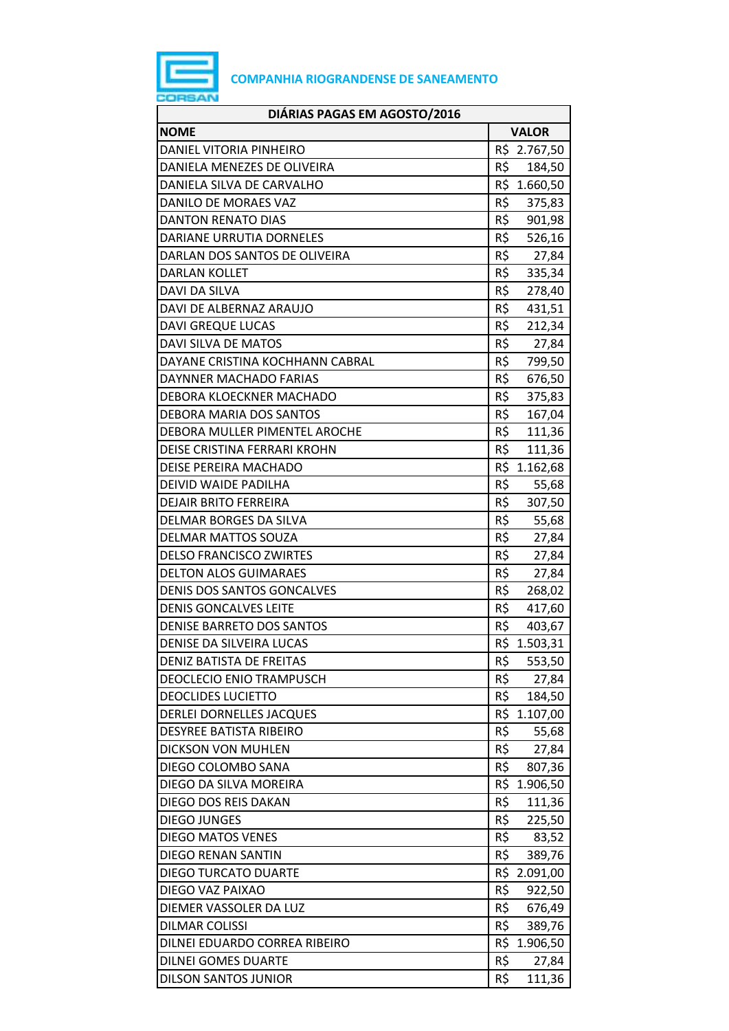

| DIÁRIAS PAGAS EM AGOSTO/2016      |     |              |
|-----------------------------------|-----|--------------|
| <b>NOME</b>                       |     | <b>VALOR</b> |
| DANIEL VITORIA PINHEIRO           |     | R\$ 2.767,50 |
| DANIELA MENEZES DE OLIVEIRA       | R\$ | 184,50       |
| DANIELA SILVA DE CARVALHO         | R\$ | 1.660,50     |
| DANILO DE MORAES VAZ              | R\$ | 375,83       |
| <b>DANTON RENATO DIAS</b>         | R\$ | 901,98       |
| DARIANE URRUTIA DORNELES          | R\$ | 526,16       |
| DARLAN DOS SANTOS DE OLIVEIRA     | R\$ | 27,84        |
| <b>DARLAN KOLLET</b>              | R\$ | 335,34       |
| DAVI DA SILVA                     | R\$ | 278,40       |
| DAVI DE ALBERNAZ ARAUJO           | R\$ | 431,51       |
| <b>DAVI GREQUE LUCAS</b>          | R\$ | 212,34       |
| DAVI SILVA DE MATOS               | R\$ | 27,84        |
| DAYANE CRISTINA KOCHHANN CABRAL   | R\$ | 799,50       |
| DAYNNER MACHADO FARIAS            | R\$ | 676,50       |
| DEBORA KLOECKNER MACHADO          | R\$ | 375,83       |
| DEBORA MARIA DOS SANTOS           | R\$ | 167,04       |
| DEBORA MULLER PIMENTEL AROCHE     | R\$ | 111,36       |
| DEISE CRISTINA FERRARI KROHN      | R\$ | 111,36       |
| DEISE PEREIRA MACHADO             |     | R\$ 1.162,68 |
| DEIVID WAIDE PADILHA              | R\$ | 55,68        |
| <b>DEJAIR BRITO FERREIRA</b>      | R\$ | 307,50       |
| DELMAR BORGES DA SILVA            | R\$ | 55,68        |
| <b>DELMAR MATTOS SOUZA</b>        | R\$ | 27,84        |
| <b>DELSO FRANCISCO ZWIRTES</b>    | R\$ | 27,84        |
| <b>DELTON ALOS GUIMARAES</b>      | R\$ | 27,84        |
| <b>DENIS DOS SANTOS GONCALVES</b> | R\$ | 268,02       |
| <b>DENIS GONCALVES LEITE</b>      | R\$ | 417,60       |
| <b>DENISE BARRETO DOS SANTOS</b>  | R\$ | 403,67       |
| DENISE DA SILVEIRA LUCAS          | R\$ | 1.503,31     |
| <b>DENIZ BATISTA DE FREITAS</b>   | R\$ | 553,50       |
| <b>DEOCLECIO ENIO TRAMPUSCH</b>   | R\$ | 27,84        |
| <b>DEOCLIDES LUCIETTO</b>         | R\$ | 184,50       |
| DERLEI DORNELLES JACQUES          | R\$ | 1.107,00     |
| <b>DESYREE BATISTA RIBEIRO</b>    | R\$ | 55,68        |
| <b>DICKSON VON MUHLEN</b>         | R\$ | 27,84        |
| DIEGO COLOMBO SANA                | R\$ | 807,36       |
| DIEGO DA SILVA MOREIRA            | R\$ | 1.906,50     |
| DIEGO DOS REIS DAKAN              | R\$ | 111,36       |
| <b>DIEGO JUNGES</b>               | R\$ | 225,50       |
| <b>DIEGO MATOS VENES</b>          | R\$ | 83,52        |
| DIEGO RENAN SANTIN                | R\$ | 389,76       |
| <b>DIEGO TURCATO DUARTE</b>       | R\$ | 2.091,00     |
| DIEGO VAZ PAIXAO                  | R\$ | 922,50       |
| DIEMER VASSOLER DA LUZ            | R\$ | 676,49       |
| <b>DILMAR COLISSI</b>             | R\$ | 389,76       |
| DILNEI EDUARDO CORREA RIBEIRO     | R\$ | 1.906,50     |
| <b>DILNEI GOMES DUARTE</b>        | R\$ | 27,84        |
| <b>DILSON SANTOS JUNIOR</b>       | R\$ | 111,36       |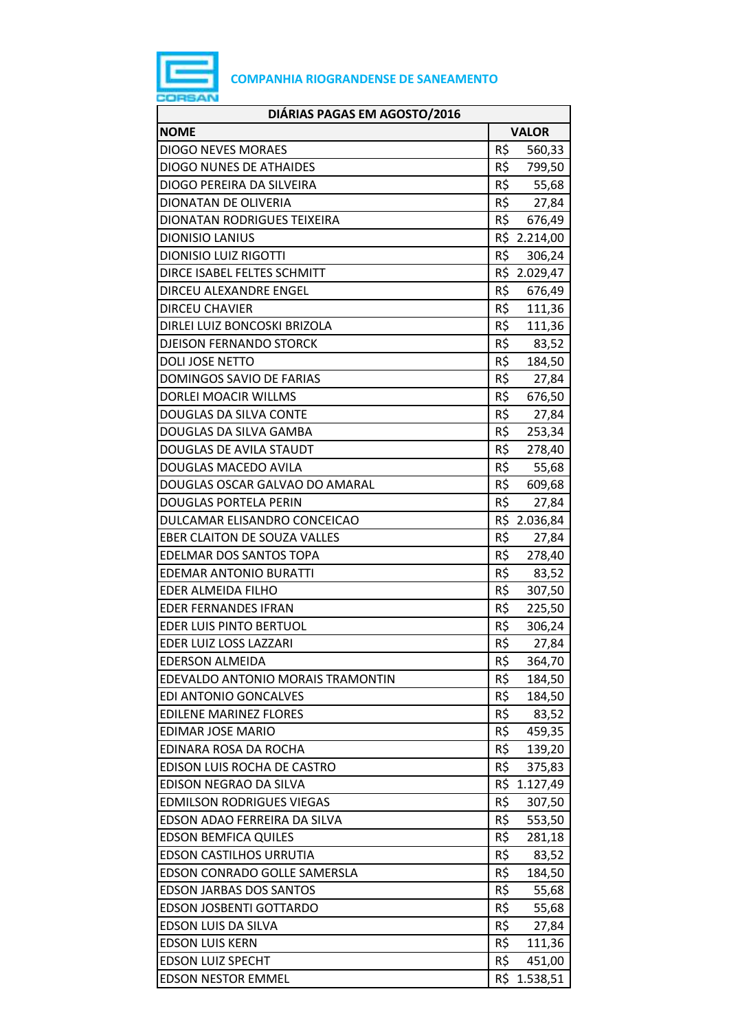

| DIÁRIAS PAGAS EM AGOSTO/2016        |                 |
|-------------------------------------|-----------------|
| <b>NOME</b>                         | <b>VALOR</b>    |
| <b>DIOGO NEVES MORAES</b>           | R\$<br>560,33   |
| <b>DIOGO NUNES DE ATHAIDES</b>      | R\$<br>799,50   |
| DIOGO PEREIRA DA SILVEIRA           | R\$<br>55,68    |
| DIONATAN DE OLIVERIA                | R\$<br>27,84    |
| DIONATAN RODRIGUES TEIXEIRA         | R\$<br>676,49   |
| <b>DIONISIO LANIUS</b>              | R\$ 2.214,00    |
| <b>DIONISIO LUIZ RIGOTTI</b>        | R\$<br>306,24   |
| DIRCE ISABEL FELTES SCHMITT         | R\$ 2.029,47    |
| DIRCEU ALEXANDRE ENGEL              | R\$<br>676,49   |
| <b>DIRCEU CHAVIER</b>               | R\$<br>111,36   |
| DIRLEI LUIZ BONCOSKI BRIZOLA        | R\$<br>111,36   |
| <b>DJEISON FERNANDO STORCK</b>      | R\$<br>83,52    |
| <b>DOLI JOSE NETTO</b>              | R\$<br>184,50   |
| <b>DOMINGOS SAVIO DE FARIAS</b>     | R\$<br>27,84    |
| DORLEI MOACIR WILLMS                | R\$<br>676,50   |
| DOUGLAS DA SILVA CONTE              | R\$<br>27,84    |
| DOUGLAS DA SILVA GAMBA              | R\$<br>253,34   |
| DOUGLAS DE AVILA STAUDT             | R\$<br>278,40   |
| DOUGLAS MACEDO AVILA                | R\$<br>55,68    |
| DOUGLAS OSCAR GALVAO DO AMARAL      | R\$<br>609,68   |
| <b>DOUGLAS PORTELA PERIN</b>        | R\$<br>27,84    |
| DULCAMAR ELISANDRO CONCEICAO        | R\$ 2.036,84    |
| <b>EBER CLAITON DE SOUZA VALLES</b> | R\$<br>27,84    |
| EDELMAR DOS SANTOS TOPA             | R\$<br>278,40   |
| <b>EDEMAR ANTONIO BURATTI</b>       | R\$<br>83,52    |
| EDER ALMEIDA FILHO                  | R\$<br>307,50   |
| <b>EDER FERNANDES IFRAN</b>         | R\$<br>225,50   |
| EDER LUIS PINTO BERTUOL             | R\$<br>306,24   |
| EDER LUIZ LOSS LAZZARI              | R\$<br>27,84    |
| <b>EDERSON ALMEIDA</b>              | R\$<br>364,70   |
| EDEVALDO ANTONIO MORAIS TRAMONTIN   | R\$<br>184,50   |
| <b>EDI ANTONIO GONCALVES</b>        | R\$<br>184,50   |
| <b>EDILENE MARINEZ FLORES</b>       | R\$<br>83,52    |
| <b>EDIMAR JOSE MARIO</b>            | R\$<br>459,35   |
| EDINARA ROSA DA ROCHA               | R\$<br>139,20   |
| EDISON LUIS ROCHA DE CASTRO         | R\$<br>375,83   |
| EDISON NEGRAO DA SILVA              | R\$<br>1.127,49 |
| <b>EDMILSON RODRIGUES VIEGAS</b>    | R\$<br>307,50   |
| EDSON ADAO FERREIRA DA SILVA        | R\$<br>553,50   |
| <b>EDSON BEMFICA QUILES</b>         | R\$<br>281,18   |
| <b>EDSON CASTILHOS URRUTIA</b>      | R\$<br>83,52    |
| EDSON CONRADO GOLLE SAMERSLA        | R\$<br>184,50   |
| <b>EDSON JARBAS DOS SANTOS</b>      | R\$<br>55,68    |
| <b>EDSON JOSBENTI GOTTARDO</b>      | R\$<br>55,68    |
| EDSON LUIS DA SILVA                 | R\$<br>27,84    |
| <b>EDSON LUIS KERN</b>              | R\$<br>111,36   |
| <b>EDSON LUIZ SPECHT</b>            | R\$<br>451,00   |
| <b>EDSON NESTOR EMMEL</b>           | R\$<br>1.538,51 |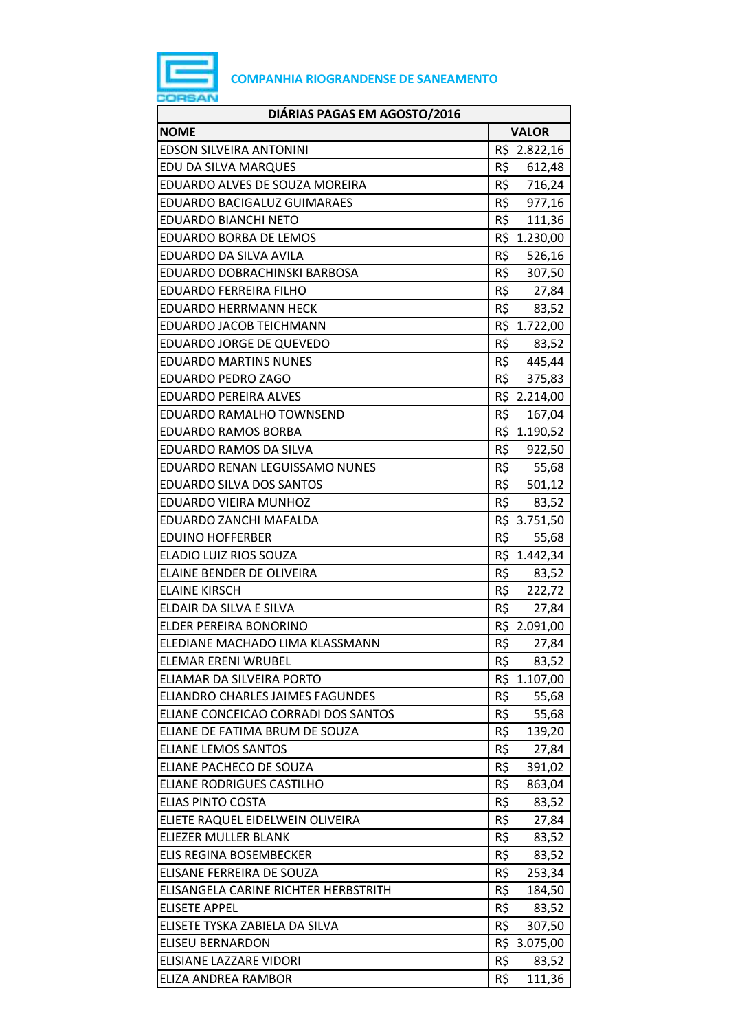

| DIÁRIAS PAGAS EM AGOSTO/2016         |                 |
|--------------------------------------|-----------------|
| <b>NOME</b>                          | <b>VALOR</b>    |
| <b>EDSON SILVEIRA ANTONINI</b>       | R\$ 2.822,16    |
| EDU DA SILVA MARQUES                 | R\$<br>612,48   |
| EDUARDO ALVES DE SOUZA MOREIRA       | R\$<br>716,24   |
| EDUARDO BACIGALUZ GUIMARAES          | R\$<br>977,16   |
| <b>EDUARDO BIANCHI NETO</b>          | R\$<br>111,36   |
| <b>EDUARDO BORBA DE LEMOS</b>        | R\$ 1.230,00    |
| EDUARDO DA SILVA AVILA               | R\$<br>526,16   |
| EDUARDO DOBRACHINSKI BARBOSA         | R\$<br>307,50   |
| <b>EDUARDO FERREIRA FILHO</b>        | R\$ 27,84       |
| EDUARDO HERRMANN HECK                | R\$ 83,52       |
| EDUARDO JACOB TEICHMANN              | R\$ 1.722,00    |
| EDUARDO JORGE DE QUEVEDO             | R\$<br>83,52    |
| <b>EDUARDO MARTINS NUNES</b>         | R\$<br>445,44   |
| EDUARDO PEDRO ZAGO                   | R\$<br>375,83   |
| <b>EDUARDO PEREIRA ALVES</b>         | R\$ 2.214,00    |
| EDUARDO RAMALHO TOWNSEND             | R\$<br>167,04   |
| <b>EDUARDO RAMOS BORBA</b>           | R\$ 1.190,52    |
| EDUARDO RAMOS DA SILVA               | R\$<br>922,50   |
| EDUARDO RENAN LEGUISSAMO NUNES       | R\$ 55,68       |
| EDUARDO SILVA DOS SANTOS             | R\$ 501,12      |
| EDUARDO VIEIRA MUNHOZ                | R\$<br>83,52    |
| EDUARDO ZANCHI MAFALDA               | R\$ 3.751,50    |
| <b>EDUINO HOFFERBER</b>              | R\$<br>55,68    |
| ELADIO LUIZ RIOS SOUZA               | R\$ 1.442,34    |
| ELAINE BENDER DE OLIVEIRA            | R\$<br>83,52    |
| <b>ELAINE KIRSCH</b>                 | R\$<br>222,72   |
| ELDAIR DA SILVA E SILVA              | R\$<br>27,84    |
| ELDER PEREIRA BONORINO               | R\$ 2.091,00    |
| ELEDIANE MACHADO LIMA KLASSMANN      | R\$<br>27,84    |
| <b>ELEMAR ERENI WRUBEL</b>           | R\$<br>83,52    |
| ELIAMAR DA SILVEIRA PORTO            | R\$<br>1.107,00 |
| ELIANDRO CHARLES JAIMES FAGUNDES     | R\$<br>55,68    |
| ELIANE CONCEICAO CORRADI DOS SANTOS  | R\$<br>55,68    |
| ELIANE DE FATIMA BRUM DE SOUZA       | R\$<br>139,20   |
| <b>ELIANE LEMOS SANTOS</b>           | R\$<br>27,84    |
| ELIANE PACHECO DE SOUZA              | R\$<br>391,02   |
| <b>ELIANE RODRIGUES CASTILHO</b>     | R\$<br>863,04   |
| <b>ELIAS PINTO COSTA</b>             | R\$<br>83,52    |
| ELIETE RAQUEL EIDELWEIN OLIVEIRA     | R\$<br>27,84    |
| ELIEZER MULLER BLANK                 | R\$<br>83,52    |
| ELIS REGINA BOSEMBECKER              | R\$<br>83,52    |
| ELISANE FERREIRA DE SOUZA            | R\$<br>253,34   |
| ELISANGELA CARINE RICHTER HERBSTRITH | R\$<br>184,50   |
| <b>ELISETE APPEL</b>                 | R\$<br>83,52    |
| ELISETE TYSKA ZABIELA DA SILVA       | R\$<br>307,50   |
| <b>ELISEU BERNARDON</b>              | R\$<br>3.075,00 |
| ELISIANE LAZZARE VIDORI              | R\$<br>83,52    |
| ELIZA ANDREA RAMBOR                  | R\$<br>111,36   |
|                                      |                 |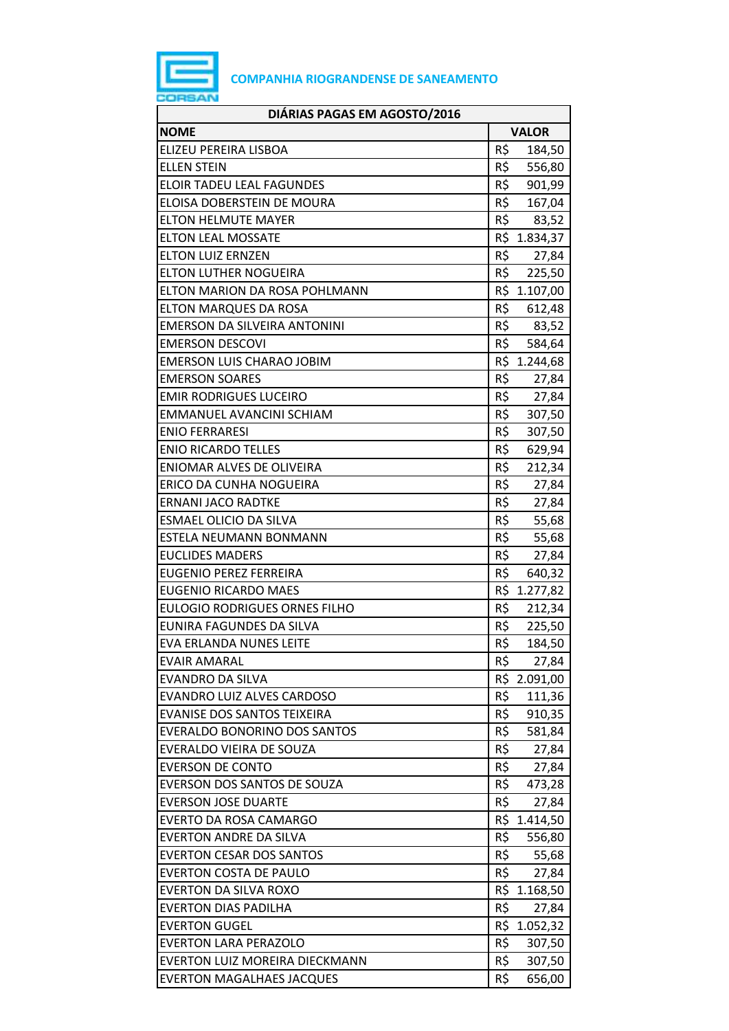

| DIÁRIAS PAGAS EM AGOSTO/2016         |     |              |
|--------------------------------------|-----|--------------|
| <b>NOME</b>                          |     | <b>VALOR</b> |
| ELIZEU PEREIRA LISBOA                | R\$ | 184,50       |
| <b>ELLEN STEIN</b>                   | R\$ | 556,80       |
| <b>ELOIR TADEU LEAL FAGUNDES</b>     | R\$ | 901,99       |
| ELOISA DOBERSTEIN DE MOURA           | R\$ | 167,04       |
| <b>ELTON HELMUTE MAYER</b>           |     | R\$ 83,52    |
| <b>ELTON LEAL MOSSATE</b>            |     | R\$ 1.834,37 |
| <b>ELTON LUIZ ERNZEN</b>             | R\$ | 27,84        |
| <b>ELTON LUTHER NOGUEIRA</b>         | R\$ | 225,50       |
| ELTON MARION DA ROSA POHLMANN        |     | R\$ 1.107,00 |
| ELTON MARQUES DA ROSA                |     | R\$ 612,48   |
| <b>EMERSON DA SILVEIRA ANTONINI</b>  | R\$ | 83,52        |
| <b>EMERSON DESCOVI</b>               | R\$ | 584,64       |
| <b>EMERSON LUIS CHARAO JOBIM</b>     |     | R\$ 1.244,68 |
| <b>EMERSON SOARES</b>                | R\$ | 27,84        |
| <b>EMIR RODRIGUES LUCEIRO</b>        | R\$ | 27,84        |
| EMMANUEL AVANCINI SCHIAM             | R\$ | 307,50       |
| <b>ENIO FERRARESI</b>                | R\$ | 307,50       |
| <b>ENIO RICARDO TELLES</b>           | R\$ | 629,94       |
| ENIOMAR ALVES DE OLIVEIRA            | R\$ | 212,34       |
| ERICO DA CUNHA NOGUEIRA              | R\$ | 27,84        |
| <b>ERNANI JACO RADTKE</b>            | R\$ | 27,84        |
| <b>ESMAEL OLICIO DA SILVA</b>        | R\$ | 55,68        |
| ESTELA NEUMANN BONMANN               | R\$ | 55,68        |
| <b>EUCLIDES MADERS</b>               | R\$ | 27,84        |
| <b>EUGENIO PEREZ FERREIRA</b>        | R\$ | 640,32       |
| <b>EUGENIO RICARDO MAES</b>          |     | R\$ 1.277,82 |
| <b>EULOGIO RODRIGUES ORNES FILHO</b> | R\$ | 212,34       |
| EUNIRA FAGUNDES DA SILVA             | R\$ | 225,50       |
| EVA ERLANDA NUNES LEITE              | R\$ | 184,50       |
| <b>EVAIR AMARAL</b>                  | R\$ | 27,84        |
| EVANDRO DA SILVA                     |     | R\$ 2.091,00 |
| EVANDRO LUIZ ALVES CARDOSO           | R\$ | 111,36       |
| <b>EVANISE DOS SANTOS TEIXEIRA</b>   | R\$ | 910,35       |
| <b>EVERALDO BONORINO DOS SANTOS</b>  | R\$ | 581,84       |
| EVERALDO VIEIRA DE SOUZA             | R\$ | 27,84        |
| <b>EVERSON DE CONTO</b>              | R\$ | 27,84        |
| EVERSON DOS SANTOS DE SOUZA          | R\$ | 473,28       |
| <b>EVERSON JOSE DUARTE</b>           | R\$ | 27,84        |
| <b>EVERTO DA ROSA CAMARGO</b>        |     | R\$ 1.414,50 |
| <b>EVERTON ANDRE DA SILVA</b>        | R\$ | 556,80       |
| <b>EVERTON CESAR DOS SANTOS</b>      | R\$ | 55,68        |
| <b>EVERTON COSTA DE PAULO</b>        | R\$ | 27,84        |
| <b>EVERTON DA SILVA ROXO</b>         |     | R\$ 1.168,50 |
| <b>EVERTON DIAS PADILHA</b>          | R\$ | 27,84        |
| <b>EVERTON GUGEL</b>                 |     | R\$ 1.052,32 |
| <b>EVERTON LARA PERAZOLO</b>         | R\$ | 307,50       |
| EVERTON LUIZ MOREIRA DIECKMANN       | R\$ | 307,50       |
| <b>EVERTON MAGALHAES JACQUES</b>     | R\$ | 656,00       |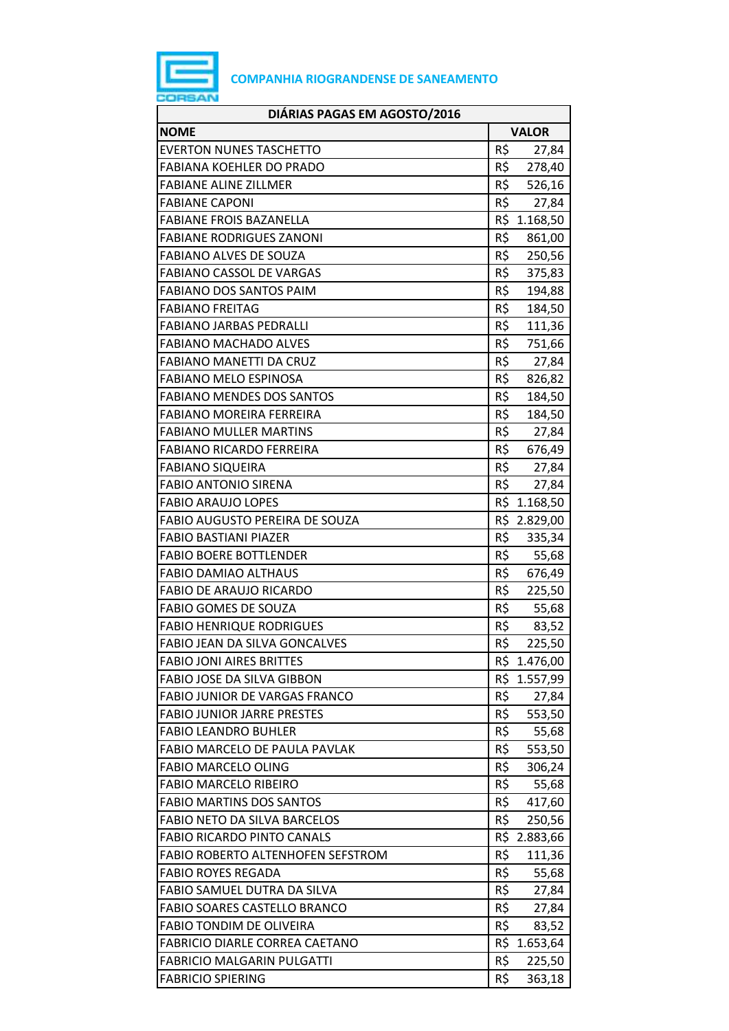

| <b>NOME</b><br><b>VALOR</b><br>R\$<br><b>EVERTON NUNES TASCHETTO</b><br>27,84<br><b>FABIANA KOEHLER DO PRADO</b><br>R\$<br>278,40<br>R\$<br><b>FABIANE ALINE ZILLMER</b><br>526,16<br>R\$<br><b>FABIANE CAPONI</b><br>27,84<br><b>FABIANE FROIS BAZANELLA</b><br>R\$ 1.168,50<br>R\$<br><b>FABIANE RODRIGUES ZANONI</b><br>861,00<br>R\$<br><b>FABIANO ALVES DE SOUZA</b><br>250,56<br>R\$<br><b>FABIANO CASSOL DE VARGAS</b><br>375,83<br>R\$<br><b>FABIANO DOS SANTOS PAIM</b><br>194,88<br><b>FABIANO FREITAG</b><br>R\$<br>184,50<br>R\$<br><b>FABIANO JARBAS PEDRALLI</b><br>111,36<br>R\$<br><b>FABIANO MACHADO ALVES</b><br>751,66<br>R\$<br><b>FABIANO MANETTI DA CRUZ</b><br>27,84<br>R\$<br><b>FABIANO MELO ESPINOSA</b><br>826,82<br>R\$<br><b>FABIANO MENDES DOS SANTOS</b><br>184,50<br>R\$<br><b>FABIANO MOREIRA FERREIRA</b><br>184,50<br>R\$<br><b>FABIANO MULLER MARTINS</b><br>27,84<br>R\$<br><b>FABIANO RICARDO FERREIRA</b><br>676,49<br>R\$<br><b>FABIANO SIQUEIRA</b><br>27,84<br><b>FABIO ANTONIO SIRENA</b><br>R\$<br>27,84<br>R\$<br><b>FABIO ARAUJO LOPES</b><br>1.168,50<br>FABIO AUGUSTO PEREIRA DE SOUZA<br>R\$ 2.829,00<br>R\$<br><b>FABIO BASTIANI PIAZER</b><br>335,34<br>R\$<br><b>FABIO BOERE BOTTLENDER</b><br>55,68<br><b>FABIO DAMIAO ALTHAUS</b><br>R\$<br>676,49<br>R\$<br><b>FABIO DE ARAUJO RICARDO</b><br>225,50<br>R\$<br><b>FABIO GOMES DE SOUZA</b><br>55,68<br>R\$<br><b>FABIO HENRIQUE RODRIGUES</b><br>83,52<br>R\$<br>FABIO JEAN DA SILVA GONCALVES<br>225,50<br><b>FABIO JONI AIRES BRITTES</b><br>R\$ 1.476,00<br>R\$<br>FABIO JOSE DA SILVA GIBBON<br>1.557,99<br>R\$<br><b>FABIO JUNIOR DE VARGAS FRANCO</b><br>27,84<br>R\$<br><b>FABIO JUNIOR JARRE PRESTES</b><br>553,50<br>R\$<br><b>FABIO LEANDRO BUHLER</b><br>55,68<br>R\$<br>FABIO MARCELO DE PAULA PAVLAK<br>553,50<br>R\$<br><b>FABIO MARCELO OLING</b><br>306,24<br>R\$<br><b>FABIO MARCELO RIBEIRO</b><br>55,68<br><b>FABIO MARTINS DOS SANTOS</b><br>R\$<br>417,60<br>R\$<br>FABIO NETO DA SILVA BARCELOS<br>250,56<br><b>FABIO RICARDO PINTO CANALS</b><br>R\$ 2.883,66<br>R\$<br>FABIO ROBERTO ALTENHOFEN SEFSTROM<br>111,36<br>R\$<br><b>FABIO ROYES REGADA</b><br>55,68<br>R\$<br>FABIO SAMUEL DUTRA DA SILVA<br>27,84<br>R\$<br>FABIO SOARES CASTELLO BRANCO<br>27,84<br>R\$<br><b>FABIO TONDIM DE OLIVEIRA</b><br>83,52<br>R\$<br><b>FABRICIO DIARLE CORREA CAETANO</b><br>1.653,64<br>R\$<br><b>FABRICIO MALGARIN PULGATTI</b><br>225,50<br>R\$<br>363,18<br><b>FABRICIO SPIERING</b> | DIÁRIAS PAGAS EM AGOSTO/2016 |  |  |
|-----------------------------------------------------------------------------------------------------------------------------------------------------------------------------------------------------------------------------------------------------------------------------------------------------------------------------------------------------------------------------------------------------------------------------------------------------------------------------------------------------------------------------------------------------------------------------------------------------------------------------------------------------------------------------------------------------------------------------------------------------------------------------------------------------------------------------------------------------------------------------------------------------------------------------------------------------------------------------------------------------------------------------------------------------------------------------------------------------------------------------------------------------------------------------------------------------------------------------------------------------------------------------------------------------------------------------------------------------------------------------------------------------------------------------------------------------------------------------------------------------------------------------------------------------------------------------------------------------------------------------------------------------------------------------------------------------------------------------------------------------------------------------------------------------------------------------------------------------------------------------------------------------------------------------------------------------------------------------------------------------------------------------------------------------------------------------------------------------------------------------------------------------------------------------------------------------------------------------------------------------------------------------------------------------------------------------------------------------------------------------------------------------------------------------------------------------------------------------------------------------------------|------------------------------|--|--|
|                                                                                                                                                                                                                                                                                                                                                                                                                                                                                                                                                                                                                                                                                                                                                                                                                                                                                                                                                                                                                                                                                                                                                                                                                                                                                                                                                                                                                                                                                                                                                                                                                                                                                                                                                                                                                                                                                                                                                                                                                                                                                                                                                                                                                                                                                                                                                                                                                                                                                                                 |                              |  |  |
|                                                                                                                                                                                                                                                                                                                                                                                                                                                                                                                                                                                                                                                                                                                                                                                                                                                                                                                                                                                                                                                                                                                                                                                                                                                                                                                                                                                                                                                                                                                                                                                                                                                                                                                                                                                                                                                                                                                                                                                                                                                                                                                                                                                                                                                                                                                                                                                                                                                                                                                 |                              |  |  |
|                                                                                                                                                                                                                                                                                                                                                                                                                                                                                                                                                                                                                                                                                                                                                                                                                                                                                                                                                                                                                                                                                                                                                                                                                                                                                                                                                                                                                                                                                                                                                                                                                                                                                                                                                                                                                                                                                                                                                                                                                                                                                                                                                                                                                                                                                                                                                                                                                                                                                                                 |                              |  |  |
|                                                                                                                                                                                                                                                                                                                                                                                                                                                                                                                                                                                                                                                                                                                                                                                                                                                                                                                                                                                                                                                                                                                                                                                                                                                                                                                                                                                                                                                                                                                                                                                                                                                                                                                                                                                                                                                                                                                                                                                                                                                                                                                                                                                                                                                                                                                                                                                                                                                                                                                 |                              |  |  |
|                                                                                                                                                                                                                                                                                                                                                                                                                                                                                                                                                                                                                                                                                                                                                                                                                                                                                                                                                                                                                                                                                                                                                                                                                                                                                                                                                                                                                                                                                                                                                                                                                                                                                                                                                                                                                                                                                                                                                                                                                                                                                                                                                                                                                                                                                                                                                                                                                                                                                                                 |                              |  |  |
|                                                                                                                                                                                                                                                                                                                                                                                                                                                                                                                                                                                                                                                                                                                                                                                                                                                                                                                                                                                                                                                                                                                                                                                                                                                                                                                                                                                                                                                                                                                                                                                                                                                                                                                                                                                                                                                                                                                                                                                                                                                                                                                                                                                                                                                                                                                                                                                                                                                                                                                 |                              |  |  |
|                                                                                                                                                                                                                                                                                                                                                                                                                                                                                                                                                                                                                                                                                                                                                                                                                                                                                                                                                                                                                                                                                                                                                                                                                                                                                                                                                                                                                                                                                                                                                                                                                                                                                                                                                                                                                                                                                                                                                                                                                                                                                                                                                                                                                                                                                                                                                                                                                                                                                                                 |                              |  |  |
|                                                                                                                                                                                                                                                                                                                                                                                                                                                                                                                                                                                                                                                                                                                                                                                                                                                                                                                                                                                                                                                                                                                                                                                                                                                                                                                                                                                                                                                                                                                                                                                                                                                                                                                                                                                                                                                                                                                                                                                                                                                                                                                                                                                                                                                                                                                                                                                                                                                                                                                 |                              |  |  |
|                                                                                                                                                                                                                                                                                                                                                                                                                                                                                                                                                                                                                                                                                                                                                                                                                                                                                                                                                                                                                                                                                                                                                                                                                                                                                                                                                                                                                                                                                                                                                                                                                                                                                                                                                                                                                                                                                                                                                                                                                                                                                                                                                                                                                                                                                                                                                                                                                                                                                                                 |                              |  |  |
|                                                                                                                                                                                                                                                                                                                                                                                                                                                                                                                                                                                                                                                                                                                                                                                                                                                                                                                                                                                                                                                                                                                                                                                                                                                                                                                                                                                                                                                                                                                                                                                                                                                                                                                                                                                                                                                                                                                                                                                                                                                                                                                                                                                                                                                                                                                                                                                                                                                                                                                 |                              |  |  |
|                                                                                                                                                                                                                                                                                                                                                                                                                                                                                                                                                                                                                                                                                                                                                                                                                                                                                                                                                                                                                                                                                                                                                                                                                                                                                                                                                                                                                                                                                                                                                                                                                                                                                                                                                                                                                                                                                                                                                                                                                                                                                                                                                                                                                                                                                                                                                                                                                                                                                                                 |                              |  |  |
|                                                                                                                                                                                                                                                                                                                                                                                                                                                                                                                                                                                                                                                                                                                                                                                                                                                                                                                                                                                                                                                                                                                                                                                                                                                                                                                                                                                                                                                                                                                                                                                                                                                                                                                                                                                                                                                                                                                                                                                                                                                                                                                                                                                                                                                                                                                                                                                                                                                                                                                 |                              |  |  |
|                                                                                                                                                                                                                                                                                                                                                                                                                                                                                                                                                                                                                                                                                                                                                                                                                                                                                                                                                                                                                                                                                                                                                                                                                                                                                                                                                                                                                                                                                                                                                                                                                                                                                                                                                                                                                                                                                                                                                                                                                                                                                                                                                                                                                                                                                                                                                                                                                                                                                                                 |                              |  |  |
|                                                                                                                                                                                                                                                                                                                                                                                                                                                                                                                                                                                                                                                                                                                                                                                                                                                                                                                                                                                                                                                                                                                                                                                                                                                                                                                                                                                                                                                                                                                                                                                                                                                                                                                                                                                                                                                                                                                                                                                                                                                                                                                                                                                                                                                                                                                                                                                                                                                                                                                 |                              |  |  |
|                                                                                                                                                                                                                                                                                                                                                                                                                                                                                                                                                                                                                                                                                                                                                                                                                                                                                                                                                                                                                                                                                                                                                                                                                                                                                                                                                                                                                                                                                                                                                                                                                                                                                                                                                                                                                                                                                                                                                                                                                                                                                                                                                                                                                                                                                                                                                                                                                                                                                                                 |                              |  |  |
|                                                                                                                                                                                                                                                                                                                                                                                                                                                                                                                                                                                                                                                                                                                                                                                                                                                                                                                                                                                                                                                                                                                                                                                                                                                                                                                                                                                                                                                                                                                                                                                                                                                                                                                                                                                                                                                                                                                                                                                                                                                                                                                                                                                                                                                                                                                                                                                                                                                                                                                 |                              |  |  |
|                                                                                                                                                                                                                                                                                                                                                                                                                                                                                                                                                                                                                                                                                                                                                                                                                                                                                                                                                                                                                                                                                                                                                                                                                                                                                                                                                                                                                                                                                                                                                                                                                                                                                                                                                                                                                                                                                                                                                                                                                                                                                                                                                                                                                                                                                                                                                                                                                                                                                                                 |                              |  |  |
|                                                                                                                                                                                                                                                                                                                                                                                                                                                                                                                                                                                                                                                                                                                                                                                                                                                                                                                                                                                                                                                                                                                                                                                                                                                                                                                                                                                                                                                                                                                                                                                                                                                                                                                                                                                                                                                                                                                                                                                                                                                                                                                                                                                                                                                                                                                                                                                                                                                                                                                 |                              |  |  |
|                                                                                                                                                                                                                                                                                                                                                                                                                                                                                                                                                                                                                                                                                                                                                                                                                                                                                                                                                                                                                                                                                                                                                                                                                                                                                                                                                                                                                                                                                                                                                                                                                                                                                                                                                                                                                                                                                                                                                                                                                                                                                                                                                                                                                                                                                                                                                                                                                                                                                                                 |                              |  |  |
|                                                                                                                                                                                                                                                                                                                                                                                                                                                                                                                                                                                                                                                                                                                                                                                                                                                                                                                                                                                                                                                                                                                                                                                                                                                                                                                                                                                                                                                                                                                                                                                                                                                                                                                                                                                                                                                                                                                                                                                                                                                                                                                                                                                                                                                                                                                                                                                                                                                                                                                 |                              |  |  |
|                                                                                                                                                                                                                                                                                                                                                                                                                                                                                                                                                                                                                                                                                                                                                                                                                                                                                                                                                                                                                                                                                                                                                                                                                                                                                                                                                                                                                                                                                                                                                                                                                                                                                                                                                                                                                                                                                                                                                                                                                                                                                                                                                                                                                                                                                                                                                                                                                                                                                                                 |                              |  |  |
|                                                                                                                                                                                                                                                                                                                                                                                                                                                                                                                                                                                                                                                                                                                                                                                                                                                                                                                                                                                                                                                                                                                                                                                                                                                                                                                                                                                                                                                                                                                                                                                                                                                                                                                                                                                                                                                                                                                                                                                                                                                                                                                                                                                                                                                                                                                                                                                                                                                                                                                 |                              |  |  |
|                                                                                                                                                                                                                                                                                                                                                                                                                                                                                                                                                                                                                                                                                                                                                                                                                                                                                                                                                                                                                                                                                                                                                                                                                                                                                                                                                                                                                                                                                                                                                                                                                                                                                                                                                                                                                                                                                                                                                                                                                                                                                                                                                                                                                                                                                                                                                                                                                                                                                                                 |                              |  |  |
|                                                                                                                                                                                                                                                                                                                                                                                                                                                                                                                                                                                                                                                                                                                                                                                                                                                                                                                                                                                                                                                                                                                                                                                                                                                                                                                                                                                                                                                                                                                                                                                                                                                                                                                                                                                                                                                                                                                                                                                                                                                                                                                                                                                                                                                                                                                                                                                                                                                                                                                 |                              |  |  |
|                                                                                                                                                                                                                                                                                                                                                                                                                                                                                                                                                                                                                                                                                                                                                                                                                                                                                                                                                                                                                                                                                                                                                                                                                                                                                                                                                                                                                                                                                                                                                                                                                                                                                                                                                                                                                                                                                                                                                                                                                                                                                                                                                                                                                                                                                                                                                                                                                                                                                                                 |                              |  |  |
|                                                                                                                                                                                                                                                                                                                                                                                                                                                                                                                                                                                                                                                                                                                                                                                                                                                                                                                                                                                                                                                                                                                                                                                                                                                                                                                                                                                                                                                                                                                                                                                                                                                                                                                                                                                                                                                                                                                                                                                                                                                                                                                                                                                                                                                                                                                                                                                                                                                                                                                 |                              |  |  |
|                                                                                                                                                                                                                                                                                                                                                                                                                                                                                                                                                                                                                                                                                                                                                                                                                                                                                                                                                                                                                                                                                                                                                                                                                                                                                                                                                                                                                                                                                                                                                                                                                                                                                                                                                                                                                                                                                                                                                                                                                                                                                                                                                                                                                                                                                                                                                                                                                                                                                                                 |                              |  |  |
|                                                                                                                                                                                                                                                                                                                                                                                                                                                                                                                                                                                                                                                                                                                                                                                                                                                                                                                                                                                                                                                                                                                                                                                                                                                                                                                                                                                                                                                                                                                                                                                                                                                                                                                                                                                                                                                                                                                                                                                                                                                                                                                                                                                                                                                                                                                                                                                                                                                                                                                 |                              |  |  |
|                                                                                                                                                                                                                                                                                                                                                                                                                                                                                                                                                                                                                                                                                                                                                                                                                                                                                                                                                                                                                                                                                                                                                                                                                                                                                                                                                                                                                                                                                                                                                                                                                                                                                                                                                                                                                                                                                                                                                                                                                                                                                                                                                                                                                                                                                                                                                                                                                                                                                                                 |                              |  |  |
|                                                                                                                                                                                                                                                                                                                                                                                                                                                                                                                                                                                                                                                                                                                                                                                                                                                                                                                                                                                                                                                                                                                                                                                                                                                                                                                                                                                                                                                                                                                                                                                                                                                                                                                                                                                                                                                                                                                                                                                                                                                                                                                                                                                                                                                                                                                                                                                                                                                                                                                 |                              |  |  |
|                                                                                                                                                                                                                                                                                                                                                                                                                                                                                                                                                                                                                                                                                                                                                                                                                                                                                                                                                                                                                                                                                                                                                                                                                                                                                                                                                                                                                                                                                                                                                                                                                                                                                                                                                                                                                                                                                                                                                                                                                                                                                                                                                                                                                                                                                                                                                                                                                                                                                                                 |                              |  |  |
|                                                                                                                                                                                                                                                                                                                                                                                                                                                                                                                                                                                                                                                                                                                                                                                                                                                                                                                                                                                                                                                                                                                                                                                                                                                                                                                                                                                                                                                                                                                                                                                                                                                                                                                                                                                                                                                                                                                                                                                                                                                                                                                                                                                                                                                                                                                                                                                                                                                                                                                 |                              |  |  |
|                                                                                                                                                                                                                                                                                                                                                                                                                                                                                                                                                                                                                                                                                                                                                                                                                                                                                                                                                                                                                                                                                                                                                                                                                                                                                                                                                                                                                                                                                                                                                                                                                                                                                                                                                                                                                                                                                                                                                                                                                                                                                                                                                                                                                                                                                                                                                                                                                                                                                                                 |                              |  |  |
|                                                                                                                                                                                                                                                                                                                                                                                                                                                                                                                                                                                                                                                                                                                                                                                                                                                                                                                                                                                                                                                                                                                                                                                                                                                                                                                                                                                                                                                                                                                                                                                                                                                                                                                                                                                                                                                                                                                                                                                                                                                                                                                                                                                                                                                                                                                                                                                                                                                                                                                 |                              |  |  |
|                                                                                                                                                                                                                                                                                                                                                                                                                                                                                                                                                                                                                                                                                                                                                                                                                                                                                                                                                                                                                                                                                                                                                                                                                                                                                                                                                                                                                                                                                                                                                                                                                                                                                                                                                                                                                                                                                                                                                                                                                                                                                                                                                                                                                                                                                                                                                                                                                                                                                                                 |                              |  |  |
|                                                                                                                                                                                                                                                                                                                                                                                                                                                                                                                                                                                                                                                                                                                                                                                                                                                                                                                                                                                                                                                                                                                                                                                                                                                                                                                                                                                                                                                                                                                                                                                                                                                                                                                                                                                                                                                                                                                                                                                                                                                                                                                                                                                                                                                                                                                                                                                                                                                                                                                 |                              |  |  |
|                                                                                                                                                                                                                                                                                                                                                                                                                                                                                                                                                                                                                                                                                                                                                                                                                                                                                                                                                                                                                                                                                                                                                                                                                                                                                                                                                                                                                                                                                                                                                                                                                                                                                                                                                                                                                                                                                                                                                                                                                                                                                                                                                                                                                                                                                                                                                                                                                                                                                                                 |                              |  |  |
|                                                                                                                                                                                                                                                                                                                                                                                                                                                                                                                                                                                                                                                                                                                                                                                                                                                                                                                                                                                                                                                                                                                                                                                                                                                                                                                                                                                                                                                                                                                                                                                                                                                                                                                                                                                                                                                                                                                                                                                                                                                                                                                                                                                                                                                                                                                                                                                                                                                                                                                 |                              |  |  |
|                                                                                                                                                                                                                                                                                                                                                                                                                                                                                                                                                                                                                                                                                                                                                                                                                                                                                                                                                                                                                                                                                                                                                                                                                                                                                                                                                                                                                                                                                                                                                                                                                                                                                                                                                                                                                                                                                                                                                                                                                                                                                                                                                                                                                                                                                                                                                                                                                                                                                                                 |                              |  |  |
|                                                                                                                                                                                                                                                                                                                                                                                                                                                                                                                                                                                                                                                                                                                                                                                                                                                                                                                                                                                                                                                                                                                                                                                                                                                                                                                                                                                                                                                                                                                                                                                                                                                                                                                                                                                                                                                                                                                                                                                                                                                                                                                                                                                                                                                                                                                                                                                                                                                                                                                 |                              |  |  |
|                                                                                                                                                                                                                                                                                                                                                                                                                                                                                                                                                                                                                                                                                                                                                                                                                                                                                                                                                                                                                                                                                                                                                                                                                                                                                                                                                                                                                                                                                                                                                                                                                                                                                                                                                                                                                                                                                                                                                                                                                                                                                                                                                                                                                                                                                                                                                                                                                                                                                                                 |                              |  |  |
|                                                                                                                                                                                                                                                                                                                                                                                                                                                                                                                                                                                                                                                                                                                                                                                                                                                                                                                                                                                                                                                                                                                                                                                                                                                                                                                                                                                                                                                                                                                                                                                                                                                                                                                                                                                                                                                                                                                                                                                                                                                                                                                                                                                                                                                                                                                                                                                                                                                                                                                 |                              |  |  |
|                                                                                                                                                                                                                                                                                                                                                                                                                                                                                                                                                                                                                                                                                                                                                                                                                                                                                                                                                                                                                                                                                                                                                                                                                                                                                                                                                                                                                                                                                                                                                                                                                                                                                                                                                                                                                                                                                                                                                                                                                                                                                                                                                                                                                                                                                                                                                                                                                                                                                                                 |                              |  |  |
|                                                                                                                                                                                                                                                                                                                                                                                                                                                                                                                                                                                                                                                                                                                                                                                                                                                                                                                                                                                                                                                                                                                                                                                                                                                                                                                                                                                                                                                                                                                                                                                                                                                                                                                                                                                                                                                                                                                                                                                                                                                                                                                                                                                                                                                                                                                                                                                                                                                                                                                 |                              |  |  |
|                                                                                                                                                                                                                                                                                                                                                                                                                                                                                                                                                                                                                                                                                                                                                                                                                                                                                                                                                                                                                                                                                                                                                                                                                                                                                                                                                                                                                                                                                                                                                                                                                                                                                                                                                                                                                                                                                                                                                                                                                                                                                                                                                                                                                                                                                                                                                                                                                                                                                                                 |                              |  |  |
|                                                                                                                                                                                                                                                                                                                                                                                                                                                                                                                                                                                                                                                                                                                                                                                                                                                                                                                                                                                                                                                                                                                                                                                                                                                                                                                                                                                                                                                                                                                                                                                                                                                                                                                                                                                                                                                                                                                                                                                                                                                                                                                                                                                                                                                                                                                                                                                                                                                                                                                 |                              |  |  |
|                                                                                                                                                                                                                                                                                                                                                                                                                                                                                                                                                                                                                                                                                                                                                                                                                                                                                                                                                                                                                                                                                                                                                                                                                                                                                                                                                                                                                                                                                                                                                                                                                                                                                                                                                                                                                                                                                                                                                                                                                                                                                                                                                                                                                                                                                                                                                                                                                                                                                                                 |                              |  |  |
|                                                                                                                                                                                                                                                                                                                                                                                                                                                                                                                                                                                                                                                                                                                                                                                                                                                                                                                                                                                                                                                                                                                                                                                                                                                                                                                                                                                                                                                                                                                                                                                                                                                                                                                                                                                                                                                                                                                                                                                                                                                                                                                                                                                                                                                                                                                                                                                                                                                                                                                 |                              |  |  |
|                                                                                                                                                                                                                                                                                                                                                                                                                                                                                                                                                                                                                                                                                                                                                                                                                                                                                                                                                                                                                                                                                                                                                                                                                                                                                                                                                                                                                                                                                                                                                                                                                                                                                                                                                                                                                                                                                                                                                                                                                                                                                                                                                                                                                                                                                                                                                                                                                                                                                                                 |                              |  |  |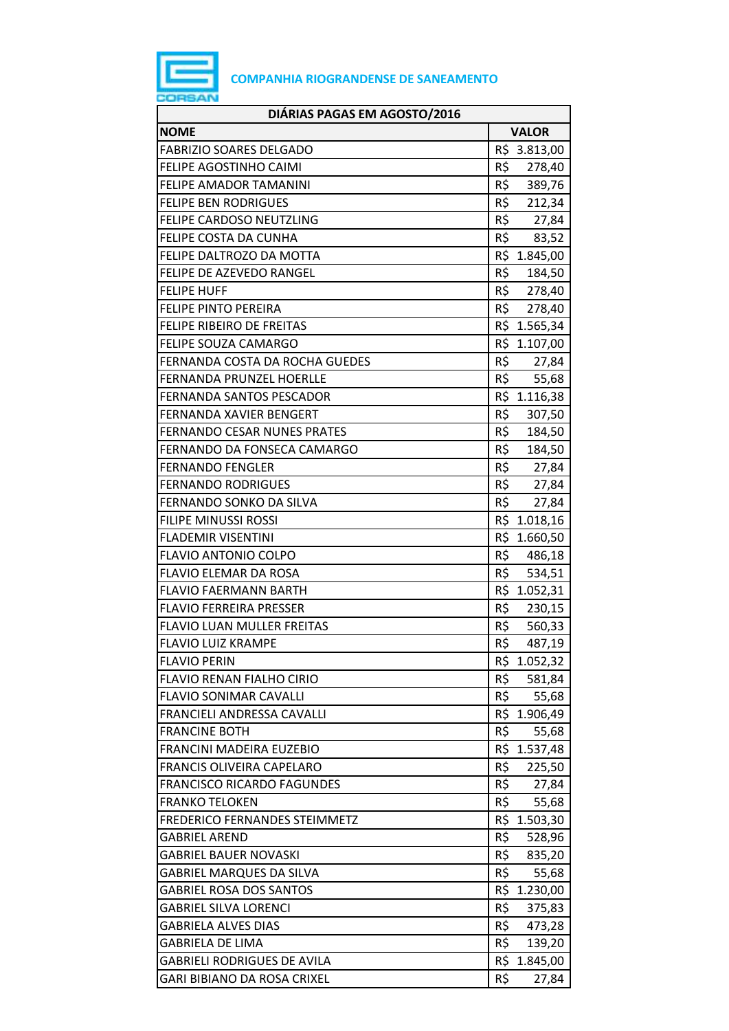

| DIÁRIAS PAGAS EM AGOSTO/2016       |                 |
|------------------------------------|-----------------|
| <b>NOME</b>                        | <b>VALOR</b>    |
| <b>FABRIZIO SOARES DELGADO</b>     | R\$ 3.813,00    |
| FELIPE AGOSTINHO CAIMI             | R\$<br>278,40   |
| FELIPE AMADOR TAMANINI             | R\$<br>389,76   |
| <b>FELIPE BEN RODRIGUES</b>        | R\$<br>212,34   |
| FELIPE CARDOSO NEUTZLING           | R\$ 27,84       |
| FELIPE COSTA DA CUNHA              | R\$<br>83,52    |
| FELIPE DALTROZO DA MOTTA           | R\$ 1.845,00    |
| FELIPE DE AZEVEDO RANGEL           | R\$<br>184,50   |
| <b>FELIPE HUFF</b>                 | R\$ 278,40      |
| <b>FELIPE PINTO PEREIRA</b>        | R\$ 278,40      |
| FELIPE RIBEIRO DE FREITAS          | R\$ 1.565,34    |
| <b>FELIPE SOUZA CAMARGO</b>        | R\$ 1.107,00    |
| FERNANDA COSTA DA ROCHA GUEDES     | R\$<br>27,84    |
| <b>FERNANDA PRUNZEL HOERLLE</b>    | R\$<br>55,68    |
| <b>FERNANDA SANTOS PESCADOR</b>    | R\$ 1.116,38    |
| FERNANDA XAVIER BENGERT            | R\$<br>307,50   |
| <b>FERNANDO CESAR NUNES PRATES</b> | R\$<br>184,50   |
| FERNANDO DA FONSECA CAMARGO        | R\$<br>184,50   |
| <b>FERNANDO FENGLER</b>            | R\$ 27,84       |
| <b>FERNANDO RODRIGUES</b>          | R\$<br>27,84    |
| FERNANDO SONKO DA SILVA            | R\$<br>27,84    |
| <b>FILIPE MINUSSI ROSSI</b>        | R\$ 1.018,16    |
| <b>FLADEMIR VISENTINI</b>          | R\$ 1.660,50    |
| <b>FLAVIO ANTONIO COLPO</b>        | R\$ 486,18      |
| FLAVIO ELEMAR DA ROSA              | R\$ 534,51      |
| <b>FLAVIO FAERMANN BARTH</b>       | R\$ 1.052,31    |
| <b>FLAVIO FERREIRA PRESSER</b>     | R\$<br>230,15   |
| <b>FLAVIO LUAN MULLER FREITAS</b>  | R\$<br>560,33   |
| <b>FLAVIO LUIZ KRAMPE</b>          | R\$<br>487,19   |
| <b>FLAVIO PERIN</b>                | R\$<br>1.052,32 |
| <b>FLAVIO RENAN FIALHO CIRIO</b>   | R\$<br>581,84   |
| <b>FLAVIO SONIMAR CAVALLI</b>      | R\$<br>55,68    |
| FRANCIELI ANDRESSA CAVALLI         | R\$ 1.906,49    |
| <b>FRANCINE BOTH</b>               | R\$<br>55,68    |
| FRANCINI MADEIRA EUZEBIO           | R\$<br>1.537,48 |
| <b>FRANCIS OLIVEIRA CAPELARO</b>   | R\$<br>225,50   |
| <b>FRANCISCO RICARDO FAGUNDES</b>  | R\$<br>27,84    |
| <b>FRANKO TELOKEN</b>              | R\$<br>55,68    |
| FREDERICO FERNANDES STEIMMETZ      | R\$ 1.503,30    |
| <b>GABRIEL AREND</b>               | R\$<br>528,96   |
| <b>GABRIEL BAUER NOVASKI</b>       | R\$<br>835,20   |
| <b>GABRIEL MARQUES DA SILVA</b>    | R\$<br>55,68    |
| <b>GABRIEL ROSA DOS SANTOS</b>     | R\$ 1.230,00    |
| <b>GABRIEL SILVA LORENCI</b>       | R\$<br>375,83   |
| <b>GABRIELA ALVES DIAS</b>         | R\$<br>473,28   |
| <b>GABRIELA DE LIMA</b>            | R\$<br>139,20   |
| <b>GABRIELI RODRIGUES DE AVILA</b> | R\$ 1.845,00    |
| GARI BIBIANO DA ROSA CRIXEL        | R\$<br>27,84    |
|                                    |                 |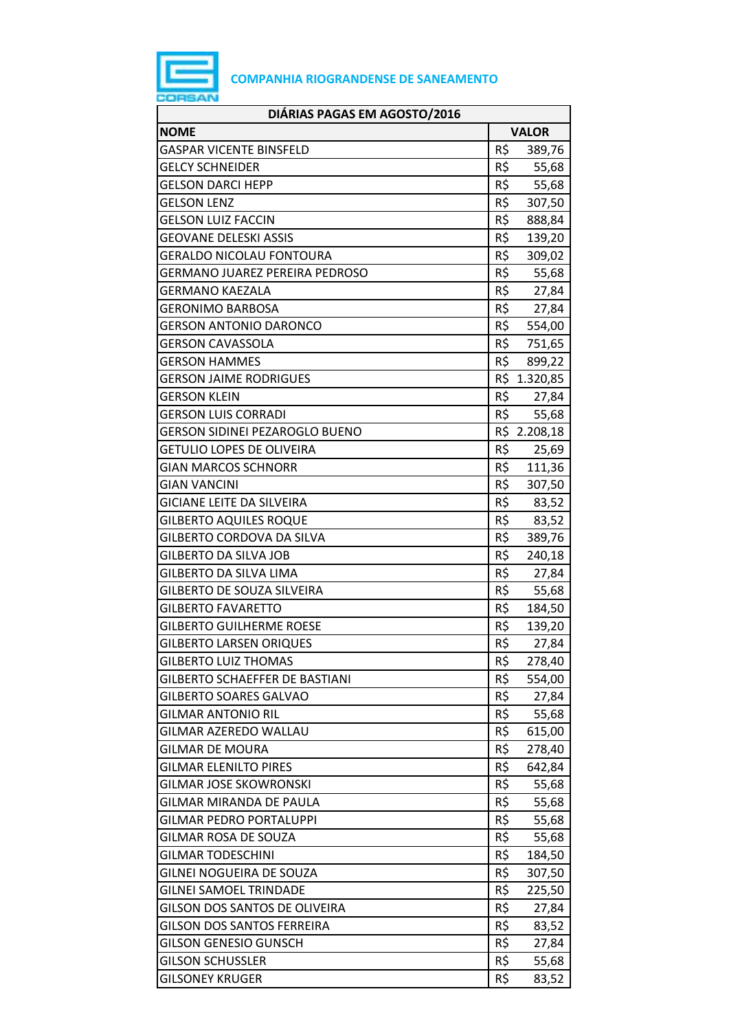

| DIÁRIAS PAGAS EM AGOSTO/2016          |     |              |
|---------------------------------------|-----|--------------|
| <b>NOME</b>                           |     | <b>VALOR</b> |
| <b>GASPAR VICENTE BINSFELD</b>        | R\$ | 389,76       |
| <b>GELCY SCHNEIDER</b>                | R\$ | 55,68        |
| <b>GELSON DARCI HEPP</b>              | R\$ | 55,68        |
| <b>GELSON LENZ</b>                    | R\$ | 307,50       |
| <b>GELSON LUIZ FACCIN</b>             | R\$ | 888,84       |
| GEOVANE DELESKI ASSIS                 | R\$ | 139,20       |
| <b>GERALDO NICOLAU FONTOURA</b>       | R\$ | 309,02       |
| <b>GERMANO JUAREZ PEREIRA PEDROSO</b> | R\$ | 55,68        |
| GERMANO KAEZALA                       | R\$ | 27,84        |
| <b>GERONIMO BARBOSA</b>               | R\$ | 27,84        |
| <b>GERSON ANTONIO DARONCO</b>         | R\$ | 554,00       |
| GERSON CAVASSOLA                      | R\$ | 751,65       |
| <b>GERSON HAMMES</b>                  | R\$ | 899,22       |
| GERSON JAIME RODRIGUES                |     | R\$ 1.320,85 |
| <b>GERSON KLEIN</b>                   | R\$ | 27,84        |
| <b>GERSON LUIS CORRADI</b>            | R\$ | 55,68        |
| GERSON SIDINEI PEZAROGLO BUENO        |     | R\$ 2.208,18 |
| <b>GETULIO LOPES DE OLIVEIRA</b>      | R\$ | 25,69        |
| <b>GIAN MARCOS SCHNORR</b>            | R\$ | 111,36       |
| <b>GIAN VANCINI</b>                   | R\$ | 307,50       |
| <b>GICIANE LEITE DA SILVEIRA</b>      | R\$ | 83,52        |
| <b>GILBERTO AQUILES ROQUE</b>         | R\$ | 83,52        |
| GILBERTO CORDOVA DA SILVA             | R\$ | 389,76       |
| <b>GILBERTO DA SILVA JOB</b>          | R\$ | 240,18       |
| <b>GILBERTO DA SILVA LIMA</b>         | R\$ | 27,84        |
| GILBERTO DE SOUZA SILVEIRA            | R\$ | 55,68        |
| <b>GILBERTO FAVARETTO</b>             | R\$ | 184,50       |
| <b>GILBERTO GUILHERME ROESE</b>       | R\$ | 139,20       |
| <b>GILBERTO LARSEN ORIQUES</b>        | R\$ | 27,84        |
| <b>GILBERTO LUIZ THOMAS</b>           | R\$ | 278,40       |
| GILBERTO SCHAEFFER DE BASTIANI        | R\$ | 554,00       |
| <b>GILBERTO SOARES GALVAO</b>         | R\$ | 27,84        |
| <b>GILMAR ANTONIO RIL</b>             | R\$ | 55,68        |
| GILMAR AZEREDO WALLAU                 | R\$ | 615,00       |
| <b>GILMAR DE MOURA</b>                | R\$ | 278,40       |
| <b>GILMAR ELENILTO PIRES</b>          | R\$ | 642,84       |
| <b>GILMAR JOSE SKOWRONSKI</b>         | R\$ | 55,68        |
| GILMAR MIRANDA DE PAULA               | R\$ | 55,68        |
| <b>GILMAR PEDRO PORTALUPPI</b>        | R\$ | 55,68        |
| <b>GILMAR ROSA DE SOUZA</b>           | R\$ | 55,68        |
| <b>GILMAR TODESCHINI</b>              | R\$ | 184,50       |
| GILNEI NOGUEIRA DE SOUZA              | R\$ | 307,50       |
| <b>GILNEI SAMOEL TRINDADE</b>         | R\$ | 225,50       |
| GILSON DOS SANTOS DE OLIVEIRA         | R\$ | 27,84        |
| <b>GILSON DOS SANTOS FERREIRA</b>     | R\$ | 83,52        |
| <b>GILSON GENESIO GUNSCH</b>          | R\$ | 27,84        |
| <b>GILSON SCHUSSLER</b>               | R\$ | 55,68        |
| <b>GILSONEY KRUGER</b>                | R\$ | 83,52        |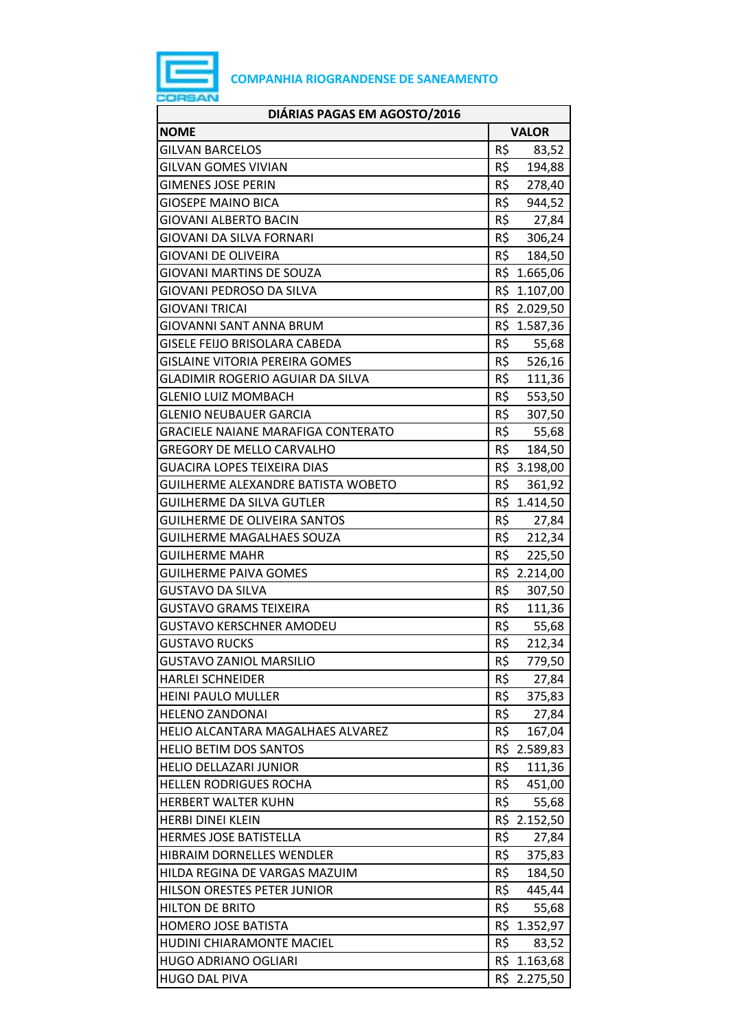

| DIÁRIAS PAGAS EM AGOSTO/2016              |               |  |
|-------------------------------------------|---------------|--|
| <b>NOME</b>                               | <b>VALOR</b>  |  |
| <b>GILVAN BARCELOS</b>                    | R\$<br>83,52  |  |
| <b>GILVAN GOMES VIVIAN</b>                | R\$<br>194,88 |  |
| <b>GIMENES JOSE PERIN</b>                 | R\$<br>278,40 |  |
| <b>GIOSEPE MAINO BICA</b>                 | R\$<br>944,52 |  |
| <b>GIOVANI ALBERTO BACIN</b>              | R\$<br>27,84  |  |
| <b>GIOVANI DA SILVA FORNARI</b>           | R\$<br>306,24 |  |
| <b>GIOVANI DE OLIVEIRA</b>                | R\$<br>184,50 |  |
| <b>GIOVANI MARTINS DE SOUZA</b>           | R\$ 1.665,06  |  |
| GIOVANI PEDROSO DA SILVA                  | R\$ 1.107,00  |  |
| <b>GIOVANI TRICAI</b>                     | R\$ 2.029,50  |  |
| <b>GIOVANNI SANT ANNA BRUM</b>            | R\$ 1.587,36  |  |
| <b>GISELE FEIJO BRISOLARA CABEDA</b>      | R\$<br>55,68  |  |
| <b>GISLAINE VITORIA PEREIRA GOMES</b>     | 526,16<br>R\$ |  |
| GLADIMIR ROGERIO AGUIAR DA SILVA          | R\$<br>111,36 |  |
| <b>GLENIO LUIZ MOMBACH</b>                | R\$<br>553,50 |  |
| <b>GLENIO NEUBAUER GARCIA</b>             | R\$<br>307,50 |  |
| <b>GRACIELE NAIANE MARAFIGA CONTERATO</b> | R\$<br>55,68  |  |
| <b>GREGORY DE MELLO CARVALHO</b>          | R\$<br>184,50 |  |
| <b>GUACIRA LOPES TEIXEIRA DIAS</b>        | R\$ 3.198,00  |  |
| <b>GUILHERME ALEXANDRE BATISTA WOBETO</b> | R\$<br>361,92 |  |
| <b>GUILHERME DA SILVA GUTLER</b>          | R\$ 1.414,50  |  |
| <b>GUILHERME DE OLIVEIRA SANTOS</b>       | R\$<br>27,84  |  |
| <b>GUILHERME MAGALHAES SOUZA</b>          | R\$<br>212,34 |  |
| <b>GUILHERME MAHR</b>                     | R\$<br>225,50 |  |
| <b>GUILHERME PAIVA GOMES</b>              | R\$ 2.214,00  |  |
| <b>GUSTAVO DA SILVA</b>                   | R\$<br>307,50 |  |
| <b>GUSTAVO GRAMS TEIXEIRA</b>             | R\$<br>111,36 |  |
| <b>GUSTAVO KERSCHNER AMODEU</b>           | R\$<br>55,68  |  |
| <b>GUSTAVO RUCKS</b>                      | R\$<br>212,34 |  |
| <b>GUSTAVO ZANIOL MARSILIO</b>            | R\$<br>779,50 |  |
| <b>HARLEI SCHNEIDER</b>                   | R\$<br>27,84  |  |
| <b>HEINI PAULO MULLER</b>                 | R\$<br>375,83 |  |
| <b>HELENO ZANDONAI</b>                    | R\$<br>27,84  |  |
| HELIO ALCANTARA MAGALHAES ALVAREZ         | R\$<br>167,04 |  |
| <b>HELIO BETIM DOS SANTOS</b>             | R\$ 2.589,83  |  |
| <b>HELIO DELLAZARI JUNIOR</b>             | R\$<br>111,36 |  |
| <b>HELLEN RODRIGUES ROCHA</b>             | R\$<br>451,00 |  |
| HERBERT WALTER KUHN                       | R\$<br>55,68  |  |
| <b>HERBI DINEI KLEIN</b>                  | R\$ 2.152,50  |  |
| <b>HERMES JOSE BATISTELLA</b>             | R\$<br>27,84  |  |
| HIBRAIM DORNELLES WENDLER                 | R\$<br>375,83 |  |
| HILDA REGINA DE VARGAS MAZUIM             | R\$<br>184,50 |  |
| HILSON ORESTES PETER JUNIOR               | R\$<br>445,44 |  |
| <b>HILTON DE BRITO</b>                    | R\$<br>55,68  |  |
| <b>HOMERO JOSE BATISTA</b>                | R\$ 1.352,97  |  |
| HUDINI CHIARAMONTE MACIEL                 | R\$<br>83,52  |  |
| <b>HUGO ADRIANO OGLIARI</b>               | R\$ 1.163,68  |  |
| <b>HUGO DAL PIVA</b>                      | R\$ 2.275,50  |  |
|                                           |               |  |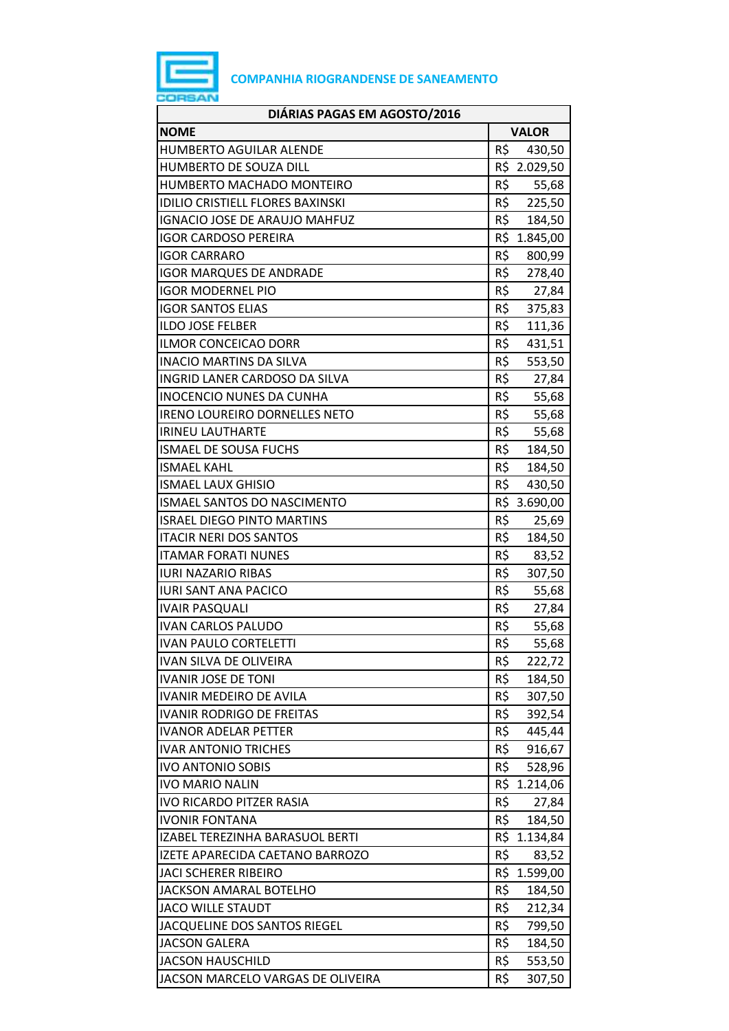

| DIÁRIAS PAGAS EM AGOSTO/2016            |     |              |
|-----------------------------------------|-----|--------------|
| <b>NOME</b>                             |     | <b>VALOR</b> |
| <b>HUMBERTO AGUILAR ALENDE</b>          | R\$ | 430,50       |
| HUMBERTO DE SOUZA DILL                  |     | R\$ 2.029,50 |
| HUMBERTO MACHADO MONTEIRO               | R\$ | 55,68        |
| <b>IDILIO CRISTIELL FLORES BAXINSKI</b> | R\$ | 225,50       |
| IGNACIO JOSE DE ARAUJO MAHFUZ           |     | R\$ 184,50   |
| <b>IGOR CARDOSO PEREIRA</b>             |     | R\$ 1.845,00 |
| <b>IGOR CARRARO</b>                     | R\$ | 800,99       |
| <b>IGOR MARQUES DE ANDRADE</b>          | R\$ | 278,40       |
| <b>IGOR MODERNEL PIO</b>                |     | R\$<br>27,84 |
| <b>IGOR SANTOS ELIAS</b>                | R\$ | 375,83       |
| <b>ILDO JOSE FELBER</b>                 | R\$ | 111,36       |
| <b>ILMOR CONCEICAO DORR</b>             | R\$ | 431,51       |
| <b>INACIO MARTINS DA SILVA</b>          | R\$ | 553,50       |
| INGRID LANER CARDOSO DA SILVA           | R\$ | 27,84        |
| <b>INOCENCIO NUNES DA CUNHA</b>         | R\$ | 55,68        |
| <b>IRENO LOUREIRO DORNELLES NETO</b>    | R\$ | 55,68        |
| <b>IRINEU LAUTHARTE</b>                 | R\$ | 55,68        |
| <b>ISMAEL DE SOUSA FUCHS</b>            | R\$ | 184,50       |
| <b>ISMAEL KAHL</b>                      | R\$ | 184,50       |
| <b>ISMAEL LAUX GHISIO</b>               | R\$ | 430,50       |
| ISMAEL SANTOS DO NASCIMENTO             |     | R\$ 3.690,00 |
| <b>ISRAEL DIEGO PINTO MARTINS</b>       | R\$ | 25,69        |
| <b>ITACIR NERI DOS SANTOS</b>           | R\$ | 184,50       |
| <b>ITAMAR FORATI NUNES</b>              | R\$ | 83,52        |
| <b>IURI NAZARIO RIBAS</b>               | R\$ | 307,50       |
| <b>IURI SANT ANA PACICO</b>             | R\$ | 55,68        |
| <b>IVAIR PASQUALI</b>                   | R\$ | 27,84        |
| <b>IVAN CARLOS PALUDO</b>               | R\$ | 55,68        |
| <b>IVAN PAULO CORTELETTI</b>            | R\$ | 55,68        |
| <b>IVAN SILVA DE OLIVEIRA</b>           | R\$ | 222,72       |
| <b>IVANIR JOSE DE TONI</b>              | R\$ | 184,50       |
| <b>IVANIR MEDEIRO DE AVILA</b>          | R\$ | 307,50       |
| <b>IVANIR RODRIGO DE FREITAS</b>        | R\$ | 392,54       |
| <b>IVANOR ADELAR PETTER</b>             | R\$ | 445,44       |
| <b>IVAR ANTONIO TRICHES</b>             | R\$ | 916,67       |
| <b>IVO ANTONIO SOBIS</b>                | R\$ | 528,96       |
| <b>IVO MARIO NALIN</b>                  |     | R\$ 1.214,06 |
| <b>IVO RICARDO PITZER RASIA</b>         | R\$ | 27,84        |
| <b>IVONIR FONTANA</b>                   | R\$ | 184,50       |
| IZABEL TEREZINHA BARASUOL BERTI         |     | R\$ 1.134,84 |
| IZETE APARECIDA CAETANO BARROZO         | R\$ | 83,52        |
| <b>JACI SCHERER RIBEIRO</b>             |     | R\$ 1.599,00 |
| <b>JACKSON AMARAL BOTELHO</b>           | R\$ | 184,50       |
| <b>JACO WILLE STAUDT</b>                | R\$ | 212,34       |
| JACQUELINE DOS SANTOS RIEGEL            | R\$ | 799,50       |
| <b>JACSON GALERA</b>                    | R\$ | 184,50       |
| <b>JACSON HAUSCHILD</b>                 | R\$ | 553,50       |
| JACSON MARCELO VARGAS DE OLIVEIRA       | R\$ | 307,50       |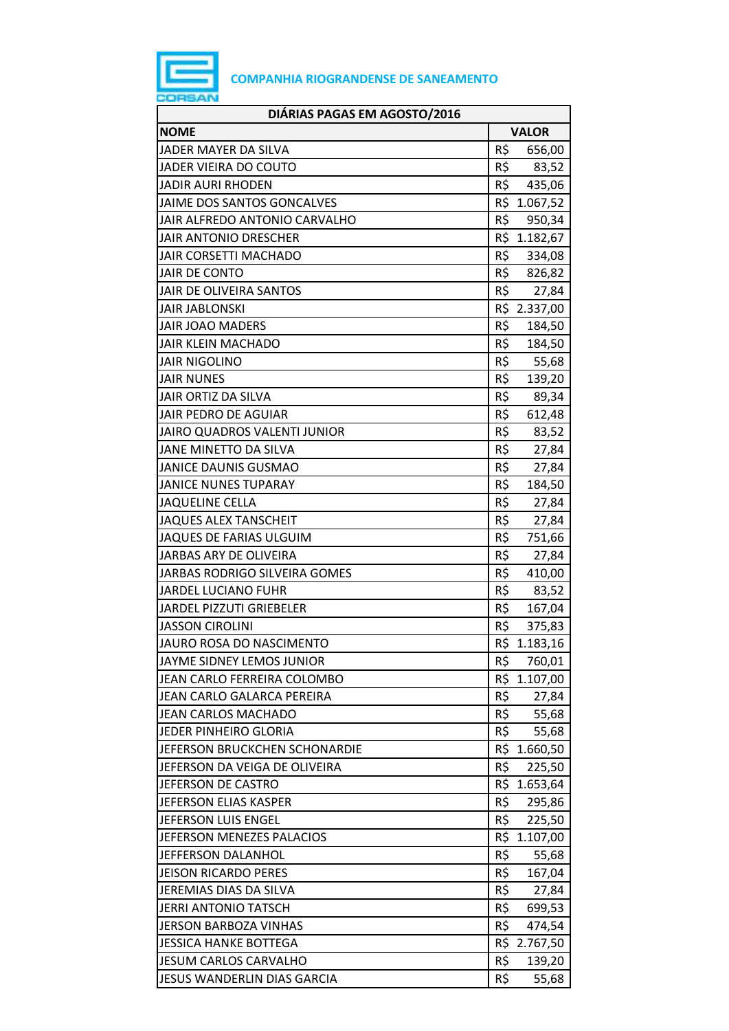

| DIÁRIAS PAGAS EM AGOSTO/2016        |     |              |
|-------------------------------------|-----|--------------|
| <b>NOME</b>                         |     | <b>VALOR</b> |
| JADER MAYER DA SILVA                | R\$ | 656,00       |
| JADER VIEIRA DO COUTO               | R\$ | 83,52        |
| <b>JADIR AURI RHODEN</b>            | R\$ | 435,06       |
| JAIME DOS SANTOS GONCALVES          |     | R\$ 1.067,52 |
| JAIR ALFREDO ANTONIO CARVALHO       | R\$ | 950,34       |
| JAIR ANTONIO DRESCHER               |     | R\$ 1.182,67 |
| <b>JAIR CORSETTI MACHADO</b>        | R\$ | 334,08       |
| <b>JAIR DE CONTO</b>                | R\$ | 826,82       |
| JAIR DE OLIVEIRA SANTOS             | R\$ | 27,84        |
| <b>JAIR JABLONSKI</b>               |     | R\$ 2.337,00 |
| JAIR JOAO MADERS                    | R\$ | 184,50       |
| <b>JAIR KLEIN MACHADO</b>           | R\$ | 184,50       |
| <b>JAIR NIGOLINO</b>                | R\$ | 55,68        |
| <b>JAIR NUNES</b>                   | R\$ | 139,20       |
| JAIR ORTIZ DA SILVA                 | R\$ | 89,34        |
| JAIR PEDRO DE AGUIAR                | R\$ | 612,48       |
| <b>JAIRO QUADROS VALENTI JUNIOR</b> | R\$ | 83,52        |
| JANE MINETTO DA SILVA               | R\$ | 27,84        |
| <b>JANICE DAUNIS GUSMAO</b>         | R\$ | 27,84        |
| <b>JANICE NUNES TUPARAY</b>         | R\$ | 184,50       |
| <b>JAQUELINE CELLA</b>              | R\$ | 27,84        |
| <b>JAQUES ALEX TANSCHEIT</b>        | R\$ | 27,84        |
| <b>JAQUES DE FARIAS ULGUIM</b>      | R\$ | 751,66       |
| JARBAS ARY DE OLIVEIRA              | R\$ | 27,84        |
| JARBAS RODRIGO SILVEIRA GOMES       | R\$ | 410,00       |
| JARDEL LUCIANO FUHR                 | R\$ | 83,52        |
| <b>JARDEL PIZZUTI GRIEBELER</b>     | R\$ | 167,04       |
| <b>JASSON CIROLINI</b>              | R\$ | 375,83       |
| JAURO ROSA DO NASCIMENTO            | R\$ | 1.183,16     |
| JAYME SIDNEY LEMOS JUNIOR           | R\$ | 760,01       |
| JEAN CARLO FERREIRA COLOMBO         |     | R\$ 1.107,00 |
| JEAN CARLO GALARCA PEREIRA          | R\$ | 27,84        |
| <b>JEAN CARLOS MACHADO</b>          | R\$ | 55,68        |
| <b>JEDER PINHEIRO GLORIA</b>        | R\$ | 55,68        |
| JEFERSON BRUCKCHEN SCHONARDIE       |     | R\$ 1.660,50 |
| JEFERSON DA VEIGA DE OLIVEIRA       | R\$ | 225,50       |
| JEFERSON DE CASTRO                  |     | R\$ 1.653,64 |
| JEFERSON ELIAS KASPER               | R\$ | 295,86       |
| JEFERSON LUIS ENGEL                 | R\$ | 225,50       |
| JEFERSON MENEZES PALACIOS           |     | R\$ 1.107,00 |
| JEFFERSON DALANHOL                  | R\$ | 55,68        |
| <b>JEISON RICARDO PERES</b>         | R\$ | 167,04       |
| JEREMIAS DIAS DA SILVA              | R\$ | 27,84        |
| JERRI ANTONIO TATSCH                | R\$ | 699,53       |
| JERSON BARBOZA VINHAS               | R\$ | 474,54       |
| <b>JESSICA HANKE BOTTEGA</b>        |     | R\$ 2.767,50 |
| JESUM CARLOS CARVALHO               | R\$ | 139,20       |
| JESUS WANDERLIN DIAS GARCIA         | R\$ | 55,68        |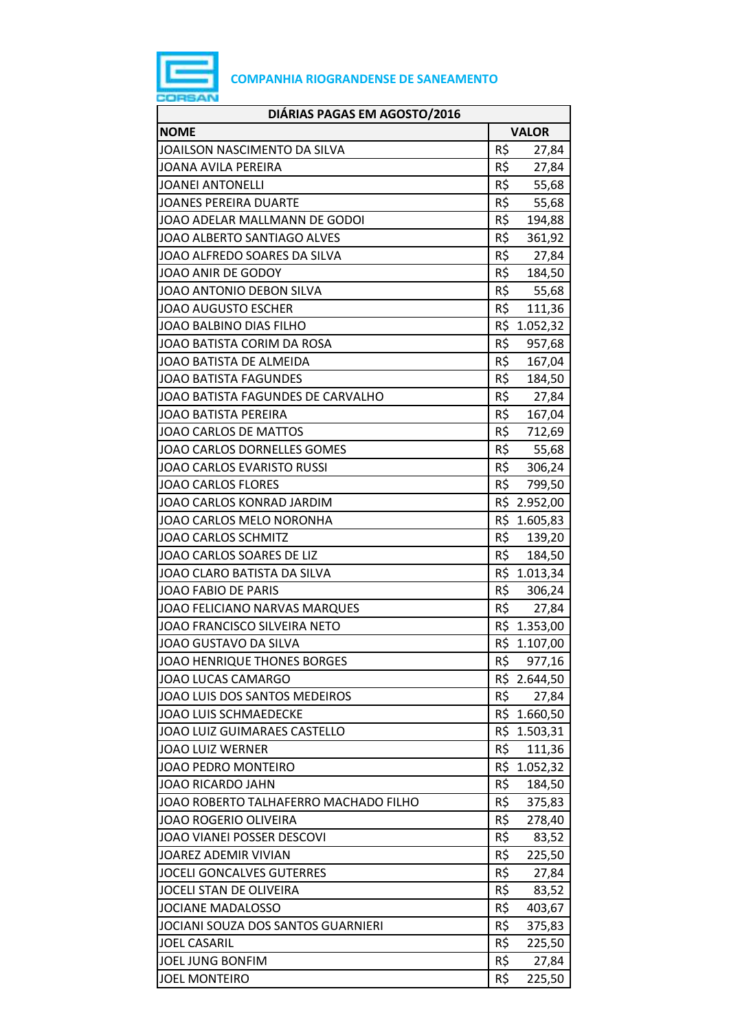

| DIÁRIAS PAGAS EM AGOSTO/2016          |                 |              |  |
|---------------------------------------|-----------------|--------------|--|
| <b>NOME</b>                           | <b>VALOR</b>    |              |  |
| JOAILSON NASCIMENTO DA SILVA          | R\$             | 27,84        |  |
| JOANA AVILA PEREIRA                   | R\$             | 27,84        |  |
| <b>JOANEI ANTONELLI</b>               | $R\overline{S}$ | 55,68        |  |
| <b>JOANES PEREIRA DUARTE</b>          | R\$             | 55,68        |  |
| JOAO ADELAR MALLMANN DE GODOI         | R\$             | 194,88       |  |
| JOAO ALBERTO SANTIAGO ALVES           | R\$             | 361,92       |  |
| JOAO ALFREDO SOARES DA SILVA          | R\$             | 27,84        |  |
| JOAO ANIR DE GODOY                    | R\$             | 184,50       |  |
| JOAO ANTONIO DEBON SILVA              | R\$             | 55,68        |  |
| <b>JOAO AUGUSTO ESCHER</b>            | R\$             | 111,36       |  |
| JOAO BALBINO DIAS FILHO               | R\$             | 1.052,32     |  |
| JOAO BATISTA CORIM DA ROSA            | R\$             | 957,68       |  |
| JOAO BATISTA DE ALMEIDA               | R\$             | 167,04       |  |
| <b>JOAO BATISTA FAGUNDES</b>          | R\$             | 184,50       |  |
| JOAO BATISTA FAGUNDES DE CARVALHO     | R\$             | 27,84        |  |
| <b>JOAO BATISTA PEREIRA</b>           | R\$             | 167,04       |  |
| <b>JOAO CARLOS DE MATTOS</b>          | R\$             | 712,69       |  |
| JOAO CARLOS DORNELLES GOMES           | R\$             | 55,68        |  |
| JOAO CARLOS EVARISTO RUSSI            | R\$             | 306,24       |  |
| <b>JOAO CARLOS FLORES</b>             | R\$             | 799,50       |  |
| JOAO CARLOS KONRAD JARDIM             |                 | R\$ 2.952,00 |  |
| JOAO CARLOS MELO NORONHA              |                 | R\$ 1.605,83 |  |
| <b>JOAO CARLOS SCHMITZ</b>            | R\$             | 139,20       |  |
| JOAO CARLOS SOARES DE LIZ             | R\$             | 184,50       |  |
| JOAO CLARO BATISTA DA SILVA           |                 | R\$ 1.013,34 |  |
| <b>JOAO FABIO DE PARIS</b>            | R\$             | 306,24       |  |
| JOAO FELICIANO NARVAS MARQUES         | R\$             | 27,84        |  |
| JOAO FRANCISCO SILVEIRA NETO          |                 | R\$ 1.353,00 |  |
| JOAO GUSTAVO DA SILVA                 |                 | R\$ 1.107,00 |  |
| <b>JOAO HENRIQUE THONES BORGES</b>    | R\$             | 977,16       |  |
| JOAO LUCAS CAMARGO                    |                 | R\$ 2.644,50 |  |
| JOAO LUIS DOS SANTOS MEDEIROS         | R\$             | 27,84        |  |
| <b>JOAO LUIS SCHMAEDECKE</b>          |                 | R\$ 1.660,50 |  |
| <b>JOAO LUIZ GUIMARAES CASTELLO</b>   |                 | R\$ 1.503,31 |  |
| <b>JOAO LUIZ WERNER</b>               | R\$             | 111,36       |  |
| JOAO PEDRO MONTEIRO                   | R\$             | 1.052,32     |  |
| <b>JOAO RICARDO JAHN</b>              | R\$             | 184,50       |  |
| JOAO ROBERTO TALHAFERRO MACHADO FILHO | R\$             | 375,83       |  |
| <b>JOAO ROGERIO OLIVEIRA</b>          | R\$             | 278,40       |  |
| JOAO VIANEI POSSER DESCOVI            | R\$             | 83,52        |  |
| JOAREZ ADEMIR VIVIAN                  | R\$             | 225,50       |  |
| <b>JOCELI GONCALVES GUTERRES</b>      | R\$             | 27,84        |  |
| JOCELI STAN DE OLIVEIRA               | R\$             | 83,52        |  |
| <b>JOCIANE MADALOSSO</b>              | R\$             | 403,67       |  |
| JOCIANI SOUZA DOS SANTOS GUARNIERI    | R\$             | 375,83       |  |
| <b>JOEL CASARIL</b>                   | R\$             | 225,50       |  |
| <b>JOEL JUNG BONFIM</b>               | R\$             | 27,84        |  |
| <b>JOEL MONTEIRO</b>                  | R\$             | 225,50       |  |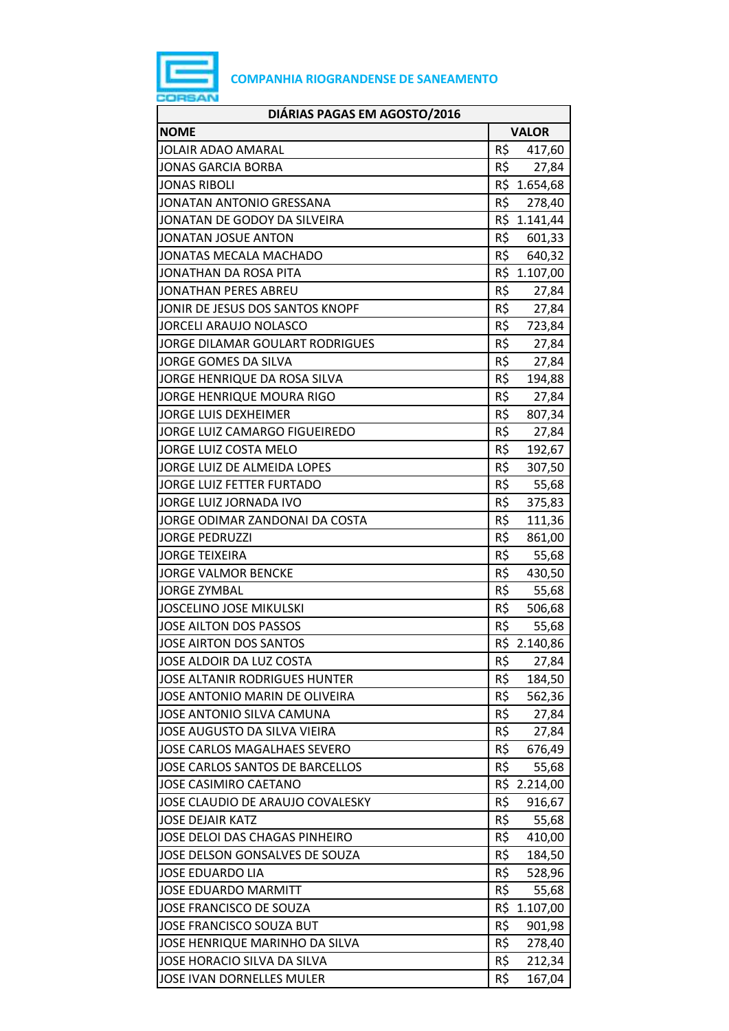

| DIÁRIAS PAGAS EM AGOSTO/2016        |     |              |
|-------------------------------------|-----|--------------|
| <b>NOME</b>                         |     | <b>VALOR</b> |
| JOLAIR ADAO AMARAL                  | R\$ | 417,60       |
| <b>JONAS GARCIA BORBA</b>           | R\$ | 27,84        |
| <b>JONAS RIBOLI</b>                 | R\$ | 1.654,68     |
| JONATAN ANTONIO GRESSANA            | R\$ | 278,40       |
| JONATAN DE GODOY DA SILVEIRA        |     | R\$ 1.141,44 |
| JONATAN JOSUE ANTON                 | R\$ | 601,33       |
| JONATAS MECALA MACHADO              | R\$ | 640,32       |
| JONATHAN DA ROSA PITA               | R\$ | 1.107,00     |
| JONATHAN PERES ABREU                | R\$ | 27,84        |
| JONIR DE JESUS DOS SANTOS KNOPF     | R\$ | 27,84        |
| <b>JORCELI ARAUJO NOLASCO</b>       | R\$ | 723,84       |
| JORGE DILAMAR GOULART RODRIGUES     | R\$ | 27,84        |
| JORGE GOMES DA SILVA                | R\$ | 27,84        |
| JORGE HENRIQUE DA ROSA SILVA        | R\$ | 194,88       |
| JORGE HENRIQUE MOURA RIGO           | R\$ | 27,84        |
| <b>JORGE LUIS DEXHEIMER</b>         | R\$ | 807,34       |
| JORGE LUIZ CAMARGO FIGUEIREDO       | R\$ | 27,84        |
| JORGE LUIZ COSTA MELO               | R\$ | 192,67       |
| JORGE LUIZ DE ALMEIDA LOPES         | R\$ | 307,50       |
| JORGE LUIZ FETTER FURTADO           | R\$ | 55,68        |
| JORGE LUIZ JORNADA IVO              | R\$ | 375,83       |
| JORGE ODIMAR ZANDONAI DA COSTA      | R\$ | 111,36       |
| <b>JORGE PEDRUZZI</b>               | R\$ | 861,00       |
| <b>JORGE TEIXEIRA</b>               | R\$ | 55,68        |
| <b>JORGE VALMOR BENCKE</b>          | R\$ | 430,50       |
| <b>JORGE ZYMBAL</b>                 | R\$ | 55,68        |
| <b>JOSCELINO JOSE MIKULSKI</b>      | R\$ | 506,68       |
| <b>JOSE AILTON DOS PASSOS</b>       | R\$ | 55,68        |
| JOSE AIRTON DOS SANTOS              |     | R\$ 2.140,86 |
| JOSE ALDOIR DA LUZ COSTA            | R\$ | 27,84        |
| JOSE ALTANIR RODRIGUES HUNTER       | R\$ | 184,50       |
| JOSE ANTONIO MARIN DE OLIVEIRA      | R\$ | 562,36       |
| JOSE ANTONIO SILVA CAMUNA           | R\$ | 27,84        |
| JOSE AUGUSTO DA SILVA VIEIRA        | R\$ | 27,84        |
| <b>JOSE CARLOS MAGALHAES SEVERO</b> | R\$ | 676,49       |
| JOSE CARLOS SANTOS DE BARCELLOS     | R\$ | 55,68        |
| <b>JOSE CASIMIRO CAETANO</b>        |     | R\$ 2.214,00 |
| JOSE CLAUDIO DE ARAUJO COVALESKY    | R\$ | 916,67       |
| <b>JOSE DEJAIR KATZ</b>             | R\$ | 55,68        |
| JOSE DELOI DAS CHAGAS PINHEIRO      | R\$ | 410,00       |
| JOSE DELSON GONSALVES DE SOUZA      | R\$ | 184,50       |
| <b>JOSE EDUARDO LIA</b>             | R\$ | 528,96       |
| <b>JOSE EDUARDO MARMITT</b>         | R\$ | 55,68        |
| JOSE FRANCISCO DE SOUZA             | R\$ | 1.107,00     |
| JOSE FRANCISCO SOUZA BUT            | R\$ | 901,98       |
| JOSE HENRIQUE MARINHO DA SILVA      | R\$ | 278,40       |
| JOSE HORACIO SILVA DA SILVA         | R\$ | 212,34       |
| JOSE IVAN DORNELLES MULER           | R\$ | 167,04       |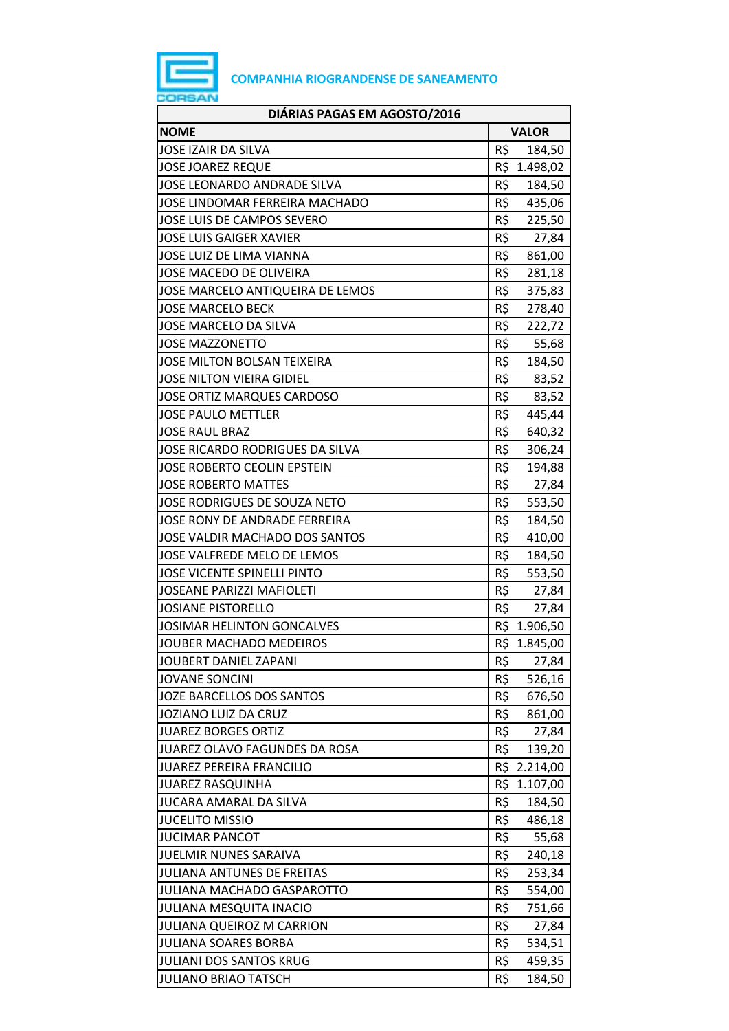

| DIÁRIAS PAGAS EM AGOSTO/2016       |     |              |
|------------------------------------|-----|--------------|
| <b>NOME</b>                        |     | <b>VALOR</b> |
| <b>JOSE IZAIR DA SILVA</b>         | R\$ | 184,50       |
| <b>JOSE JOAREZ REQUE</b>           |     | R\$ 1.498,02 |
| JOSE LEONARDO ANDRADE SILVA        | R\$ | 184,50       |
| JOSE LINDOMAR FERREIRA MACHADO     | R\$ | 435,06       |
| JOSE LUIS DE CAMPOS SEVERO         | R\$ | 225,50       |
| <b>JOSE LUIS GAIGER XAVIER</b>     | R\$ | 27,84        |
| <b>JOSE LUIZ DE LIMA VIANNA</b>    | R\$ | 861,00       |
| JOSE MACEDO DE OLIVEIRA            | R\$ | 281,18       |
| JOSE MARCELO ANTIQUEIRA DE LEMOS   | R\$ | 375,83       |
| <b>JOSE MARCELO BECK</b>           | R\$ | 278,40       |
| JOSE MARCELO DA SILVA              | R\$ | 222,72       |
| <b>JOSE MAZZONETTO</b>             | R\$ | 55,68        |
| JOSE MILTON BOLSAN TEIXEIRA        | R\$ | 184,50       |
| <b>JOSE NILTON VIEIRA GIDIEL</b>   | R\$ | 83,52        |
| <b>JOSE ORTIZ MARQUES CARDOSO</b>  | R\$ | 83,52        |
| <b>JOSE PAULO METTLER</b>          | R\$ | 445,44       |
| <b>JOSE RAUL BRAZ</b>              | R\$ | 640,32       |
| JOSE RICARDO RODRIGUES DA SILVA    | R\$ | 306,24       |
| JOSE ROBERTO CEOLIN EPSTEIN        | R\$ | 194,88       |
| <b>JOSE ROBERTO MATTES</b>         | R\$ | 27,84        |
| JOSE RODRIGUES DE SOUZA NETO       | R\$ | 553,50       |
| JOSE RONY DE ANDRADE FERREIRA      | R\$ | 184,50       |
| JOSE VALDIR MACHADO DOS SANTOS     | R\$ | 410,00       |
| JOSE VALFREDE MELO DE LEMOS        | R\$ | 184,50       |
| <b>JOSE VICENTE SPINELLI PINTO</b> | R\$ | 553,50       |
| <b>JOSEANE PARIZZI MAFIOLETI</b>   | R\$ | 27,84        |
| <b>JOSIANE PISTORELLO</b>          | R\$ | 27,84        |
| <b>JOSIMAR HELINTON GONCALVES</b>  | R\$ | 1.906,50     |
| <b>JOUBER MACHADO MEDEIROS</b>     |     | R\$ 1.845,00 |
| <b>JOUBERT DANIEL ZAPANI</b>       | R\$ | 27,84        |
| <b>JOVANE SONCINI</b>              | R\$ | 526,16       |
| JOZE BARCELLOS DOS SANTOS          | R\$ | 676,50       |
| JOZIANO LUIZ DA CRUZ               | R\$ | 861,00       |
| <b>JUAREZ BORGES ORTIZ</b>         | R\$ | 27,84        |
| JUAREZ OLAVO FAGUNDES DA ROSA      | R\$ | 139,20       |
| <b>JUAREZ PEREIRA FRANCILIO</b>    | R\$ | 2.214,00     |
| <b>JUAREZ RASQUINHA</b>            | R\$ | 1.107,00     |
| JUCARA AMARAL DA SILVA             | R\$ | 184,50       |
| <b>JUCELITO MISSIO</b>             | R\$ | 486,18       |
| <b>JUCIMAR PANCOT</b>              | R\$ | 55,68        |
| <b>JUELMIR NUNES SARAIVA</b>       | R\$ | 240,18       |
| JULIANA ANTUNES DE FREITAS         | R\$ | 253,34       |
| JULIANA MACHADO GASPAROTTO         | R\$ | 554,00       |
| <b>JULIANA MESQUITA INACIO</b>     | R\$ | 751,66       |
| JULIANA QUEIROZ M CARRION          | R\$ | 27,84        |
| <b>JULIANA SOARES BORBA</b>        | R\$ | 534,51       |
| <b>JULIANI DOS SANTOS KRUG</b>     | R\$ | 459,35       |
| <b>JULIANO BRIAO TATSCH</b>        | R\$ | 184,50       |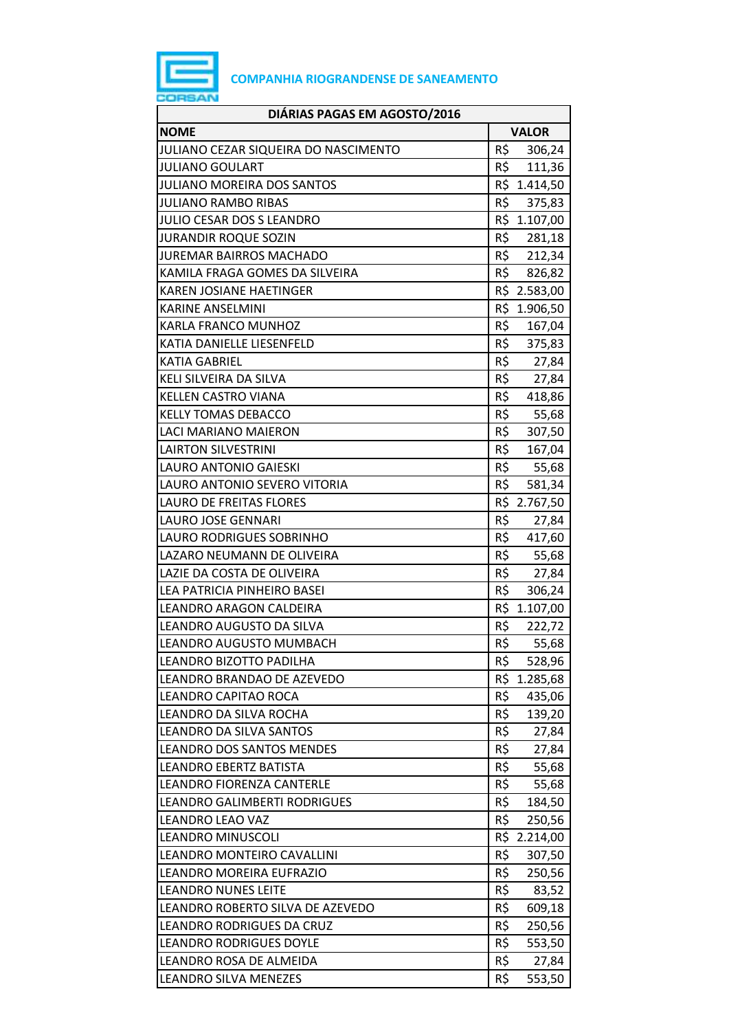

| DIÁRIAS PAGAS EM AGOSTO/2016         |                 |              |  |  |
|--------------------------------------|-----------------|--------------|--|--|
| <b>NOME</b>                          |                 | <b>VALOR</b> |  |  |
| JULIANO CEZAR SIQUEIRA DO NASCIMENTO | R\$             | 306,24       |  |  |
| <b>JULIANO GOULART</b>               | R\$             | 111,36       |  |  |
| <b>JULIANO MOREIRA DOS SANTOS</b>    |                 | R\$ 1.414,50 |  |  |
| <b>JULIANO RAMBO RIBAS</b>           | R\$             | 375,83       |  |  |
| JULIO CESAR DOS S LEANDRO            |                 | R\$ 1.107,00 |  |  |
| <b>JURANDIR ROQUE SOZIN</b>          | R\$             | 281,18       |  |  |
| JUREMAR BAIRROS MACHADO              | R\$             | 212,34       |  |  |
| KAMILA FRAGA GOMES DA SILVEIRA       | R\$             | 826,82       |  |  |
| KAREN JOSIANE HAETINGER              |                 | R\$ 2.583,00 |  |  |
| <b>KARINE ANSELMINI</b>              |                 | R\$ 1.906,50 |  |  |
| KARLA FRANCO MUNHOZ                  | R\$             | 167,04       |  |  |
| KATIA DANIELLE LIESENFELD            | R\$             | 375,83       |  |  |
| <b>KATIA GABRIEL</b>                 | R\$             | 27,84        |  |  |
| KELI SILVEIRA DA SILVA               | R\$             | 27,84        |  |  |
| <b>KELLEN CASTRO VIANA</b>           | R\$             | 418,86       |  |  |
| <b>KELLY TOMAS DEBACCO</b>           | R\$             | 55,68        |  |  |
| LACI MARIANO MAIERON                 | R\$             | 307,50       |  |  |
| <b>LAIRTON SILVESTRINI</b>           | R\$             | 167,04       |  |  |
| LAURO ANTONIO GAIESKI                | R\$             | 55,68        |  |  |
| LAURO ANTONIO SEVERO VITORIA         | R\$             | 581,34       |  |  |
| LAURO DE FREITAS FLORES              |                 | R\$ 2.767,50 |  |  |
| LAURO JOSE GENNARI                   | R\$             | 27,84        |  |  |
| LAURO RODRIGUES SOBRINHO             | R\$             | 417,60       |  |  |
| LAZARO NEUMANN DE OLIVEIRA           | R\$             | 55,68        |  |  |
| LAZIE DA COSTA DE OLIVEIRA           | R\$             | 27,84        |  |  |
| LEA PATRICIA PINHEIRO BASEI          | R\$             | 306,24       |  |  |
| LEANDRO ARAGON CALDEIRA              |                 | R\$ 1.107,00 |  |  |
| LEANDRO AUGUSTO DA SILVA             | $R\overline{S}$ | 222,72       |  |  |
| LEANDRO AUGUSTO MUMBACH              | R\$             | 55,68        |  |  |
| LEANDRO BIZOTTO PADILHA              | R\$             | 528,96       |  |  |
| LEANDRO BRANDAO DE AZEVEDO           | R\$             | 1.285,68     |  |  |
| LEANDRO CAPITAO ROCA                 | R\$             | 435,06       |  |  |
| LEANDRO DA SILVA ROCHA               | R\$             | 139,20       |  |  |
| LEANDRO DA SILVA SANTOS              | R\$             | 27,84        |  |  |
| <b>LEANDRO DOS SANTOS MENDES</b>     | R\$             | 27,84        |  |  |
| <b>LEANDRO EBERTZ BATISTA</b>        | R\$             | 55,68        |  |  |
| LEANDRO FIORENZA CANTERLE            | R\$             | 55,68        |  |  |
| LEANDRO GALIMBERTI RODRIGUES         | R\$             | 184,50       |  |  |
| <b>LEANDRO LEAO VAZ</b>              | R\$             | 250,56       |  |  |
| <b>LEANDRO MINUSCOLI</b>             |                 | R\$ 2.214,00 |  |  |
| LEANDRO MONTEIRO CAVALLINI           | R\$             | 307,50       |  |  |
| LEANDRO MOREIRA EUFRAZIO             | R\$             | 250,56       |  |  |
| <b>LEANDRO NUNES LEITE</b>           | R\$             | 83,52        |  |  |
| LEANDRO ROBERTO SILVA DE AZEVEDO     | R\$             | 609,18       |  |  |
| LEANDRO RODRIGUES DA CRUZ            | R\$             | 250,56       |  |  |
| <b>LEANDRO RODRIGUES DOYLE</b>       | R\$             | 553,50       |  |  |
| LEANDRO ROSA DE ALMEIDA              | R\$             | 27,84        |  |  |
|                                      | R\$             |              |  |  |
| <b>LEANDRO SILVA MENEZES</b>         |                 | 553,50       |  |  |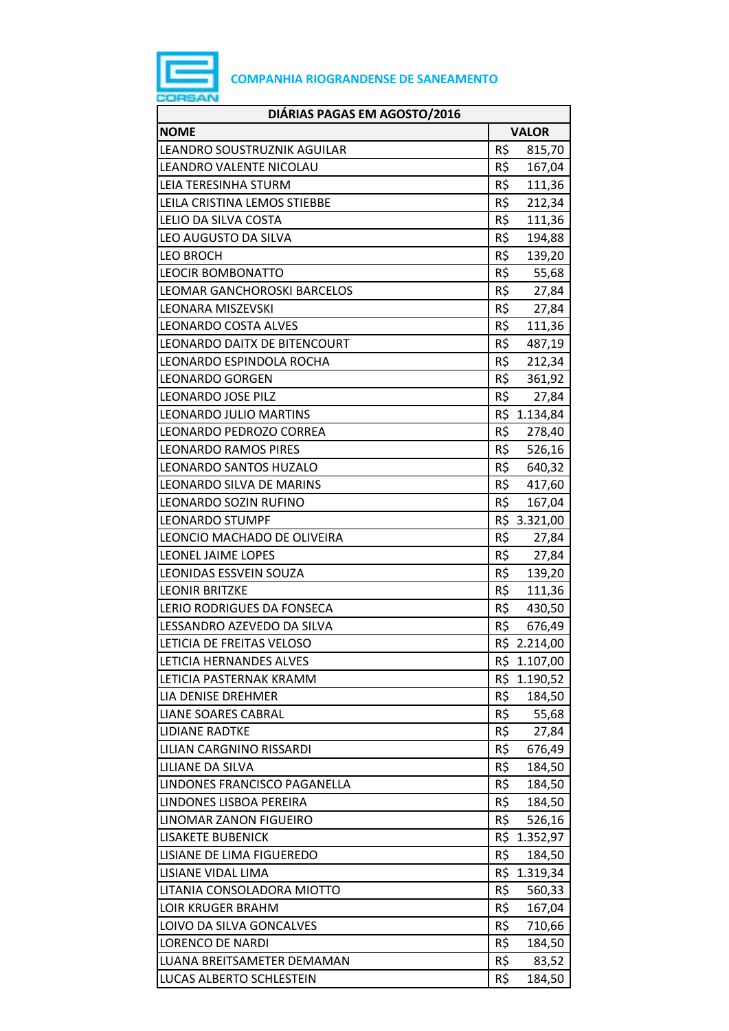

| DIÁRIAS PAGAS EM AGOSTO/2016 |     |              |
|------------------------------|-----|--------------|
| <b>NOME</b>                  |     | <b>VALOR</b> |
| LEANDRO SOUSTRUZNIK AGUILAR  | R\$ | 815,70       |
| LEANDRO VALENTE NICOLAU      | R\$ | 167,04       |
| LEIA TERESINHA STURM         | R\$ | 111,36       |
| LEILA CRISTINA LEMOS STIEBBE | R\$ | 212,34       |
| LELIO DA SILVA COSTA         | R\$ | 111,36       |
| LEO AUGUSTO DA SILVA         | R\$ | 194,88       |
| <b>LEO BROCH</b>             | R\$ | 139,20       |
| <b>LEOCIR BOMBONATTO</b>     | R\$ | 55,68        |
| LEOMAR GANCHOROSKI BARCELOS  | R\$ | 27,84        |
| <b>LEONARA MISZEVSKI</b>     | R\$ | 27,84        |
| LEONARDO COSTA ALVES         | R\$ | 111,36       |
| LEONARDO DAITX DE BITENCOURT | R\$ | 487,19       |
| LEONARDO ESPINDOLA ROCHA     | R\$ | 212,34       |
| <b>LEONARDO GORGEN</b>       | R\$ | 361,92       |
| LEONARDO JOSE PILZ           | R\$ | 27,84        |
| LEONARDO JULIO MARTINS       |     | R\$ 1.134,84 |
| LEONARDO PEDROZO CORREA      | R\$ | 278,40       |
| <b>LEONARDO RAMOS PIRES</b>  | R\$ | 526,16       |
| LEONARDO SANTOS HUZALO       | R\$ | 640,32       |
| LEONARDO SILVA DE MARINS     | R\$ | 417,60       |
| LEONARDO SOZIN RUFINO        | R\$ | 167,04       |
| <b>LEONARDO STUMPF</b>       |     | R\$ 3.321,00 |
| LEONCIO MACHADO DE OLIVEIRA  | R\$ | 27,84        |
| LEONEL JAIME LOPES           | R\$ | 27,84        |
| LEONIDAS ESSVEIN SOUZA       | R\$ | 139,20       |
| <b>LEONIR BRITZKE</b>        | R\$ | 111,36       |
| LERIO RODRIGUES DA FONSECA   | R\$ | 430,50       |
| LESSANDRO AZEVEDO DA SILVA   | R\$ | 676,49       |
| LETICIA DE FREITAS VELOSO    |     | R\$ 2.214,00 |
| LETICIA HERNANDES ALVES      |     | R\$ 1.107,00 |
| LETICIA PASTERNAK KRAMM      |     | R\$ 1.190,52 |
| LIA DENISE DREHMER           | R\$ | 184,50       |
| <b>LIANE SOARES CABRAL</b>   | R\$ | 55,68        |
| <b>LIDIANE RADTKE</b>        | R\$ | 27,84        |
| LILIAN CARGNINO RISSARDI     | R\$ | 676,49       |
| LILIANE DA SILVA             | R\$ | 184,50       |
| LINDONES FRANCISCO PAGANELLA | R\$ | 184,50       |
| LINDONES LISBOA PEREIRA      | R\$ | 184,50       |
| LINOMAR ZANON FIGUEIRO       | R\$ | 526,16       |
| <b>LISAKETE BUBENICK</b>     |     | R\$ 1.352,97 |
| LISIANE DE LIMA FIGUEREDO    | R\$ | 184,50       |
| LISIANE VIDAL LIMA           |     | R\$ 1.319,34 |
| LITANIA CONSOLADORA MIOTTO   | R\$ | 560,33       |
| <b>LOIR KRUGER BRAHM</b>     | R\$ | 167,04       |
| LOIVO DA SILVA GONCALVES     | R\$ | 710,66       |
| <b>LORENCO DE NARDI</b>      | R\$ | 184,50       |
| LUANA BREITSAMETER DEMAMAN   | R\$ | 83,52        |
| LUCAS ALBERTO SCHLESTEIN     | R\$ | 184,50       |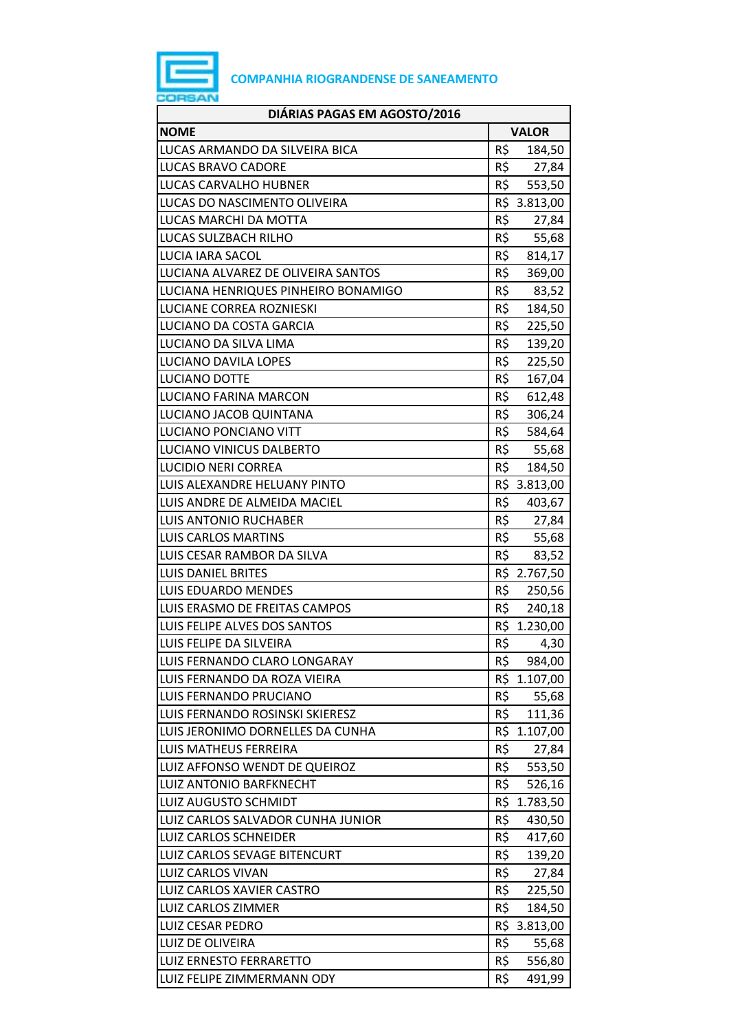

| DIÁRIAS PAGAS EM AGOSTO/2016        |              |              |
|-------------------------------------|--------------|--------------|
| <b>NOME</b>                         | <b>VALOR</b> |              |
| LUCAS ARMANDO DA SILVEIRA BICA      | R\$          | 184,50       |
| LUCAS BRAVO CADORE                  | R\$          | 27,84        |
| LUCAS CARVALHO HUBNER               | R\$          | 553,50       |
| LUCAS DO NASCIMENTO OLIVEIRA        |              | R\$ 3.813,00 |
| LUCAS MARCHI DA MOTTA               | R\$          | 27,84        |
| LUCAS SULZBACH RILHO                | R\$          | 55,68        |
| LUCIA IARA SACOL                    | R\$          | 814,17       |
| LUCIANA ALVAREZ DE OLIVEIRA SANTOS  | R\$          | 369,00       |
| LUCIANA HENRIQUES PINHEIRO BONAMIGO | R\$          | 83,52        |
| LUCIANE CORREA ROZNIESKI            | R\$          | 184,50       |
| LUCIANO DA COSTA GARCIA             | R\$          | 225,50       |
| LUCIANO DA SILVA LIMA               | R\$          | 139,20       |
| <b>LUCIANO DAVILA LOPES</b>         | R\$          | 225,50       |
| <b>LUCIANO DOTTE</b>                | R\$          | 167,04       |
| LUCIANO FARINA MARCON               | R\$          | 612,48       |
| LUCIANO JACOB QUINTANA              | R\$          | 306,24       |
| LUCIANO PONCIANO VITT               | R\$          | 584,64       |
| LUCIANO VINICUS DALBERTO            | R\$          | 55,68        |
| <b>LUCIDIO NERI CORREA</b>          | R\$          | 184,50       |
| LUIS ALEXANDRE HELUANY PINTO        |              | R\$ 3.813,00 |
| LUIS ANDRE DE ALMEIDA MACIEL        | R\$          | 403,67       |
| <b>LUIS ANTONIO RUCHABER</b>        | R\$          | 27,84        |
| <b>LUIS CARLOS MARTINS</b>          | R\$          | 55,68        |
| LUIS CESAR RAMBOR DA SILVA          | R\$          | 83,52        |
| <b>LUIS DANIEL BRITES</b>           |              | R\$ 2.767,50 |
| LUIS EDUARDO MENDES                 | R\$          | 250,56       |
| LUIS ERASMO DE FREITAS CAMPOS       | R\$          | 240,18       |
| LUIS FELIPE ALVES DOS SANTOS        |              | R\$ 1.230,00 |
| LUIS FELIPE DA SILVEIRA             | R\$          | 4,30         |
| LUIS FERNANDO CLARO LONGARAY        | R\$          | 984,00       |
| LUIS FERNANDO DA ROZA VIEIRA        |              | R\$ 1.107,00 |
| LUIS FERNANDO PRUCIANO              | R\$          | 55,68        |
| LUIS FERNANDO ROSINSKI SKIERESZ     | R\$          | 111,36       |
| LUIS JERONIMO DORNELLES DA CUNHA    |              | R\$ 1.107,00 |
| <b>LUIS MATHEUS FERREIRA</b>        | R\$          | 27,84        |
| LUIZ AFFONSO WENDT DE QUEIROZ       | R\$          | 553,50       |
| LUIZ ANTONIO BARFKNECHT             | R\$          | 526,16       |
| <b>LUIZ AUGUSTO SCHMIDT</b>         |              | R\$ 1.783,50 |
| LUIZ CARLOS SALVADOR CUNHA JUNIOR   | R\$          | 430,50       |
| <b>LUIZ CARLOS SCHNEIDER</b>        | R\$          | 417,60       |
| LUIZ CARLOS SEVAGE BITENCURT        | R\$          | 139,20       |
| LUIZ CARLOS VIVAN                   | R\$          | 27,84        |
| LUIZ CARLOS XAVIER CASTRO           | R\$          | 225,50       |
| LUIZ CARLOS ZIMMER                  | R\$          | 184,50       |
| <b>LUIZ CESAR PEDRO</b>             |              | R\$ 3.813,00 |
| LUIZ DE OLIVEIRA                    | R\$          | 55,68        |
| <b>LUIZ ERNESTO FERRARETTO</b>      | R\$          | 556,80       |
| LUIZ FELIPE ZIMMERMANN ODY          | R\$          | 491,99       |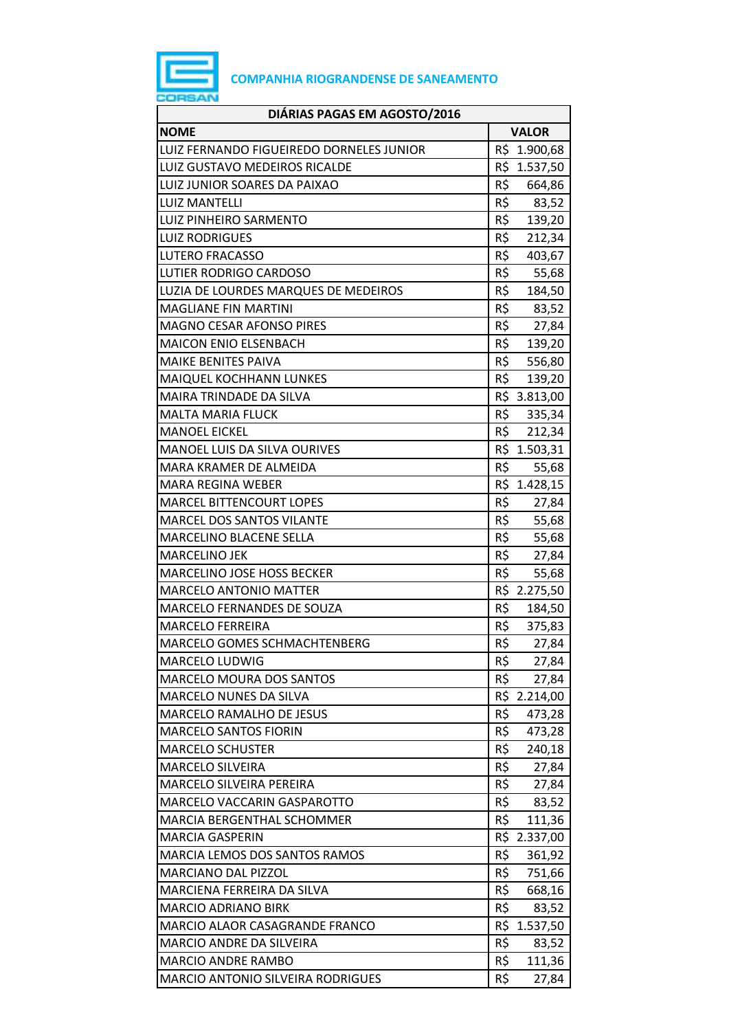

| DIÁRIAS PAGAS EM AGOSTO/2016             |                   |              |
|------------------------------------------|-------------------|--------------|
| <b>NOME</b>                              |                   | <b>VALOR</b> |
| LUIZ FERNANDO FIGUEIREDO DORNELES JUNIOR | R\$               | 1.900,68     |
| LUIZ GUSTAVO MEDEIROS RICALDE            |                   | R\$ 1.537,50 |
| LUIZ JUNIOR SOARES DA PAIXAO             | R\$               | 664,86       |
| <b>LUIZ MANTELLI</b>                     |                   | R\$ 83,52    |
| LUIZ PINHEIRO SARMENTO                   |                   | R\$ 139,20   |
| <b>LUIZ RODRIGUES</b>                    | R\$               | 212,34       |
| <b>LUTERO FRACASSO</b>                   | R\$               | 403,67       |
| <b>LUTIER RODRIGO CARDOSO</b>            | R\$               | 55,68        |
| LUZIA DE LOURDES MARQUES DE MEDEIROS     | R\$               | 184,50       |
| <b>MAGLIANE FIN MARTINI</b>              | R\$               | 83,52        |
| <b>MAGNO CESAR AFONSO PIRES</b>          | R\$               | 27,84        |
| <b>MAICON ENIO ELSENBACH</b>             | R\$               | 139,20       |
| <b>MAIKE BENITES PAIVA</b>               | R\$               | 556,80       |
| MAIQUEL KOCHHANN LUNKES                  | R\$               | 139,20       |
| MAIRA TRINDADE DA SILVA                  |                   | R\$ 3.813,00 |
| <b>MALTA MARIA FLUCK</b>                 | R\$               | 335,34       |
| <b>MANOEL EICKEL</b>                     | R\$               | 212,34       |
| <b>MANOEL LUIS DA SILVA OURIVES</b>      |                   | R\$ 1.503,31 |
| MARA KRAMER DE ALMEIDA                   | R\$               | 55,68        |
| <b>MARA REGINA WEBER</b>                 |                   | R\$ 1.428,15 |
| <b>MARCEL BITTENCOURT LOPES</b>          | $\overline{R}$ \$ | 27,84        |
| <b>MARCEL DOS SANTOS VILANTE</b>         | R\$               | 55,68        |
| MARCELINO BLACENE SELLA                  | R\$               | 55,68        |
| <b>MARCELINO JEK</b>                     | R\$               | 27,84        |
| <b>MARCELINO JOSE HOSS BECKER</b>        | R\$               | 55,68        |
| <b>MARCELO ANTONIO MATTER</b>            |                   | R\$ 2.275,50 |
| MARCELO FERNANDES DE SOUZA               | R\$               | 184,50       |
| <b>MARCELO FERREIRA</b>                  | R\$               | 375,83       |
| MARCELO GOMES SCHMACHTENBERG             | R\$               | 27,84        |
| MARCELO LUDWIG                           | R\$               | 27,84        |
| <b>MARCELO MOURA DOS SANTOS</b>          | R\$               | 27,84        |
| <b>MARCELO NUNES DA SILVA</b>            |                   | R\$ 2.214,00 |
| MARCELO RAMALHO DE JESUS                 | R\$               | 473,28       |
| <b>MARCELO SANTOS FIORIN</b>             | R\$               | 473,28       |
| <b>MARCELO SCHUSTER</b>                  | R\$               | 240,18       |
| <b>MARCELO SILVEIRA</b>                  | R\$               | 27,84        |
| <b>MARCELO SILVEIRA PEREIRA</b>          | R\$               | 27,84        |
| MARCELO VACCARIN GASPAROTTO              | R\$               | 83,52        |
| <b>MARCIA BERGENTHAL SCHOMMER</b>        | R\$               | 111,36       |
| <b>MARCIA GASPERIN</b>                   |                   | R\$ 2.337,00 |
| MARCIA LEMOS DOS SANTOS RAMOS            | R\$               | 361,92       |
| MARCIANO DAL PIZZOL                      | R\$               | 751,66       |
| MARCIENA FERREIRA DA SILVA               | R\$               | 668,16       |
| <b>MARCIO ADRIANO BIRK</b>               | R\$               | 83,52        |
| MARCIO ALAOR CASAGRANDE FRANCO           |                   | R\$ 1.537,50 |
| <b>MARCIO ANDRE DA SILVEIRA</b>          | R\$               | 83,52        |
| <b>MARCIO ANDRE RAMBO</b>                | R\$               | 111,36       |
| <b>MARCIO ANTONIO SILVEIRA RODRIGUES</b> | R\$               | 27,84        |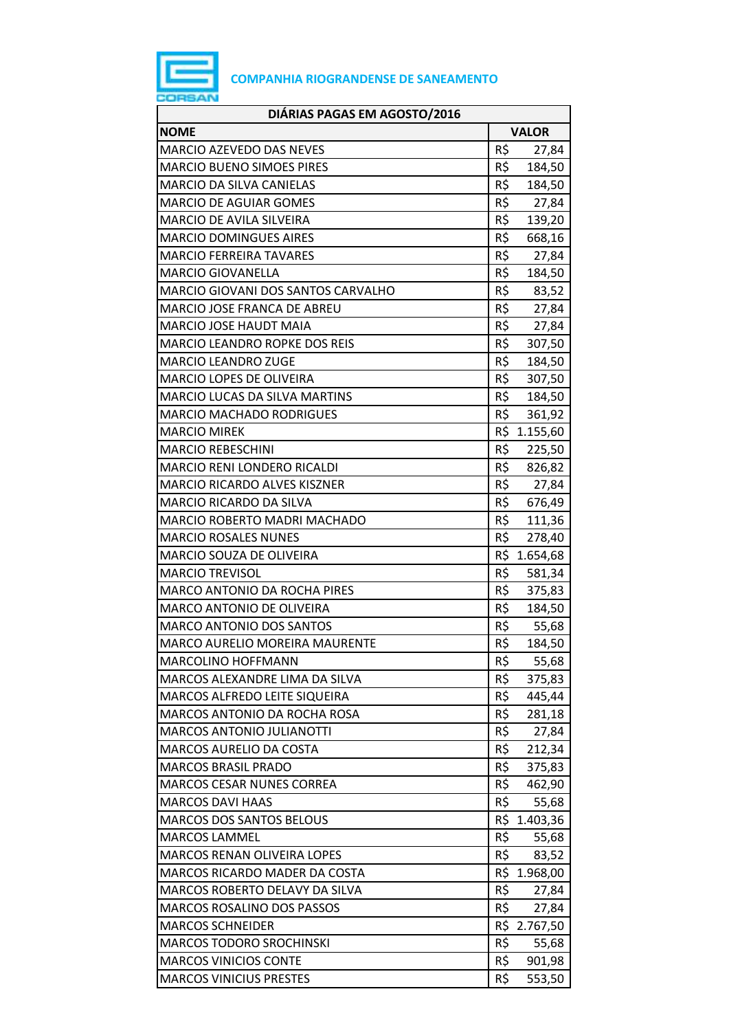

| DIÁRIAS PAGAS EM AGOSTO/2016          |              |              |  |
|---------------------------------------|--------------|--------------|--|
| <b>NOME</b>                           | <b>VALOR</b> |              |  |
| <b>MARCIO AZEVEDO DAS NEVES</b>       | R\$          | 27,84        |  |
| <b>MARCIO BUENO SIMOES PIRES</b>      | R\$          | 184,50       |  |
| MARCIO DA SILVA CANIELAS              | R\$          | 184,50       |  |
| <b>MARCIO DE AGUIAR GOMES</b>         | R\$          | 27,84        |  |
| <b>MARCIO DE AVILA SILVEIRA</b>       | R\$          | 139,20       |  |
| <b>MARCIO DOMINGUES AIRES</b>         | R\$          | 668,16       |  |
| <b>MARCIO FERREIRA TAVARES</b>        | R\$          | 27,84        |  |
| <b>MARCIO GIOVANELLA</b>              | R\$          | 184,50       |  |
| MARCIO GIOVANI DOS SANTOS CARVALHO    | R\$          | 83,52        |  |
| MARCIO JOSE FRANCA DE ABREU           | R\$          | 27,84        |  |
| <b>MARCIO JOSE HAUDT MAIA</b>         | R\$          | 27,84        |  |
| <b>MARCIO LEANDRO ROPKE DOS REIS</b>  | R\$          | 307,50       |  |
| <b>MARCIO LEANDRO ZUGE</b>            | R\$          | 184,50       |  |
| <b>MARCIO LOPES DE OLIVEIRA</b>       | R\$          | 307,50       |  |
| <b>MARCIO LUCAS DA SILVA MARTINS</b>  | R\$          | 184,50       |  |
| <b>MARCIO MACHADO RODRIGUES</b>       | R\$          | 361,92       |  |
| <b>MARCIO MIREK</b>                   | R\$          | 1.155,60     |  |
| <b>MARCIO REBESCHINI</b>              | R\$          | 225,50       |  |
| MARCIO RENI LONDERO RICALDI           |              | R\$ 826,82   |  |
| <b>MARCIO RICARDO ALVES KISZNER</b>   | R\$          | 27,84        |  |
| MARCIO RICARDO DA SILVA               | R\$          | 676,49       |  |
| MARCIO ROBERTO MADRI MACHADO          | R\$          | 111,36       |  |
| <b>MARCIO ROSALES NUNES</b>           | R\$          | 278,40       |  |
| MARCIO SOUZA DE OLIVEIRA              |              | R\$ 1.654,68 |  |
| <b>MARCIO TREVISOL</b>                | R\$          | 581,34       |  |
| <b>MARCO ANTONIO DA ROCHA PIRES</b>   | R\$          | 375,83       |  |
| MARCO ANTONIO DE OLIVEIRA             | R\$          | 184,50       |  |
| <b>MARCO ANTONIO DOS SANTOS</b>       | R\$          | 55,68        |  |
| <b>MARCO AURELIO MOREIRA MAURENTE</b> | R\$          | 184,50       |  |
| MARCOLINO HOFFMANN                    | R\$          | 55,68        |  |
| MARCOS ALEXANDRE LIMA DA SILVA        | R\$          | 375,83       |  |
| MARCOS ALFREDO LEITE SIQUEIRA         | R\$          | 445,44       |  |
| MARCOS ANTONIO DA ROCHA ROSA          | R\$          | 281,18       |  |
| <b>MARCOS ANTONIO JULIANOTTI</b>      | R\$          | 27,84        |  |
| MARCOS AURELIO DA COSTA               | R\$          | 212,34       |  |
| <b>MARCOS BRASIL PRADO</b>            | R\$          | 375,83       |  |
| <b>MARCOS CESAR NUNES CORREA</b>      | R\$          | 462,90       |  |
| <b>MARCOS DAVI HAAS</b>               | R\$          | 55,68        |  |
| <b>MARCOS DOS SANTOS BELOUS</b>       | R\$          | 1.403,36     |  |
| <b>MARCOS LAMMEL</b>                  | R\$          | 55,68        |  |
| <b>MARCOS RENAN OLIVEIRA LOPES</b>    | R\$          | 83,52        |  |
| MARCOS RICARDO MADER DA COSTA         |              | R\$ 1.968,00 |  |
| MARCOS ROBERTO DELAVY DA SILVA        | R\$          | 27,84        |  |
| MARCOS ROSALINO DOS PASSOS            | R\$          | 27,84        |  |
| <b>MARCOS SCHNEIDER</b>               |              | R\$ 2.767,50 |  |
| <b>MARCOS TODORO SROCHINSKI</b>       | R\$          | 55,68        |  |
| <b>MARCOS VINICIOS CONTE</b>          | R\$          | 901,98       |  |
| <b>MARCOS VINICIUS PRESTES</b>        | R\$          | 553,50       |  |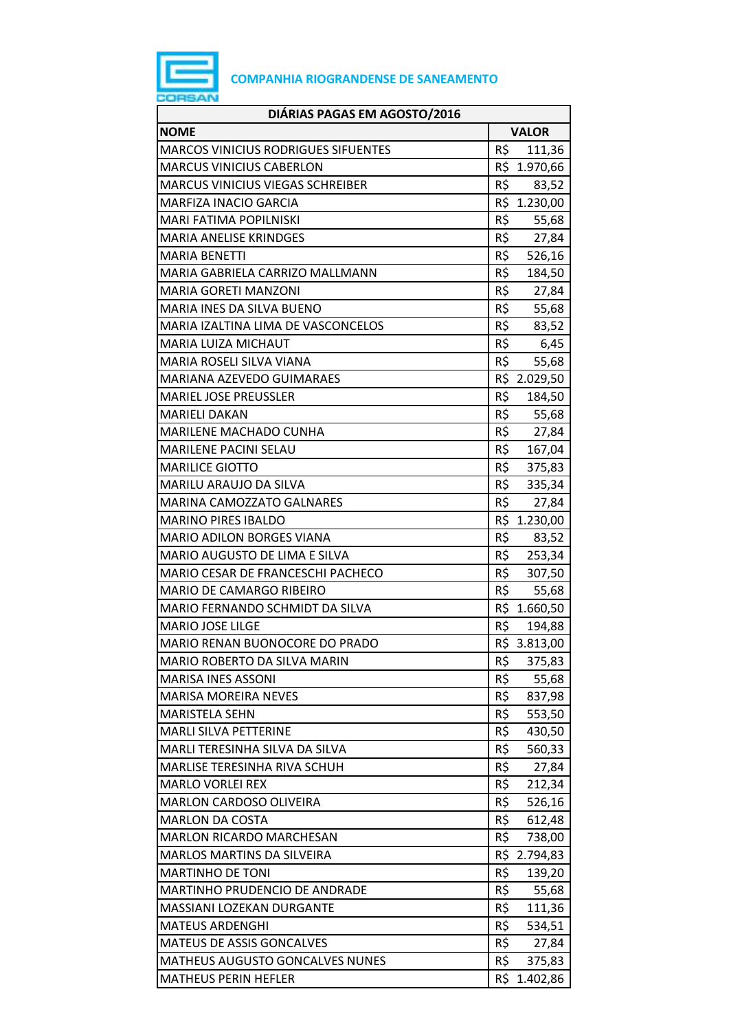

| DIÁRIAS PAGAS EM AGOSTO/2016               |                 |              |
|--------------------------------------------|-----------------|--------------|
| <b>NOME</b>                                |                 | <b>VALOR</b> |
| <b>MARCOS VINICIUS RODRIGUES SIFUENTES</b> | R\$             | 111,36       |
| <b>MARCUS VINICIUS CABERLON</b>            |                 | R\$ 1.970,66 |
| <b>MARCUS VINICIUS VIEGAS SCHREIBER</b>    | R\$             | 83,52        |
| <b>MARFIZA INACIO GARCIA</b>               |                 | R\$ 1.230,00 |
| <b>MARI FATIMA POPILNISKI</b>              | R\$             | 55,68        |
| <b>MARIA ANELISE KRINDGES</b>              | R\$             | 27,84        |
| <b>MARIA BENETTI</b>                       | R\$             | 526,16       |
| MARIA GABRIELA CARRIZO MALLMANN            | R\$             | 184,50       |
| <b>MARIA GORETI MANZONI</b>                | R\$             | 27,84        |
| MARIA INES DA SILVA BUENO                  | R\$             | 55,68        |
| MARIA IZALTINA LIMA DE VASCONCELOS         | R\$             | 83,52        |
| <b>MARIA LUIZA MICHAUT</b>                 | R\$             | 6,45         |
| MARIA ROSELI SILVA VIANA                   | R\$             | 55,68        |
| MARIANA AZEVEDO GUIMARAES                  |                 | R\$ 2.029,50 |
| <b>MARIEL JOSE PREUSSLER</b>               | R\$             | 184,50       |
| <b>MARIELI DAKAN</b>                       | R\$             | 55,68        |
| <b>MARILENE MACHADO CUNHA</b>              | R\$             | 27,84        |
| MARILENE PACINI SELAU                      | $R\overline{S}$ | 167,04       |
| <b>MARILICE GIOTTO</b>                     | R\$             | 375,83       |
| MARILU ARAUJO DA SILVA                     | R\$             | 335,34       |
| MARINA CAMOZZATO GALNARES                  | R\$             | 27,84        |
| <b>MARINO PIRES IBALDO</b>                 | R\$             | 1.230,00     |
| <b>MARIO ADILON BORGES VIANA</b>           | R\$             | 83,52        |
| MARIO AUGUSTO DE LIMA E SILVA              | R\$             | 253,34       |
| MARIO CESAR DE FRANCESCHI PACHECO          | R\$             | 307,50       |
| MARIO DE CAMARGO RIBEIRO                   | R\$             | 55,68        |
| MARIO FERNANDO SCHMIDT DA SILVA            |                 | R\$ 1.660,50 |
| MARIO JOSE LILGE                           | R\$             | 194,88       |
| MARIO RENAN BUONOCORE DO PRADO             |                 | R\$ 3.813,00 |
| MARIO ROBERTO DA SILVA MARIN               | R\$             | 375,83       |
| <b>MARISA INES ASSONI</b>                  | R\$             | 55,68        |
| <b>MARISA MOREIRA NEVES</b>                | R\$             | 837,98       |
| <b>MARISTELA SEHN</b>                      | R\$             | 553,50       |
| <b>MARLI SILVA PETTERINE</b>               | R\$             | 430,50       |
| MARLI TERESINHA SILVA DA SILVA             | R\$             | 560,33       |
| MARLISE TERESINHA RIVA SCHUH               | R\$             | 27,84        |
| <b>MARLO VORLEI REX</b>                    | R\$             | 212,34       |
| MARLON CARDOSO OLIVEIRA                    | R\$             | 526,16       |
| <b>MARLON DA COSTA</b>                     | R\$             | 612,48       |
| <b>MARLON RICARDO MARCHESAN</b>            | R\$             | 738,00       |
| <b>MARLOS MARTINS DA SILVEIRA</b>          | R\$             | 2.794,83     |
| <b>MARTINHO DE TONI</b>                    | R\$             | 139,20       |
| MARTINHO PRUDENCIO DE ANDRADE              | R\$             | 55,68        |
| MASSIANI LOZEKAN DURGANTE                  | R\$             | 111,36       |
| <b>MATEUS ARDENGHI</b>                     | R\$             | 534,51       |
| <b>MATEUS DE ASSIS GONCALVES</b>           | R\$             | 27,84        |
| <b>MATHEUS AUGUSTO GONCALVES NUNES</b>     | R\$             | 375,83       |
| <b>MATHEUS PERIN HEFLER</b>                | R\$             | 1.402,86     |
|                                            |                 |              |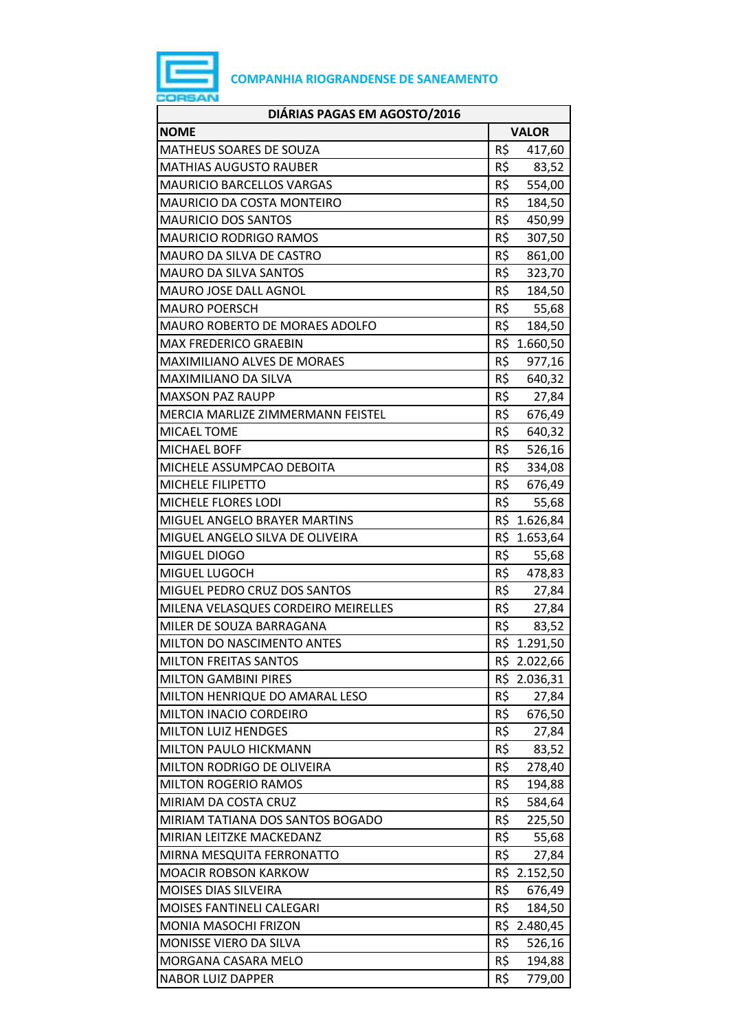

| DIÁRIAS PAGAS EM AGOSTO/2016        |     |              |
|-------------------------------------|-----|--------------|
| <b>NOME</b>                         |     | <b>VALOR</b> |
| <b>MATHEUS SOARES DE SOUZA</b>      | R\$ | 417,60       |
| <b>MATHIAS AUGUSTO RAUBER</b>       | R\$ | 83,52        |
| <b>MAURICIO BARCELLOS VARGAS</b>    | R\$ | 554,00       |
| MAURICIO DA COSTA MONTEIRO          | R\$ | 184,50       |
| <b>MAURICIO DOS SANTOS</b>          | R\$ | 450,99       |
| <b>MAURICIO RODRIGO RAMOS</b>       | R\$ | 307,50       |
| MAURO DA SILVA DE CASTRO            | R\$ | 861,00       |
| <b>MAURO DA SILVA SANTOS</b>        | R\$ | 323,70       |
| MAURO JOSE DALL AGNOL               | R\$ | 184,50       |
| <b>MAURO POERSCH</b>                | R\$ | 55,68        |
| MAURO ROBERTO DE MORAES ADOLFO      | R\$ | 184,50       |
| <b>MAX FREDERICO GRAEBIN</b>        |     | R\$ 1.660,50 |
| MAXIMILIANO ALVES DE MORAES         | R\$ | 977,16       |
| <b>MAXIMILIANO DA SILVA</b>         | R\$ | 640,32       |
| <b>MAXSON PAZ RAUPP</b>             | R\$ | 27,84        |
| MERCIA MARLIZE ZIMMERMANN FEISTEL   | R\$ | 676,49       |
| <b>MICAEL TOME</b>                  | R\$ | 640,32       |
| <b>MICHAEL BOFF</b>                 | R\$ | 526,16       |
| MICHELE ASSUMPCAO DEBOITA           | R\$ | 334,08       |
| <b>MICHELE FILIPETTO</b>            | R\$ | 676,49       |
| MICHELE FLORES LODI                 | R\$ | 55,68        |
| MIGUEL ANGELO BRAYER MARTINS        |     | R\$ 1.626,84 |
| MIGUEL ANGELO SILVA DE OLIVEIRA     |     | R\$ 1.653,64 |
| MIGUEL DIOGO                        | R\$ | 55,68        |
| MIGUEL LUGOCH                       | R\$ | 478,83       |
| MIGUEL PEDRO CRUZ DOS SANTOS        | R\$ | 27,84        |
| MILENA VELASQUES CORDEIRO MEIRELLES | R\$ | 27,84        |
| MILER DE SOUZA BARRAGANA            | R\$ | 83,52        |
| MILTON DO NASCIMENTO ANTES          |     | R\$ 1.291,50 |
| <b>MILTON FREITAS SANTOS</b>        |     | R\$ 2.022,66 |
| <b>MILTON GAMBINI PIRES</b>         |     | R\$ 2.036,31 |
| MILTON HENRIQUE DO AMARAL LESO      | R\$ | 27,84        |
| MILTON INACIO CORDEIRO              | R\$ | 676,50       |
| <b>MILTON LUIZ HENDGES</b>          | R\$ | 27,84        |
| MILTON PAULO HICKMANN               | R\$ | 83,52        |
| MILTON RODRIGO DE OLIVEIRA          | R\$ | 278,40       |
| <b>MILTON ROGERIO RAMOS</b>         | R\$ | 194,88       |
| MIRIAM DA COSTA CRUZ                | R\$ | 584,64       |
| MIRIAM TATIANA DOS SANTOS BOGADO    | R\$ | 225,50       |
| MIRIAN LEITZKE MACKEDANZ            | R\$ | 55,68        |
| MIRNA MESQUITA FERRONATTO           | R\$ | 27,84        |
| <b>MOACIR ROBSON KARKOW</b>         |     | R\$ 2.152,50 |
| MOISES DIAS SILVEIRA                | R\$ | 676,49       |
| MOISES FANTINELI CALEGARI           | R\$ | 184,50       |
| MONIA MASOCHI FRIZON                |     | R\$ 2.480,45 |
| MONISSE VIERO DA SILVA              | R\$ | 526,16       |
| MORGANA CASARA MELO                 | R\$ | 194,88       |
| <b>NABOR LUIZ DAPPER</b>            | R\$ | 779,00       |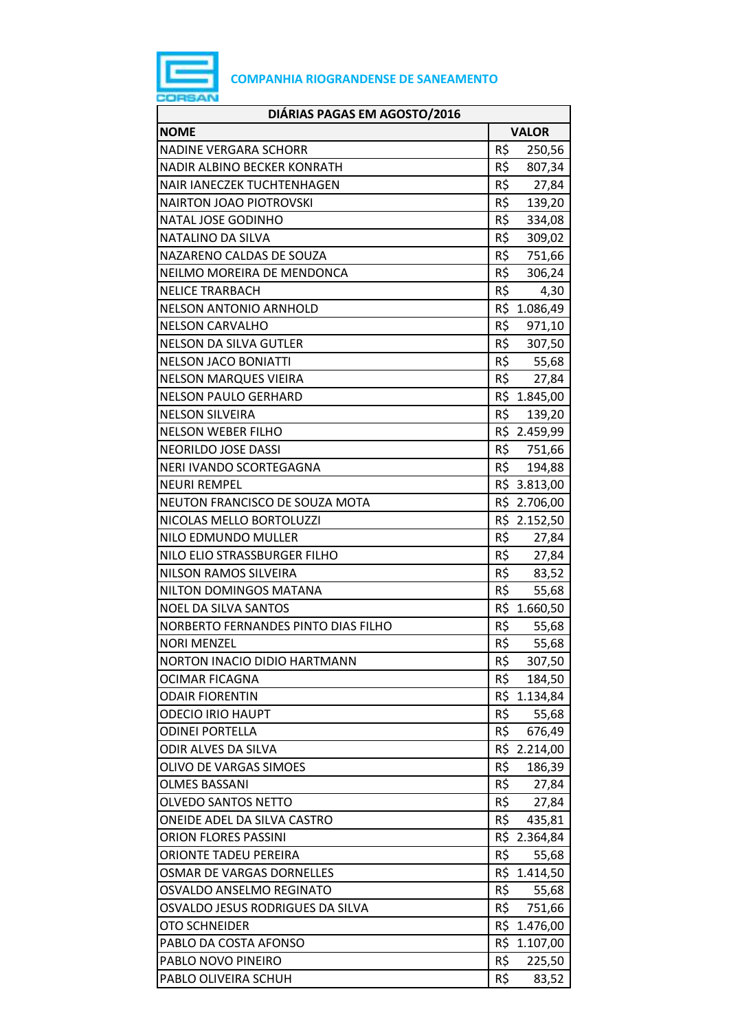

| DIÁRIAS PAGAS EM AGOSTO/2016        |            |              |
|-------------------------------------|------------|--------------|
| <b>NOME</b>                         |            | <b>VALOR</b> |
| <b>NADINE VERGARA SCHORR</b>        | R\$        | 250,56       |
| NADIR ALBINO BECKER KONRATH         | R\$        | 807,34       |
| <b>NAIR IANECZEK TUCHTENHAGEN</b>   | R\$        | 27,84        |
| <b>NAIRTON JOAO PIOTROVSKI</b>      | R\$        | 139,20       |
| NATAL JOSE GODINHO                  | R\$        | 334,08       |
| NATALINO DA SILVA                   | R\$        | 309,02       |
| NAZARENO CALDAS DE SOUZA            | R\$        | 751,66       |
| NEILMO MOREIRA DE MENDONCA          | R\$        | 306,24       |
| <b>NELICE TRARBACH</b>              | $R\hat{S}$ | 4,30         |
| <b>NELSON ANTONIO ARNHOLD</b>       |            | R\$ 1.086,49 |
| <b>NELSON CARVALHO</b>              | R\$        | 971,10       |
| <b>NELSON DA SILVA GUTLER</b>       | R\$        | 307,50       |
| <b>NELSON JACO BONIATTI</b>         | R\$        | 55,68        |
| <b>NELSON MARQUES VIEIRA</b>        | R\$        | 27,84        |
| <b>NELSON PAULO GERHARD</b>         |            | R\$ 1.845,00 |
| <b>NELSON SILVEIRA</b>              | R\$        | 139,20       |
| <b>NELSON WEBER FILHO</b>           |            | R\$ 2.459,99 |
| NEORILDO JOSE DASSI                 | R\$        | 751,66       |
| NERI IVANDO SCORTEGAGNA             | R\$        | 194,88       |
| <b>NEURI REMPEL</b>                 |            | R\$ 3.813,00 |
| NEUTON FRANCISCO DE SOUZA MOTA      |            | R\$ 2.706,00 |
| NICOLAS MELLO BORTOLUZZI            |            | R\$ 2.152,50 |
| NILO EDMUNDO MULLER                 | R\$        | 27,84        |
| NILO ELIO STRASSBURGER FILHO        | R\$        | 27,84        |
| NILSON RAMOS SILVEIRA               | R\$        | 83,52        |
| NILTON DOMINGOS MATANA              | R\$        | 55,68        |
| <b>NOEL DA SILVA SANTOS</b>         |            | R\$ 1.660,50 |
| NORBERTO FERNANDES PINTO DIAS FILHO | R\$        | 55,68        |
| <b>NORI MENZEL</b>                  | R\$        | 55,68        |
| NORTON INACIO DIDIO HARTMANN        | R\$        | 307,50       |
| OCIMAR FICAGNA                      | R\$        | 184,50       |
| <b>ODAIR FIORENTIN</b>              |            | R\$ 1.134,84 |
| <b>ODECIO IRIO HAUPT</b>            | R\$        | 55,68        |
| <b>ODINEI PORTELLA</b>              | R\$        | 676,49       |
| ODIR ALVES DA SILVA                 |            | R\$ 2.214,00 |
| OLIVO DE VARGAS SIMOES              | R\$        | 186,39       |
| <b>OLMES BASSANI</b>                | R\$        | 27,84        |
| <b>OLVEDO SANTOS NETTO</b>          | R\$        | 27,84        |
| ONEIDE ADEL DA SILVA CASTRO         | R\$        | 435,81       |
| <b>ORION FLORES PASSINI</b>         |            | R\$ 2.364,84 |
| ORIONTE TADEU PEREIRA               | R\$        | 55,68        |
| OSMAR DE VARGAS DORNELLES           |            | R\$ 1.414,50 |
| OSVALDO ANSELMO REGINATO            | R\$        | 55,68        |
| OSVALDO JESUS RODRIGUES DA SILVA    | R\$        | 751,66       |
| OTO SCHNEIDER                       |            | R\$ 1.476,00 |
| PABLO DA COSTA AFONSO               | R\$        | 1.107,00     |
| PABLO NOVO PINEIRO                  | R\$        | 225,50       |
| PABLO OLIVEIRA SCHUH                | R\$        | 83,52        |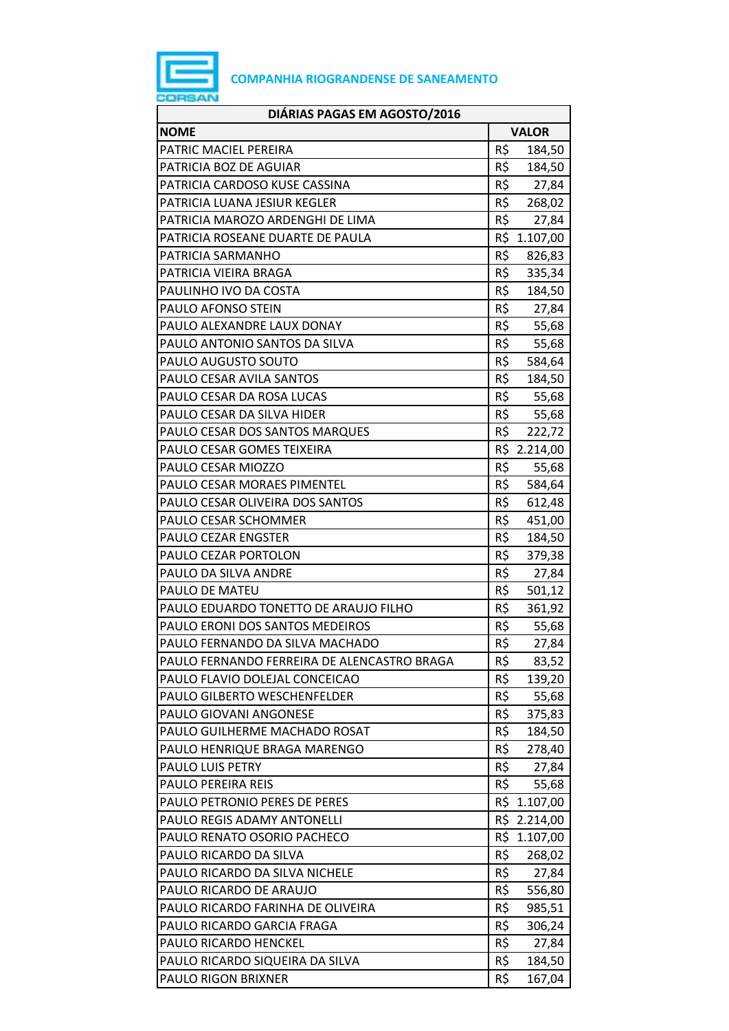

| DIÁRIAS PAGAS EM AGOSTO/2016                |     |              |
|---------------------------------------------|-----|--------------|
| <b>NOME</b>                                 |     | <b>VALOR</b> |
| PATRIC MACIEL PEREIRA                       | R\$ | 184,50       |
| PATRICIA BOZ DE AGUIAR                      | R\$ | 184,50       |
| PATRICIA CARDOSO KUSE CASSINA               | R\$ | 27,84        |
| PATRICIA LUANA JESIUR KEGLER                | R\$ | 268,02       |
| PATRICIA MAROZO ARDENGHI DE LIMA            | R\$ | 27,84        |
| PATRICIA ROSEANE DUARTE DE PAULA            |     | R\$ 1.107,00 |
| PATRICIA SARMANHO                           | R\$ | 826,83       |
| PATRICIA VIEIRA BRAGA                       | R\$ | 335,34       |
| PAULINHO IVO DA COSTA                       | R\$ | 184,50       |
| PAULO AFONSO STEIN                          | R\$ | 27,84        |
| PAULO ALEXANDRE LAUX DONAY                  | R\$ | 55,68        |
| PAULO ANTONIO SANTOS DA SILVA               | R\$ | 55,68        |
| PAULO AUGUSTO SOUTO                         | R\$ | 584,64       |
| PAULO CESAR AVILA SANTOS                    | R\$ | 184,50       |
| PAULO CESAR DA ROSA LUCAS                   | R\$ | 55,68        |
| PAULO CESAR DA SILVA HIDER                  | R\$ | 55,68        |
| PAULO CESAR DOS SANTOS MARQUES              | R\$ | 222,72       |
| PAULO CESAR GOMES TEIXEIRA                  |     | R\$ 2.214,00 |
| PAULO CESAR MIOZZO                          | R\$ | 55,68        |
| PAULO CESAR MORAES PIMENTEL                 | R\$ | 584,64       |
| PAULO CESAR OLIVEIRA DOS SANTOS             | R\$ | 612,48       |
| PAULO CESAR SCHOMMER                        | R\$ | 451,00       |
| PAULO CEZAR ENGSTER                         | R\$ | 184,50       |
| PAULO CEZAR PORTOLON                        | R\$ | 379,38       |
| PAULO DA SILVA ANDRE                        | R\$ | 27,84        |
| PAULO DE MATEU                              | R\$ | 501,12       |
| PAULO EDUARDO TONETTO DE ARAUJO FILHO       | R\$ | 361,92       |
| PAULO ERONI DOS SANTOS MEDEIROS             | R\$ | 55,68        |
| PAULO FERNANDO DA SILVA MACHADO             | R\$ | 27,84        |
| PAULO FERNANDO FERREIRA DE ALENCASTRO BRAGA | R\$ | 83,52        |
| PAULO FLAVIO DOLEJAL CONCEICAO              | R\$ | 139,20       |
| PAULO GILBERTO WESCHENFELDER                | R\$ | 55,68        |
| PAULO GIOVANI ANGONESE                      | R\$ | 375,83       |
| PAULO GUILHERME MACHADO ROSAT               | R\$ | 184,50       |
| PAULO HENRIQUE BRAGA MARENGO                | R\$ | 278,40       |
| PAULO LUIS PETRY                            | R\$ | 27,84        |
| <b>PAULO PEREIRA REIS</b>                   | R\$ | 55,68        |
| PAULO PETRONIO PERES DE PERES               |     | R\$ 1.107,00 |
| PAULO REGIS ADAMY ANTONELLI                 |     | R\$ 2.214,00 |
| PAULO RENATO OSORIO PACHECO                 |     | R\$ 1.107,00 |
| PAULO RICARDO DA SILVA                      | R\$ | 268,02       |
| PAULO RICARDO DA SILVA NICHELE              | R\$ | 27,84        |
| PAULO RICARDO DE ARAUJO                     | R\$ | 556,80       |
| PAULO RICARDO FARINHA DE OLIVEIRA           | R\$ | 985,51       |
| PAULO RICARDO GARCIA FRAGA                  | R\$ | 306,24       |
| PAULO RICARDO HENCKEL                       | R\$ |              |
|                                             | R\$ | 27,84        |
| PAULO RICARDO SIQUEIRA DA SILVA             |     | 184,50       |
| PAULO RIGON BRIXNER                         | R\$ | 167,04       |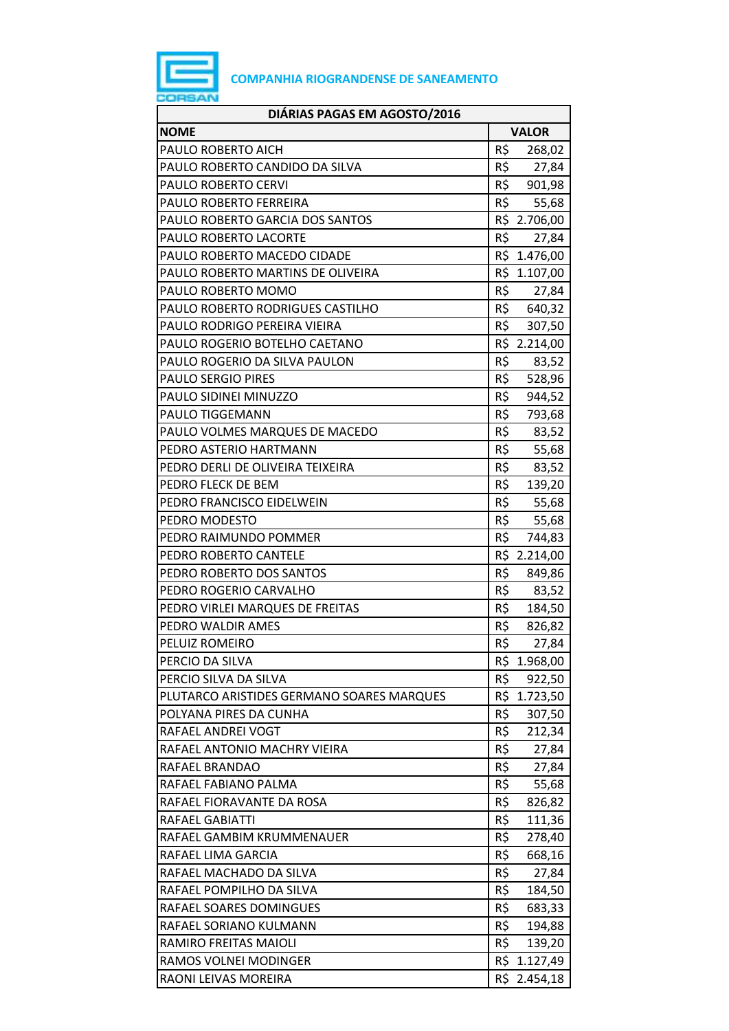

| DIÁRIAS PAGAS EM AGOSTO/2016              |                 |  |
|-------------------------------------------|-----------------|--|
| <b>NOME</b>                               | <b>VALOR</b>    |  |
| PAULO ROBERTO AICH                        | R\$<br>268,02   |  |
| PAULO ROBERTO CANDIDO DA SILVA            | R\$<br>27,84    |  |
| PAULO ROBERTO CERVI                       | R\$ 901,98      |  |
| PAULO ROBERTO FERREIRA                    | R\$<br>55,68    |  |
| PAULO ROBERTO GARCIA DOS SANTOS           | R\$ 2.706,00    |  |
| PAULO ROBERTO LACORTE                     | R\$<br>27,84    |  |
| PAULO ROBERTO MACEDO CIDADE               | R\$ 1.476,00    |  |
| PAULO ROBERTO MARTINS DE OLIVEIRA         | R\$ 1.107,00    |  |
| PAULO ROBERTO MOMO                        | R\$<br>27,84    |  |
| PAULO ROBERTO RODRIGUES CASTILHO          | R\$ 640,32      |  |
| PAULO RODRIGO PEREIRA VIEIRA              | R\$<br>307,50   |  |
| PAULO ROGERIO BOTELHO CAETANO             | R\$ 2.214,00    |  |
| PAULO ROGERIO DA SILVA PAULON             | R\$<br>83,52    |  |
| <b>PAULO SERGIO PIRES</b>                 | R\$<br>528,96   |  |
| PAULO SIDINEI MINUZZO                     | R\$<br>944,52   |  |
| PAULO TIGGEMANN                           | R\$<br>793,68   |  |
| PAULO VOLMES MARQUES DE MACEDO            | R\$<br>83,52    |  |
| PEDRO ASTERIO HARTMANN                    | R\$<br>55,68    |  |
| PEDRO DERLI DE OLIVEIRA TEIXEIRA          | R\$<br>83,52    |  |
| PEDRO FLECK DE BEM                        | R\$<br>139,20   |  |
| PEDRO FRANCISCO EIDELWEIN                 | R\$<br>55,68    |  |
| PEDRO MODESTO                             | R\$<br>55,68    |  |
| PEDRO RAIMUNDO POMMER                     | R\$<br>744,83   |  |
| PEDRO ROBERTO CANTELE                     | R\$ 2.214,00    |  |
| PEDRO ROBERTO DOS SANTOS                  | R\$<br>849,86   |  |
| PEDRO ROGERIO CARVALHO                    | R\$<br>83,52    |  |
| PEDRO VIRLEI MARQUES DE FREITAS           | R\$<br>184,50   |  |
| PEDRO WALDIR AMES                         | R\$<br>826,82   |  |
| PELUIZ ROMEIRO                            | R\$<br>27,84    |  |
| PERCIO DA SILVA                           | R\$ 1.968,00    |  |
| PERCIO SILVA DA SILVA                     | R\$             |  |
|                                           | 922,50          |  |
| PLUTARCO ARISTIDES GERMANO SOARES MARQUES | R\$<br>1.723,50 |  |
| POLYANA PIRES DA CUNHA                    | R\$<br>307,50   |  |
| RAFAEL ANDREI VOGT                        | R\$<br>212,34   |  |
| RAFAEL ANTONIO MACHRY VIEIRA              | R\$<br>27,84    |  |
| RAFAEL BRANDAO                            | R\$<br>27,84    |  |
| RAFAEL FABIANO PALMA                      | R\$<br>55,68    |  |
| RAFAEL FIORAVANTE DA ROSA                 | R\$<br>826,82   |  |
| RAFAEL GABIATTI                           | R\$<br>111,36   |  |
| RAFAEL GAMBIM KRUMMENAUER                 | R\$<br>278,40   |  |
| RAFAEL LIMA GARCIA                        | R\$<br>668,16   |  |
| RAFAEL MACHADO DA SILVA                   | R\$<br>27,84    |  |
| RAFAEL POMPILHO DA SILVA                  | R\$<br>184,50   |  |
| RAFAEL SOARES DOMINGUES                   | R\$<br>683,33   |  |
| RAFAEL SORIANO KULMANN                    | R\$<br>194,88   |  |
| RAMIRO FREITAS MAIOLI                     | R\$<br>139,20   |  |
| RAMOS VOLNEI MODINGER                     | R\$<br>1.127,49 |  |
| RAONI LEIVAS MOREIRA                      | R\$ 2.454,18    |  |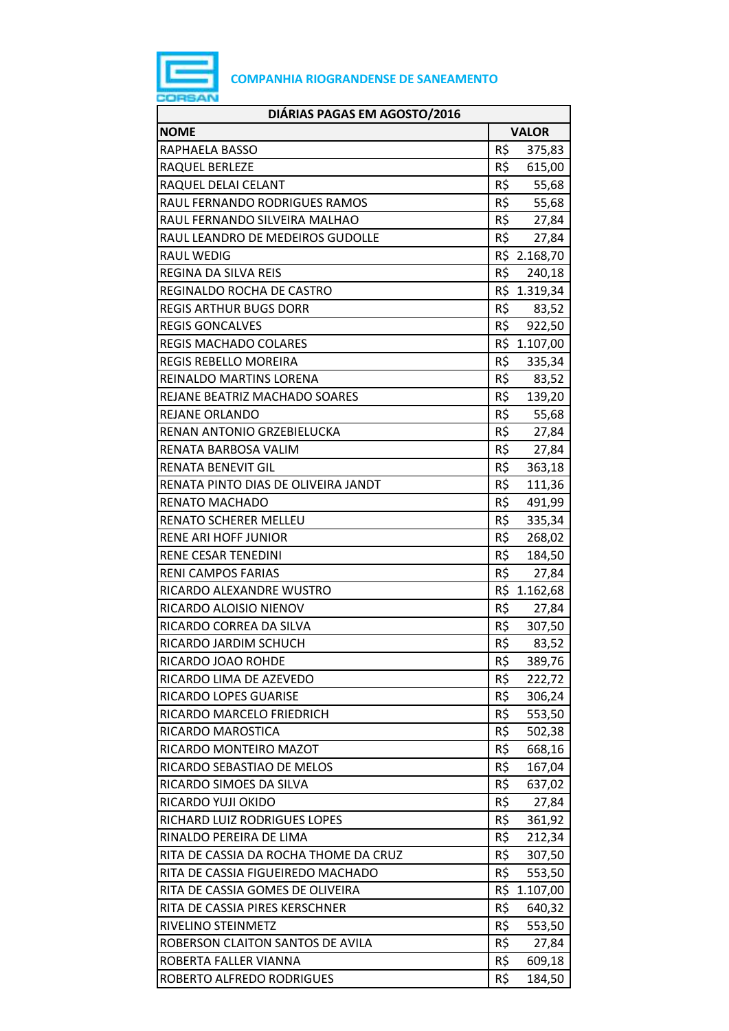

| DIÁRIAS PAGAS EM AGOSTO/2016          |                 |  |
|---------------------------------------|-----------------|--|
| <b>NOME</b>                           | <b>VALOR</b>    |  |
| RAPHAELA BASSO                        | R\$<br>375,83   |  |
| RAQUEL BERLEZE                        | R\$<br>615,00   |  |
| RAQUEL DELAI CELANT                   | R\$<br>55,68    |  |
| RAUL FERNANDO RODRIGUES RAMOS         | R\$<br>55,68    |  |
| RAUL FERNANDO SILVEIRA MALHAO         | R\$ 27,84       |  |
| RAUL LEANDRO DE MEDEIROS GUDOLLE      | R\$<br>27,84    |  |
| <b>RAUL WEDIG</b>                     | R\$ 2.168,70    |  |
| <b>REGINA DA SILVA REIS</b>           | R\$<br>240,18   |  |
| REGINALDO ROCHA DE CASTRO             | R\$ 1.319,34    |  |
| <b>REGIS ARTHUR BUGS DORR</b>         | R\$ 83,52       |  |
| <b>REGIS GONCALVES</b>                | R\$<br>922,50   |  |
| <b>REGIS MACHADO COLARES</b>          | R\$ 1.107,00    |  |
| REGIS REBELLO MOREIRA                 | R\$<br>335,34   |  |
| REINALDO MARTINS LORENA               | R\$<br>83,52    |  |
| REJANE BEATRIZ MACHADO SOARES         | R\$ 139,20      |  |
| REJANE ORLANDO                        | R\$<br>55,68    |  |
| RENAN ANTONIO GRZEBIELUCKA            | R\$<br>27,84    |  |
| RENATA BARBOSA VALIM                  | R\$<br>27,84    |  |
| <b>RENATA BENEVIT GIL</b>             | R\$<br>363,18   |  |
| RENATA PINTO DIAS DE OLIVEIRA JANDT   | R\$<br>111,36   |  |
| RENATO MACHADO                        | R\$<br>491,99   |  |
| <b>RENATO SCHERER MELLEU</b>          | R\$<br>335,34   |  |
| <b>RENE ARI HOFF JUNIOR</b>           | R\$<br>268,02   |  |
| RENE CESAR TENEDINI                   | R\$<br>184,50   |  |
| <b>RENI CAMPOS FARIAS</b>             | R\$<br>27,84    |  |
| RICARDO ALEXANDRE WUSTRO              | R\$<br>1.162,68 |  |
| RICARDO ALOISIO NIENOV                | R\$<br>27,84    |  |
| RICARDO CORREA DA SILVA               | R\$<br>307,50   |  |
| RICARDO JARDIM SCHUCH                 | R\$<br>83,52    |  |
| RICARDO JOAO ROHDE                    | R\$<br>389,76   |  |
| RICARDO LIMA DE AZEVEDO               | R\$<br>222,72   |  |
| RICARDO LOPES GUARISE                 | R\$<br>306,24   |  |
| RICARDO MARCELO FRIEDRICH             | R\$<br>553,50   |  |
| RICARDO MAROSTICA                     | R\$<br>502,38   |  |
| RICARDO MONTEIRO MAZOT                | R\$<br>668,16   |  |
| RICARDO SEBASTIAO DE MELOS            | R\$<br>167,04   |  |
| RICARDO SIMOES DA SILVA               | R\$<br>637,02   |  |
| RICARDO YUJI OKIDO                    | R\$<br>27,84    |  |
| RICHARD LUIZ RODRIGUES LOPES          | R\$<br>361,92   |  |
| RINALDO PEREIRA DE LIMA               | R\$<br>212,34   |  |
| RITA DE CASSIA DA ROCHA THOME DA CRUZ | R\$<br>307,50   |  |
| RITA DE CASSIA FIGUEIREDO MACHADO     | R\$<br>553,50   |  |
| RITA DE CASSIA GOMES DE OLIVEIRA      | R\$<br>1.107,00 |  |
| RITA DE CASSIA PIRES KERSCHNER        | R\$<br>640,32   |  |
| RIVELINO STEINMETZ                    | R\$<br>553,50   |  |
| ROBERSON CLAITON SANTOS DE AVILA      | R\$<br>27,84    |  |
| ROBERTA FALLER VIANNA                 | R\$<br>609,18   |  |
| ROBERTO ALFREDO RODRIGUES             | R\$<br>184,50   |  |
|                                       |                 |  |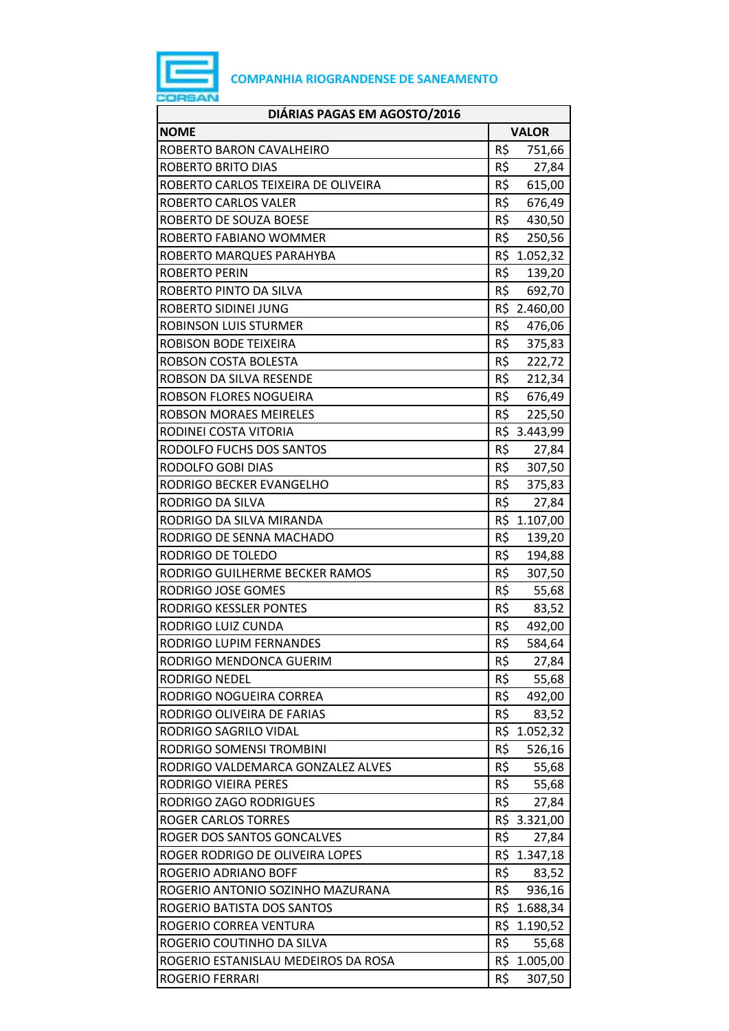

| DIÁRIAS PAGAS EM AGOSTO/2016        |                 |  |
|-------------------------------------|-----------------|--|
| <b>NOME</b>                         | <b>VALOR</b>    |  |
| ROBERTO BARON CAVALHEIRO            | R\$<br>751,66   |  |
| <b>ROBERTO BRITO DIAS</b>           | R\$<br>27,84    |  |
| ROBERTO CARLOS TEIXEIRA DE OLIVEIRA | R\$<br>615,00   |  |
| ROBERTO CARLOS VALER                | R\$<br>676,49   |  |
| ROBERTO DE SOUZA BOESE              | R\$<br>430,50   |  |
| ROBERTO FABIANO WOMMER              | R\$<br>250,56   |  |
| ROBERTO MARQUES PARAHYBA            | R\$<br>1.052,32 |  |
| <b>ROBERTO PERIN</b>                | R\$<br>139,20   |  |
| ROBERTO PINTO DA SILVA              | R\$<br>692,70   |  |
| ROBERTO SIDINEI JUNG                | R\$ 2.460,00    |  |
| <b>ROBINSON LUIS STURMER</b>        | R\$<br>476,06   |  |
| ROBISON BODE TEIXEIRA               | R\$<br>375,83   |  |
| ROBSON COSTA BOLESTA                | R\$<br>222,72   |  |
| ROBSON DA SILVA RESENDE             | R\$<br>212,34   |  |
| ROBSON FLORES NOGUEIRA              | R\$<br>676,49   |  |
| <b>ROBSON MORAES MEIRELES</b>       | R\$<br>225,50   |  |
| RODINEI COSTA VITORIA               | R\$ 3.443,99    |  |
| RODOLFO FUCHS DOS SANTOS            | R\$<br>27,84    |  |
| RODOLFO GOBI DIAS                   | R\$<br>307,50   |  |
| RODRIGO BECKER EVANGELHO            | R\$<br>375,83   |  |
| RODRIGO DA SILVA                    | R\$<br>27,84    |  |
| RODRIGO DA SILVA MIRANDA            | R\$ 1.107,00    |  |
| RODRIGO DE SENNA MACHADO            | R\$<br>139,20   |  |
| RODRIGO DE TOLEDO                   | R\$<br>194,88   |  |
| RODRIGO GUILHERME BECKER RAMOS      | R\$<br>307,50   |  |
| RODRIGO JOSE GOMES                  | R\$<br>55,68    |  |
| RODRIGO KESSLER PONTES              | R\$<br>83,52    |  |
| RODRIGO LUIZ CUNDA                  | R\$<br>492,00   |  |
| RODRIGO LUPIM FERNANDES             | R\$<br>584,64   |  |
| RODRIGO MENDONCA GUERIM             | R\$<br>27,84    |  |
| <b>RODRIGO NEDEL</b>                | R\$<br>55,68    |  |
| RODRIGO NOGUEIRA CORREA             | R\$<br>492,00   |  |
| RODRIGO OLIVEIRA DE FARIAS          | R\$<br>83,52    |  |
| RODRIGO SAGRILO VIDAL               | R\$<br>1.052,32 |  |
| RODRIGO SOMENSI TROMBINI            | R\$<br>526,16   |  |
| RODRIGO VALDEMARCA GONZALEZ ALVES   | R\$<br>55,68    |  |
| RODRIGO VIEIRA PERES                | R\$<br>55,68    |  |
| RODRIGO ZAGO RODRIGUES              | R\$<br>27,84    |  |
| <b>ROGER CARLOS TORRES</b>          | R\$ 3.321,00    |  |
| ROGER DOS SANTOS GONCALVES          | R\$<br>27,84    |  |
| ROGER RODRIGO DE OLIVEIRA LOPES     | R\$<br>1.347,18 |  |
| ROGERIO ADRIANO BOFF                | R\$<br>83,52    |  |
| ROGERIO ANTONIO SOZINHO MAZURANA    | R\$<br>936,16   |  |
| ROGERIO BATISTA DOS SANTOS          | R\$ 1.688,34    |  |
| ROGERIO CORREA VENTURA              | R\$ 1.190,52    |  |
| ROGERIO COUTINHO DA SILVA           | R\$<br>55,68    |  |
| ROGERIO ESTANISLAU MEDEIROS DA ROSA | R\$ 1.005,00    |  |
| ROGERIO FERRARI                     | R\$<br>307,50   |  |
|                                     |                 |  |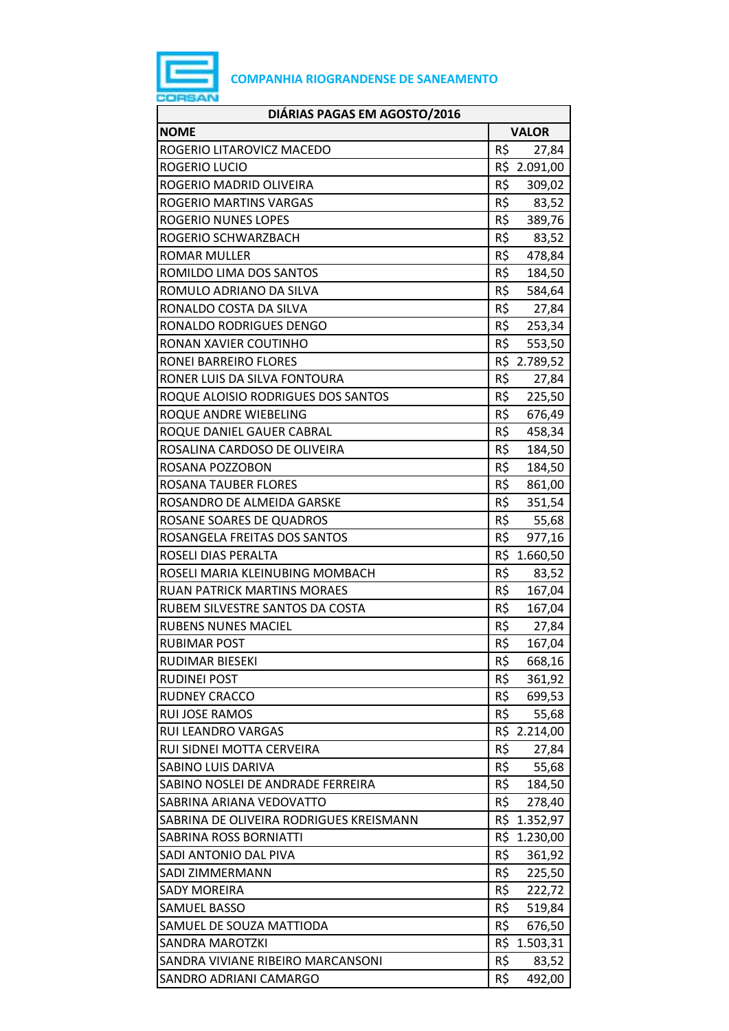

| DIÁRIAS PAGAS EM AGOSTO/2016            |              |              |  |
|-----------------------------------------|--------------|--------------|--|
| <b>NOME</b>                             | <b>VALOR</b> |              |  |
| ROGERIO LITAROVICZ MACEDO               | R\$          | 27,84        |  |
| ROGERIO LUCIO                           |              | R\$ 2.091,00 |  |
| ROGERIO MADRID OLIVEIRA                 | R\$          | 309,02       |  |
| ROGERIO MARTINS VARGAS                  | R\$          | 83,52        |  |
| ROGERIO NUNES LOPES                     | R\$          | 389,76       |  |
| ROGERIO SCHWARZBACH                     | R\$          | 83,52        |  |
| <b>ROMAR MULLER</b>                     | R\$          | 478,84       |  |
| ROMILDO LIMA DOS SANTOS                 | R\$          | 184,50       |  |
| ROMULO ADRIANO DA SILVA                 | R\$          | 584,64       |  |
| RONALDO COSTA DA SILVA                  | R\$          | 27,84        |  |
| RONALDO RODRIGUES DENGO                 | R\$          | 253,34       |  |
| RONAN XAVIER COUTINHO                   | R\$          | 553,50       |  |
| RONEI BARREIRO FLORES                   |              | R\$ 2.789,52 |  |
| RONER LUIS DA SILVA FONTOURA            | R\$          | 27,84        |  |
| ROQUE ALOISIO RODRIGUES DOS SANTOS      | R\$          | 225,50       |  |
| ROQUE ANDRE WIEBELING                   | R\$          | 676,49       |  |
| ROQUE DANIEL GAUER CABRAL               | R\$          | 458,34       |  |
| ROSALINA CARDOSO DE OLIVEIRA            | R\$          | 184,50       |  |
| ROSANA POZZOBON                         | R\$          | 184,50       |  |
| ROSANA TAUBER FLORES                    | R\$          | 861,00       |  |
| ROSANDRO DE ALMEIDA GARSKE              | R\$          | 351,54       |  |
| ROSANE SOARES DE QUADROS                | R\$          | 55,68        |  |
| ROSANGELA FREITAS DOS SANTOS            | R\$          | 977,16       |  |
| ROSELI DIAS PERALTA                     | R\$          | 1.660,50     |  |
| ROSELI MARIA KLEINUBING MOMBACH         | R\$          | 83,52        |  |
| <b>RUAN PATRICK MARTINS MORAES</b>      | R\$          | 167,04       |  |
| RUBEM SILVESTRE SANTOS DA COSTA         | R\$          | 167,04       |  |
| <b>RUBENS NUNES MACIEL</b>              | R\$          | 27,84        |  |
| <b>RUBIMAR POST</b>                     | R\$          | 167,04       |  |
| <b>RUDIMAR BIESEKI</b>                  | R\$          | 668,16       |  |
| <b>RUDINEI POST</b>                     | R\$          | 361,92       |  |
| <b>RUDNEY CRACCO</b>                    | R\$          | 699,53       |  |
| <b>RUI JOSE RAMOS</b>                   | R\$          | 55,68        |  |
| <b>RUI LEANDRO VARGAS</b>               |              | R\$ 2.214,00 |  |
| RUI SIDNEI MOTTA CERVEIRA               | R\$          | 27,84        |  |
| SABINO LUIS DARIVA                      | R\$          | 55,68        |  |
| SABINO NOSLEI DE ANDRADE FERREIRA       | R\$          | 184,50       |  |
| SABRINA ARIANA VEDOVATTO                | R\$          | 278,40       |  |
| SABRINA DE OLIVEIRA RODRIGUES KREISMANN | R\$          | 1.352,97     |  |
| SABRINA ROSS BORNIATTI                  | R\$          | 1.230,00     |  |
| SADI ANTONIO DAL PIVA                   | R\$          | 361,92       |  |
| SADI ZIMMERMANN                         | R\$          | 225,50       |  |
| <b>SADY MOREIRA</b>                     | R\$          | 222,72       |  |
| <b>SAMUEL BASSO</b>                     | R\$          | 519,84       |  |
| SAMUEL DE SOUZA MATTIODA                | R\$          | 676,50       |  |
| <b>SANDRA MAROTZKI</b>                  | R\$          | 1.503,31     |  |
| SANDRA VIVIANE RIBEIRO MARCANSONI       | R\$          | 83,52        |  |
| SANDRO ADRIANI CAMARGO                  | R\$          | 492,00       |  |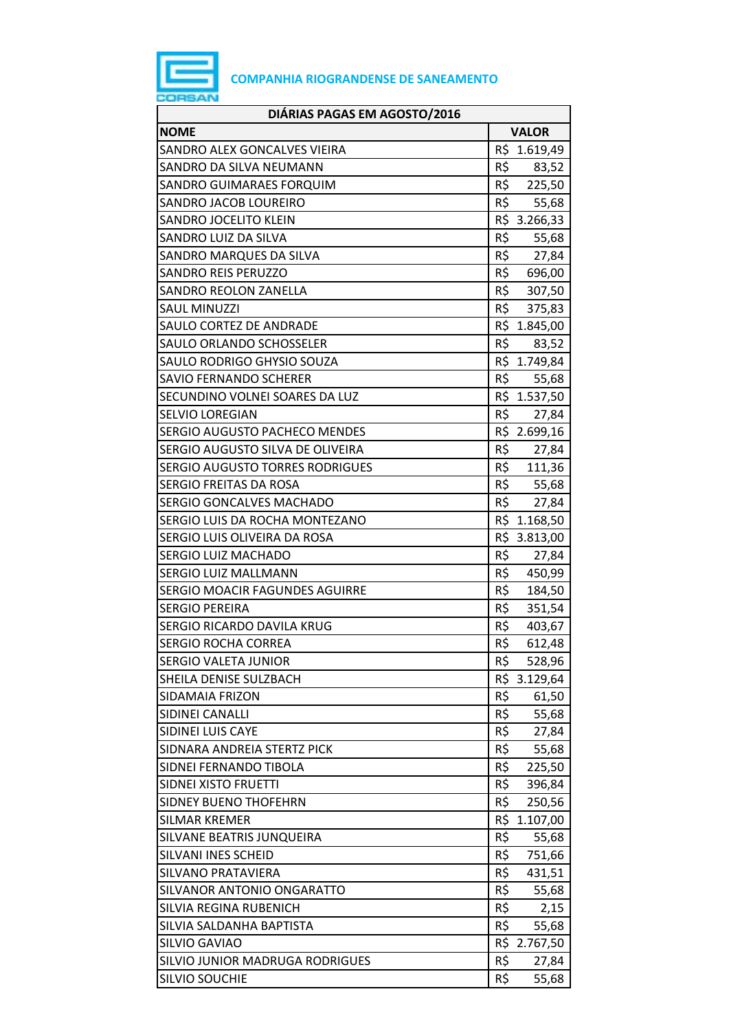

| <b>NOME</b><br><b>VALOR</b><br>R\$<br>SANDRO ALEX GONCALVES VIEIRA<br>1.619,49<br>R\$<br>SANDRO DA SILVA NEUMANN<br>83,52<br>R\$<br>225,50<br>SANDRO GUIMARAES FORQUIM<br>R\$<br>SANDRO JACOB LOUREIRO<br>55,68<br>R\$ 3.266,33<br>SANDRO JOCELITO KLEIN<br>R\$<br>SANDRO LUIZ DA SILVA<br>55,68<br>R\$ 27,84<br>SANDRO MARQUES DA SILVA<br>R\$<br><b>SANDRO REIS PERUZZO</b><br>696,00<br>R\$<br><b>SANDRO REOLON ZANELLA</b><br>307,50<br>R\$ 375,83<br><b>SAUL MINUZZI</b><br>R\$ 1.845,00<br>SAULO CORTEZ DE ANDRADE<br>R\$<br>SAULO ORLANDO SCHOSSELER<br>83,52<br>R\$ 1.749,84<br>SAULO RODRIGO GHYSIO SOUZA<br>R\$<br><b>SAVIO FERNANDO SCHERER</b><br>55,68<br>R\$ 1.537,50<br>SECUNDINO VOLNEI SOARES DA LUZ<br>R\$<br><b>SELVIO LOREGIAN</b><br>27,84<br>R\$ 2.699,16<br><b>SERGIO AUGUSTO PACHECO MENDES</b><br>R\$<br>SERGIO AUGUSTO SILVA DE OLIVEIRA<br>27,84<br>R\$ 111,36<br><b>SERGIO AUGUSTO TORRES RODRIGUES</b><br>R\$ 55,68<br>SERGIO FREITAS DA ROSA<br>R\$<br>SERGIO GONCALVES MACHADO<br>27,84<br>R\$ 1.168,50<br>SERGIO LUIS DA ROCHA MONTEZANO<br>R\$ 3.813,00<br>SERGIO LUIS OLIVEIRA DA ROSA<br>R\$<br>SERGIO LUIZ MACHADO<br>27,84<br>R\$<br>SERGIO LUIZ MALLMANN<br>450,99<br>R\$<br>SERGIO MOACIR FAGUNDES AGUIRRE<br>184,50<br>R\$<br><b>SERGIO PEREIRA</b><br>351,54<br>R\$<br>SERGIO RICARDO DAVILA KRUG<br>403,67<br>R\$<br><b>SERGIO ROCHA CORREA</b><br>612,48<br><b>SERGIO VALETA JUNIOR</b><br>R\$<br>528,96<br>R\$ 3.129,64<br>SHEILA DENISE SULZBACH<br>R\$<br><b>SIDAMAIA FRIZON</b><br>61,50<br>R\$<br>55,68<br>SIDINEI CANALLI<br>R\$<br>SIDINEI LUIS CAYE<br>27,84<br>R\$<br>SIDNARA ANDREIA STERTZ PICK<br>55,68<br>R\$<br>SIDNEI FERNANDO TIBOLA<br>225,50<br>R\$<br>SIDNEI XISTO FRUETTI<br>396,84<br>R\$<br>250,56<br><b>SIDNEY BUENO THOFEHRN</b><br>R\$<br><b>SILMAR KREMER</b><br>1.107,00<br>R\$<br>SILVANE BEATRIS JUNQUEIRA<br>55,68<br>R\$<br>SILVANI INES SCHEID<br>751,66<br>R\$<br>SILVANO PRATAVIERA<br>431,51<br>R\$<br>SILVANOR ANTONIO ONGARATTO<br>55,68<br>R\$<br>SILVIA REGINA RUBENICH<br>2,15<br>R\$<br>SILVIA SALDANHA BAPTISTA<br>55,68<br>R\$ 2.767,50<br>SILVIO GAVIAO<br>R\$<br>SILVIO JUNIOR MADRUGA RODRIGUES<br>27,84<br>R\$<br>55,68<br><b>SILVIO SOUCHIE</b> | DIÁRIAS PAGAS EM AGOSTO/2016 |  |
|--------------------------------------------------------------------------------------------------------------------------------------------------------------------------------------------------------------------------------------------------------------------------------------------------------------------------------------------------------------------------------------------------------------------------------------------------------------------------------------------------------------------------------------------------------------------------------------------------------------------------------------------------------------------------------------------------------------------------------------------------------------------------------------------------------------------------------------------------------------------------------------------------------------------------------------------------------------------------------------------------------------------------------------------------------------------------------------------------------------------------------------------------------------------------------------------------------------------------------------------------------------------------------------------------------------------------------------------------------------------------------------------------------------------------------------------------------------------------------------------------------------------------------------------------------------------------------------------------------------------------------------------------------------------------------------------------------------------------------------------------------------------------------------------------------------------------------------------------------------------------------------------------------------------------------------------------------------------------------------------------------------------------------------------------------------------------------------------------------------------------------------------------------------------------------------------------------------------------------------------|------------------------------|--|
|                                                                                                                                                                                                                                                                                                                                                                                                                                                                                                                                                                                                                                                                                                                                                                                                                                                                                                                                                                                                                                                                                                                                                                                                                                                                                                                                                                                                                                                                                                                                                                                                                                                                                                                                                                                                                                                                                                                                                                                                                                                                                                                                                                                                                                            |                              |  |
|                                                                                                                                                                                                                                                                                                                                                                                                                                                                                                                                                                                                                                                                                                                                                                                                                                                                                                                                                                                                                                                                                                                                                                                                                                                                                                                                                                                                                                                                                                                                                                                                                                                                                                                                                                                                                                                                                                                                                                                                                                                                                                                                                                                                                                            |                              |  |
|                                                                                                                                                                                                                                                                                                                                                                                                                                                                                                                                                                                                                                                                                                                                                                                                                                                                                                                                                                                                                                                                                                                                                                                                                                                                                                                                                                                                                                                                                                                                                                                                                                                                                                                                                                                                                                                                                                                                                                                                                                                                                                                                                                                                                                            |                              |  |
|                                                                                                                                                                                                                                                                                                                                                                                                                                                                                                                                                                                                                                                                                                                                                                                                                                                                                                                                                                                                                                                                                                                                                                                                                                                                                                                                                                                                                                                                                                                                                                                                                                                                                                                                                                                                                                                                                                                                                                                                                                                                                                                                                                                                                                            |                              |  |
|                                                                                                                                                                                                                                                                                                                                                                                                                                                                                                                                                                                                                                                                                                                                                                                                                                                                                                                                                                                                                                                                                                                                                                                                                                                                                                                                                                                                                                                                                                                                                                                                                                                                                                                                                                                                                                                                                                                                                                                                                                                                                                                                                                                                                                            |                              |  |
|                                                                                                                                                                                                                                                                                                                                                                                                                                                                                                                                                                                                                                                                                                                                                                                                                                                                                                                                                                                                                                                                                                                                                                                                                                                                                                                                                                                                                                                                                                                                                                                                                                                                                                                                                                                                                                                                                                                                                                                                                                                                                                                                                                                                                                            |                              |  |
|                                                                                                                                                                                                                                                                                                                                                                                                                                                                                                                                                                                                                                                                                                                                                                                                                                                                                                                                                                                                                                                                                                                                                                                                                                                                                                                                                                                                                                                                                                                                                                                                                                                                                                                                                                                                                                                                                                                                                                                                                                                                                                                                                                                                                                            |                              |  |
|                                                                                                                                                                                                                                                                                                                                                                                                                                                                                                                                                                                                                                                                                                                                                                                                                                                                                                                                                                                                                                                                                                                                                                                                                                                                                                                                                                                                                                                                                                                                                                                                                                                                                                                                                                                                                                                                                                                                                                                                                                                                                                                                                                                                                                            |                              |  |
|                                                                                                                                                                                                                                                                                                                                                                                                                                                                                                                                                                                                                                                                                                                                                                                                                                                                                                                                                                                                                                                                                                                                                                                                                                                                                                                                                                                                                                                                                                                                                                                                                                                                                                                                                                                                                                                                                                                                                                                                                                                                                                                                                                                                                                            |                              |  |
|                                                                                                                                                                                                                                                                                                                                                                                                                                                                                                                                                                                                                                                                                                                                                                                                                                                                                                                                                                                                                                                                                                                                                                                                                                                                                                                                                                                                                                                                                                                                                                                                                                                                                                                                                                                                                                                                                                                                                                                                                                                                                                                                                                                                                                            |                              |  |
|                                                                                                                                                                                                                                                                                                                                                                                                                                                                                                                                                                                                                                                                                                                                                                                                                                                                                                                                                                                                                                                                                                                                                                                                                                                                                                                                                                                                                                                                                                                                                                                                                                                                                                                                                                                                                                                                                                                                                                                                                                                                                                                                                                                                                                            |                              |  |
|                                                                                                                                                                                                                                                                                                                                                                                                                                                                                                                                                                                                                                                                                                                                                                                                                                                                                                                                                                                                                                                                                                                                                                                                                                                                                                                                                                                                                                                                                                                                                                                                                                                                                                                                                                                                                                                                                                                                                                                                                                                                                                                                                                                                                                            |                              |  |
|                                                                                                                                                                                                                                                                                                                                                                                                                                                                                                                                                                                                                                                                                                                                                                                                                                                                                                                                                                                                                                                                                                                                                                                                                                                                                                                                                                                                                                                                                                                                                                                                                                                                                                                                                                                                                                                                                                                                                                                                                                                                                                                                                                                                                                            |                              |  |
|                                                                                                                                                                                                                                                                                                                                                                                                                                                                                                                                                                                                                                                                                                                                                                                                                                                                                                                                                                                                                                                                                                                                                                                                                                                                                                                                                                                                                                                                                                                                                                                                                                                                                                                                                                                                                                                                                                                                                                                                                                                                                                                                                                                                                                            |                              |  |
|                                                                                                                                                                                                                                                                                                                                                                                                                                                                                                                                                                                                                                                                                                                                                                                                                                                                                                                                                                                                                                                                                                                                                                                                                                                                                                                                                                                                                                                                                                                                                                                                                                                                                                                                                                                                                                                                                                                                                                                                                                                                                                                                                                                                                                            |                              |  |
|                                                                                                                                                                                                                                                                                                                                                                                                                                                                                                                                                                                                                                                                                                                                                                                                                                                                                                                                                                                                                                                                                                                                                                                                                                                                                                                                                                                                                                                                                                                                                                                                                                                                                                                                                                                                                                                                                                                                                                                                                                                                                                                                                                                                                                            |                              |  |
|                                                                                                                                                                                                                                                                                                                                                                                                                                                                                                                                                                                                                                                                                                                                                                                                                                                                                                                                                                                                                                                                                                                                                                                                                                                                                                                                                                                                                                                                                                                                                                                                                                                                                                                                                                                                                                                                                                                                                                                                                                                                                                                                                                                                                                            |                              |  |
|                                                                                                                                                                                                                                                                                                                                                                                                                                                                                                                                                                                                                                                                                                                                                                                                                                                                                                                                                                                                                                                                                                                                                                                                                                                                                                                                                                                                                                                                                                                                                                                                                                                                                                                                                                                                                                                                                                                                                                                                                                                                                                                                                                                                                                            |                              |  |
|                                                                                                                                                                                                                                                                                                                                                                                                                                                                                                                                                                                                                                                                                                                                                                                                                                                                                                                                                                                                                                                                                                                                                                                                                                                                                                                                                                                                                                                                                                                                                                                                                                                                                                                                                                                                                                                                                                                                                                                                                                                                                                                                                                                                                                            |                              |  |
|                                                                                                                                                                                                                                                                                                                                                                                                                                                                                                                                                                                                                                                                                                                                                                                                                                                                                                                                                                                                                                                                                                                                                                                                                                                                                                                                                                                                                                                                                                                                                                                                                                                                                                                                                                                                                                                                                                                                                                                                                                                                                                                                                                                                                                            |                              |  |
|                                                                                                                                                                                                                                                                                                                                                                                                                                                                                                                                                                                                                                                                                                                                                                                                                                                                                                                                                                                                                                                                                                                                                                                                                                                                                                                                                                                                                                                                                                                                                                                                                                                                                                                                                                                                                                                                                                                                                                                                                                                                                                                                                                                                                                            |                              |  |
|                                                                                                                                                                                                                                                                                                                                                                                                                                                                                                                                                                                                                                                                                                                                                                                                                                                                                                                                                                                                                                                                                                                                                                                                                                                                                                                                                                                                                                                                                                                                                                                                                                                                                                                                                                                                                                                                                                                                                                                                                                                                                                                                                                                                                                            |                              |  |
|                                                                                                                                                                                                                                                                                                                                                                                                                                                                                                                                                                                                                                                                                                                                                                                                                                                                                                                                                                                                                                                                                                                                                                                                                                                                                                                                                                                                                                                                                                                                                                                                                                                                                                                                                                                                                                                                                                                                                                                                                                                                                                                                                                                                                                            |                              |  |
|                                                                                                                                                                                                                                                                                                                                                                                                                                                                                                                                                                                                                                                                                                                                                                                                                                                                                                                                                                                                                                                                                                                                                                                                                                                                                                                                                                                                                                                                                                                                                                                                                                                                                                                                                                                                                                                                                                                                                                                                                                                                                                                                                                                                                                            |                              |  |
|                                                                                                                                                                                                                                                                                                                                                                                                                                                                                                                                                                                                                                                                                                                                                                                                                                                                                                                                                                                                                                                                                                                                                                                                                                                                                                                                                                                                                                                                                                                                                                                                                                                                                                                                                                                                                                                                                                                                                                                                                                                                                                                                                                                                                                            |                              |  |
|                                                                                                                                                                                                                                                                                                                                                                                                                                                                                                                                                                                                                                                                                                                                                                                                                                                                                                                                                                                                                                                                                                                                                                                                                                                                                                                                                                                                                                                                                                                                                                                                                                                                                                                                                                                                                                                                                                                                                                                                                                                                                                                                                                                                                                            |                              |  |
|                                                                                                                                                                                                                                                                                                                                                                                                                                                                                                                                                                                                                                                                                                                                                                                                                                                                                                                                                                                                                                                                                                                                                                                                                                                                                                                                                                                                                                                                                                                                                                                                                                                                                                                                                                                                                                                                                                                                                                                                                                                                                                                                                                                                                                            |                              |  |
|                                                                                                                                                                                                                                                                                                                                                                                                                                                                                                                                                                                                                                                                                                                                                                                                                                                                                                                                                                                                                                                                                                                                                                                                                                                                                                                                                                                                                                                                                                                                                                                                                                                                                                                                                                                                                                                                                                                                                                                                                                                                                                                                                                                                                                            |                              |  |
|                                                                                                                                                                                                                                                                                                                                                                                                                                                                                                                                                                                                                                                                                                                                                                                                                                                                                                                                                                                                                                                                                                                                                                                                                                                                                                                                                                                                                                                                                                                                                                                                                                                                                                                                                                                                                                                                                                                                                                                                                                                                                                                                                                                                                                            |                              |  |
|                                                                                                                                                                                                                                                                                                                                                                                                                                                                                                                                                                                                                                                                                                                                                                                                                                                                                                                                                                                                                                                                                                                                                                                                                                                                                                                                                                                                                                                                                                                                                                                                                                                                                                                                                                                                                                                                                                                                                                                                                                                                                                                                                                                                                                            |                              |  |
|                                                                                                                                                                                                                                                                                                                                                                                                                                                                                                                                                                                                                                                                                                                                                                                                                                                                                                                                                                                                                                                                                                                                                                                                                                                                                                                                                                                                                                                                                                                                                                                                                                                                                                                                                                                                                                                                                                                                                                                                                                                                                                                                                                                                                                            |                              |  |
|                                                                                                                                                                                                                                                                                                                                                                                                                                                                                                                                                                                                                                                                                                                                                                                                                                                                                                                                                                                                                                                                                                                                                                                                                                                                                                                                                                                                                                                                                                                                                                                                                                                                                                                                                                                                                                                                                                                                                                                                                                                                                                                                                                                                                                            |                              |  |
|                                                                                                                                                                                                                                                                                                                                                                                                                                                                                                                                                                                                                                                                                                                                                                                                                                                                                                                                                                                                                                                                                                                                                                                                                                                                                                                                                                                                                                                                                                                                                                                                                                                                                                                                                                                                                                                                                                                                                                                                                                                                                                                                                                                                                                            |                              |  |
|                                                                                                                                                                                                                                                                                                                                                                                                                                                                                                                                                                                                                                                                                                                                                                                                                                                                                                                                                                                                                                                                                                                                                                                                                                                                                                                                                                                                                                                                                                                                                                                                                                                                                                                                                                                                                                                                                                                                                                                                                                                                                                                                                                                                                                            |                              |  |
|                                                                                                                                                                                                                                                                                                                                                                                                                                                                                                                                                                                                                                                                                                                                                                                                                                                                                                                                                                                                                                                                                                                                                                                                                                                                                                                                                                                                                                                                                                                                                                                                                                                                                                                                                                                                                                                                                                                                                                                                                                                                                                                                                                                                                                            |                              |  |
|                                                                                                                                                                                                                                                                                                                                                                                                                                                                                                                                                                                                                                                                                                                                                                                                                                                                                                                                                                                                                                                                                                                                                                                                                                                                                                                                                                                                                                                                                                                                                                                                                                                                                                                                                                                                                                                                                                                                                                                                                                                                                                                                                                                                                                            |                              |  |
|                                                                                                                                                                                                                                                                                                                                                                                                                                                                                                                                                                                                                                                                                                                                                                                                                                                                                                                                                                                                                                                                                                                                                                                                                                                                                                                                                                                                                                                                                                                                                                                                                                                                                                                                                                                                                                                                                                                                                                                                                                                                                                                                                                                                                                            |                              |  |
|                                                                                                                                                                                                                                                                                                                                                                                                                                                                                                                                                                                                                                                                                                                                                                                                                                                                                                                                                                                                                                                                                                                                                                                                                                                                                                                                                                                                                                                                                                                                                                                                                                                                                                                                                                                                                                                                                                                                                                                                                                                                                                                                                                                                                                            |                              |  |
|                                                                                                                                                                                                                                                                                                                                                                                                                                                                                                                                                                                                                                                                                                                                                                                                                                                                                                                                                                                                                                                                                                                                                                                                                                                                                                                                                                                                                                                                                                                                                                                                                                                                                                                                                                                                                                                                                                                                                                                                                                                                                                                                                                                                                                            |                              |  |
|                                                                                                                                                                                                                                                                                                                                                                                                                                                                                                                                                                                                                                                                                                                                                                                                                                                                                                                                                                                                                                                                                                                                                                                                                                                                                                                                                                                                                                                                                                                                                                                                                                                                                                                                                                                                                                                                                                                                                                                                                                                                                                                                                                                                                                            |                              |  |
|                                                                                                                                                                                                                                                                                                                                                                                                                                                                                                                                                                                                                                                                                                                                                                                                                                                                                                                                                                                                                                                                                                                                                                                                                                                                                                                                                                                                                                                                                                                                                                                                                                                                                                                                                                                                                                                                                                                                                                                                                                                                                                                                                                                                                                            |                              |  |
|                                                                                                                                                                                                                                                                                                                                                                                                                                                                                                                                                                                                                                                                                                                                                                                                                                                                                                                                                                                                                                                                                                                                                                                                                                                                                                                                                                                                                                                                                                                                                                                                                                                                                                                                                                                                                                                                                                                                                                                                                                                                                                                                                                                                                                            |                              |  |
|                                                                                                                                                                                                                                                                                                                                                                                                                                                                                                                                                                                                                                                                                                                                                                                                                                                                                                                                                                                                                                                                                                                                                                                                                                                                                                                                                                                                                                                                                                                                                                                                                                                                                                                                                                                                                                                                                                                                                                                                                                                                                                                                                                                                                                            |                              |  |
|                                                                                                                                                                                                                                                                                                                                                                                                                                                                                                                                                                                                                                                                                                                                                                                                                                                                                                                                                                                                                                                                                                                                                                                                                                                                                                                                                                                                                                                                                                                                                                                                                                                                                                                                                                                                                                                                                                                                                                                                                                                                                                                                                                                                                                            |                              |  |
|                                                                                                                                                                                                                                                                                                                                                                                                                                                                                                                                                                                                                                                                                                                                                                                                                                                                                                                                                                                                                                                                                                                                                                                                                                                                                                                                                                                                                                                                                                                                                                                                                                                                                                                                                                                                                                                                                                                                                                                                                                                                                                                                                                                                                                            |                              |  |
|                                                                                                                                                                                                                                                                                                                                                                                                                                                                                                                                                                                                                                                                                                                                                                                                                                                                                                                                                                                                                                                                                                                                                                                                                                                                                                                                                                                                                                                                                                                                                                                                                                                                                                                                                                                                                                                                                                                                                                                                                                                                                                                                                                                                                                            |                              |  |
|                                                                                                                                                                                                                                                                                                                                                                                                                                                                                                                                                                                                                                                                                                                                                                                                                                                                                                                                                                                                                                                                                                                                                                                                                                                                                                                                                                                                                                                                                                                                                                                                                                                                                                                                                                                                                                                                                                                                                                                                                                                                                                                                                                                                                                            |                              |  |
|                                                                                                                                                                                                                                                                                                                                                                                                                                                                                                                                                                                                                                                                                                                                                                                                                                                                                                                                                                                                                                                                                                                                                                                                                                                                                                                                                                                                                                                                                                                                                                                                                                                                                                                                                                                                                                                                                                                                                                                                                                                                                                                                                                                                                                            |                              |  |
|                                                                                                                                                                                                                                                                                                                                                                                                                                                                                                                                                                                                                                                                                                                                                                                                                                                                                                                                                                                                                                                                                                                                                                                                                                                                                                                                                                                                                                                                                                                                                                                                                                                                                                                                                                                                                                                                                                                                                                                                                                                                                                                                                                                                                                            |                              |  |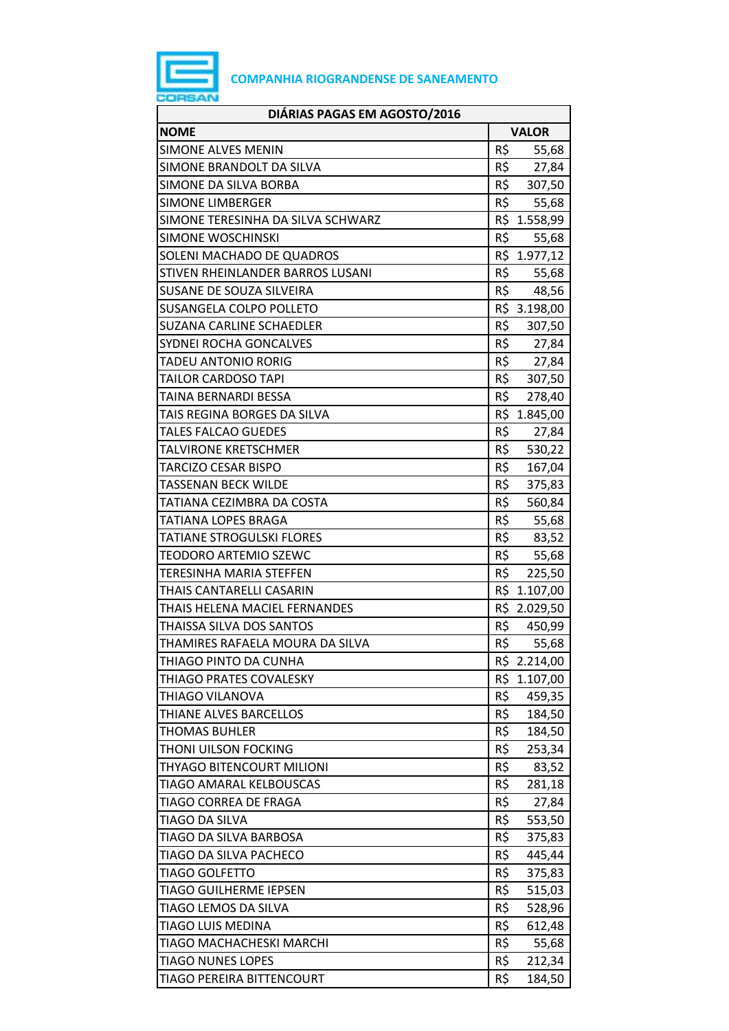

| DIÁRIAS PAGAS EM AGOSTO/2016      |              |              |  |
|-----------------------------------|--------------|--------------|--|
| <b>NOME</b>                       | <b>VALOR</b> |              |  |
| <b>SIMONE ALVES MENIN</b>         | R\$          | 55,68        |  |
| SIMONE BRANDOLT DA SILVA          | R\$          | 27,84        |  |
| SIMONE DA SILVA BORBA             | R\$          | 307,50       |  |
| <b>SIMONE LIMBERGER</b>           | R\$          | 55,68        |  |
| SIMONE TERESINHA DA SILVA SCHWARZ |              | R\$ 1.558,99 |  |
| SIMONE WOSCHINSKI                 | R\$          | 55,68        |  |
| SOLENI MACHADO DE QUADROS         |              | R\$ 1.977,12 |  |
| STIVEN RHEINLANDER BARROS LUSANI  | R\$          | 55,68        |  |
| SUSANE DE SOUZA SILVEIRA          | R\$          | 48,56        |  |
| SUSANGELA COLPO POLLETO           |              | R\$ 3.198,00 |  |
| <b>SUZANA CARLINE SCHAEDLER</b>   | R\$          | 307,50       |  |
| SYDNEI ROCHA GONCALVES            | R\$          | 27,84        |  |
| <b>TADEU ANTONIO RORIG</b>        | R\$          | 27,84        |  |
| TAILOR CARDOSO TAPI               | R\$          | 307,50       |  |
| TAINA BERNARDI BESSA              | R\$          | 278,40       |  |
| TAIS REGINA BORGES DA SILVA       | R\$          | 1.845,00     |  |
| <b>TALES FALCAO GUEDES</b>        | R\$          | 27,84        |  |
| <b>TALVIRONE KRETSCHMER</b>       | R\$          | 530,22       |  |
| <b>TARCIZO CESAR BISPO</b>        | R\$          | 167,04       |  |
| TASSENAN BECK WILDE               | R\$          | 375,83       |  |
| TATIANA CEZIMBRA DA COSTA         | R\$          | 560,84       |  |
| TATIANA LOPES BRAGA               | R\$          | 55,68        |  |
| <b>TATIANE STROGULSKI FLORES</b>  | R\$          | 83,52        |  |
| <b>TEODORO ARTEMIO SZEWC</b>      | R\$          | 55,68        |  |
| <b>TERESINHA MARIA STEFFEN</b>    | R\$          | 225,50       |  |
| THAIS CANTARELLI CASARIN          | R\$          | 1.107,00     |  |
| THAIS HELENA MACIEL FERNANDES     |              | R\$ 2.029,50 |  |
| THAISSA SILVA DOS SANTOS          | R\$          | 450,99       |  |
| THAMIRES RAFAELA MOURA DA SILVA   | R\$          | 55,68        |  |
| THIAGO PINTO DA CUNHA             |              | R\$ 2.214,00 |  |
| THIAGO PRATES COVALESKY           | R\$          | 1.107,00     |  |
| <b>THIAGO VILANOVA</b>            | R\$          | 459,35       |  |
| THIANE ALVES BARCELLOS            | R\$          | 184,50       |  |
| <b>THOMAS BUHLER</b>              | R\$          | 184,50       |  |
| THONI UILSON FOCKING              | R\$          | 253,34       |  |
| THYAGO BITENCOURT MILIONI         | R\$          | 83,52        |  |
| <b>TIAGO AMARAL KELBOUSCAS</b>    | R\$          | 281,18       |  |
| TIAGO CORREA DE FRAGA             | R\$          | 27,84        |  |
| <b>TIAGO DA SILVA</b>             | R\$          | 553,50       |  |
| TIAGO DA SILVA BARBOSA            | R\$          | 375,83       |  |
| TIAGO DA SILVA PACHECO            | R\$          | 445,44       |  |
| <b>TIAGO GOLFETTO</b>             | R\$          | 375,83       |  |
| TIAGO GUILHERME IEPSEN            | R\$          | 515,03       |  |
| TIAGO LEMOS DA SILVA              | R\$          | 528,96       |  |
| <b>TIAGO LUIS MEDINA</b>          | R\$          | 612,48       |  |
| TIAGO MACHACHESKI MARCHI          | R\$          | 55,68        |  |
| <b>TIAGO NUNES LOPES</b>          | R\$          | 212,34       |  |
| TIAGO PEREIRA BITTENCOURT         | R\$          | 184,50       |  |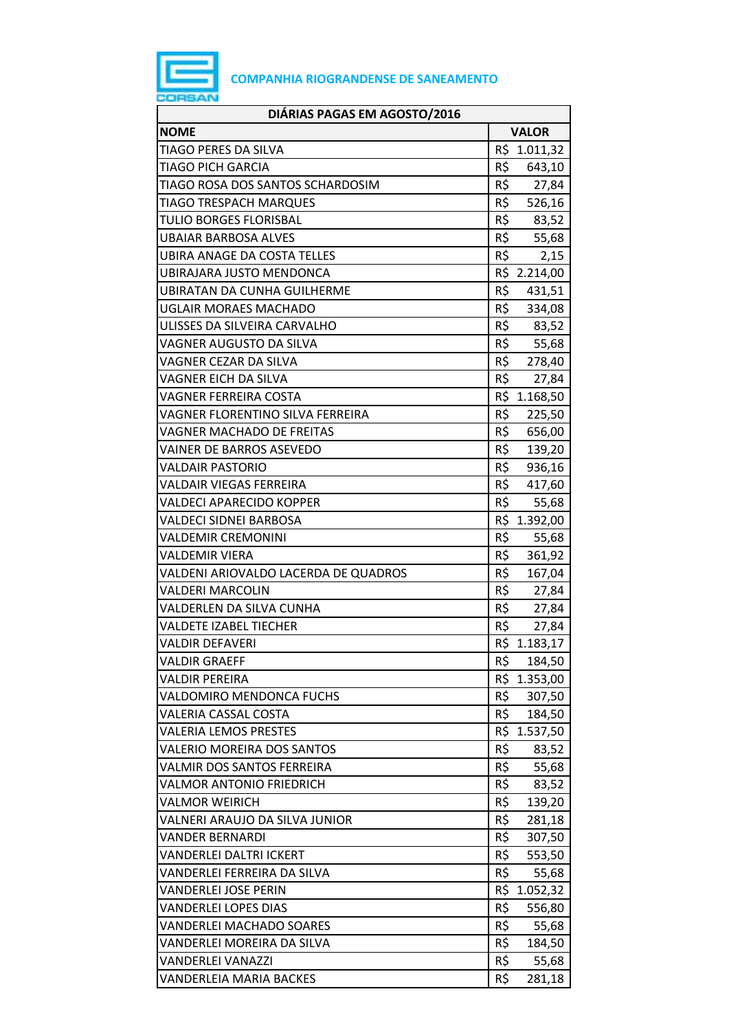

| DIÁRIAS PAGAS EM AGOSTO/2016         |                 |              |  |  |
|--------------------------------------|-----------------|--------------|--|--|
| <b>NOME</b>                          | <b>VALOR</b>    |              |  |  |
| TIAGO PERES DA SILVA                 | R\$             | 1.011,32     |  |  |
| TIAGO PICH GARCIA                    | R\$             | 643,10       |  |  |
| TIAGO ROSA DOS SANTOS SCHARDOSIM     | R\$             | 27,84        |  |  |
| <b>TIAGO TRESPACH MARQUES</b>        | R\$             | 526,16       |  |  |
| <b>TULIO BORGES FLORISBAL</b>        | R\$             | 83,52        |  |  |
| <b>UBAIAR BARBOSA ALVES</b>          | R\$             | 55,68        |  |  |
| <b>UBIRA ANAGE DA COSTA TELLES</b>   | R\$             | 2,15         |  |  |
| UBIRAJARA JUSTO MENDONCA             |                 | R\$ 2.214,00 |  |  |
| UBIRATAN DA CUNHA GUILHERME          | R\$             | 431,51       |  |  |
| UGLAIR MORAES MACHADO                |                 | R\$ 334,08   |  |  |
| ULISSES DA SILVEIRA CARVALHO         | R\$             | 83,52        |  |  |
| VAGNER AUGUSTO DA SILVA              | R\$             | 55,68        |  |  |
| VAGNER CEZAR DA SILVA                | R\$             | 278,40       |  |  |
| VAGNER EICH DA SILVA                 | R\$             | 27,84        |  |  |
| VAGNER FERREIRA COSTA                |                 | R\$ 1.168,50 |  |  |
| VAGNER FLORENTINO SILVA FERREIRA     | R\$             | 225,50       |  |  |
| <b>VAGNER MACHADO DE FREITAS</b>     | R\$             | 656,00       |  |  |
| VAINER DE BARROS ASEVEDO             | $R\overline{S}$ | 139,20       |  |  |
| <b>VALDAIR PASTORIO</b>              | R\$             | 936,16       |  |  |
| <b>VALDAIR VIEGAS FERREIRA</b>       | R\$             | 417,60       |  |  |
| VALDECI APARECIDO KOPPER             | R\$             | 55,68        |  |  |
| VALDECI SIDNEI BARBOSA               |                 | R\$ 1.392,00 |  |  |
| <b>VALDEMIR CREMONINI</b>            | $R\overline{S}$ | 55,68        |  |  |
| VALDEMIR VIERA                       | R\$             | 361,92       |  |  |
| VALDENI ARIOVALDO LACERDA DE QUADROS | R\$             | 167,04       |  |  |
| <b>VALDERI MARCOLIN</b>              | R\$             | 27,84        |  |  |
| VALDERLEN DA SILVA CUNHA             | R\$             | 27,84        |  |  |
| <b>VALDETE IZABEL TIECHER</b>        | R\$             | 27,84        |  |  |
| <b>VALDIR DEFAVERI</b>               |                 | R\$ 1.183,17 |  |  |
| <b>VALDIR GRAEFF</b>                 | R\$             | 184,50       |  |  |
| <b>VALDIR PEREIRA</b>                | R\$             | 1.353,00     |  |  |
| VALDOMIRO MENDONCA FUCHS             | R\$             | 307,50       |  |  |
| <b>VALERIA CASSAL COSTA</b>          | R\$             | 184,50       |  |  |
| <b>VALERIA LEMOS PRESTES</b>         |                 | R\$ 1.537,50 |  |  |
| VALERIO MOREIRA DOS SANTOS           | R\$             | 83,52        |  |  |
| VALMIR DOS SANTOS FERREIRA           | R\$             | 55,68        |  |  |
| <b>VALMOR ANTONIO FRIEDRICH</b>      | R\$             | 83,52        |  |  |
| <b>VALMOR WEIRICH</b>                | R\$             | 139,20       |  |  |
| VALNERI ARAUJO DA SILVA JUNIOR       | R\$             | 281,18       |  |  |
| VANDER BERNARDI                      | R\$             | 307,50       |  |  |
| <b>VANDERLEI DALTRI ICKERT</b>       | R\$             | 553,50       |  |  |
| VANDERLEI FERREIRA DA SILVA          | R\$             | 55,68        |  |  |
| VANDERLEI JOSE PERIN                 | R\$             | 1.052,32     |  |  |
| <b>VANDERLEI LOPES DIAS</b>          | R\$             | 556,80       |  |  |
| <b>VANDERLEI MACHADO SOARES</b>      | R\$             | 55,68        |  |  |
| VANDERLEI MOREIRA DA SILVA           | R\$             | 184,50       |  |  |
| <b>VANDERLEI VANAZZI</b>             | R\$             | 55,68        |  |  |
| <b>VANDERLEIA MARIA BACKES</b>       | R\$             | 281,18       |  |  |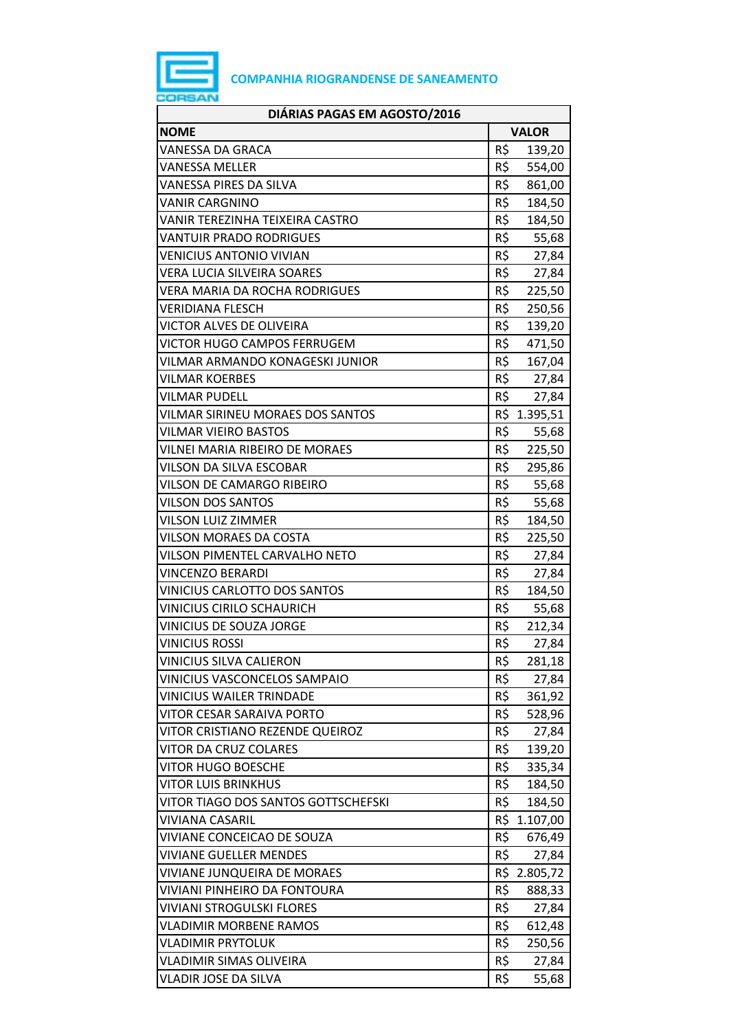

| DIÁRIAS PAGAS EM AGOSTO/2016        |              |              |  |  |
|-------------------------------------|--------------|--------------|--|--|
| <b>NOME</b>                         | <b>VALOR</b> |              |  |  |
| VANESSA DA GRACA                    | R\$          | 139,20       |  |  |
| VANESSA MELLER                      | R\$          | 554,00       |  |  |
| VANESSA PIRES DA SILVA              | R\$          | 861,00       |  |  |
| <b>VANIR CARGNINO</b>               | R\$          | 184,50       |  |  |
| VANIR TEREZINHA TEIXEIRA CASTRO     | R\$          | 184,50       |  |  |
| <b>VANTUIR PRADO RODRIGUES</b>      | R\$          | 55,68        |  |  |
| <b>VENICIUS ANTONIO VIVIAN</b>      | R\$          | 27,84        |  |  |
| VERA LUCIA SILVEIRA SOARES          | R\$          | 27,84        |  |  |
| VERA MARIA DA ROCHA RODRIGUES       | R\$          | 225,50       |  |  |
| <b>VERIDIANA FLESCH</b>             | R\$          | 250,56       |  |  |
| VICTOR ALVES DE OLIVEIRA            | R\$          | 139,20       |  |  |
| VICTOR HUGO CAMPOS FERRUGEM         | R\$          | 471,50       |  |  |
| VILMAR ARMANDO KONAGESKI JUNIOR     | R\$          | 167,04       |  |  |
| VILMAR KOERBES                      |              | R\$ 27,84    |  |  |
| <b>VILMAR PUDELL</b>                | R\$          | 27,84        |  |  |
| VILMAR SIRINEU MORAES DOS SANTOS    | R\$          | 1.395,51     |  |  |
| VILMAR VIEIRO BASTOS                | R\$          | 55,68        |  |  |
| VILNEI MARIA RIBEIRO DE MORAES      | R\$          | 225,50       |  |  |
| VILSON DA SILVA ESCOBAR             | R\$          | 295,86       |  |  |
| VILSON DE CAMARGO RIBEIRO           | R\$          | 55,68        |  |  |
| <b>VILSON DOS SANTOS</b>            | R\$          | 55,68        |  |  |
| VILSON LUIZ ZIMMER                  | R\$          | 184,50       |  |  |
| VILSON MORAES DA COSTA              | R\$          | 225,50       |  |  |
| VILSON PIMENTEL CARVALHO NETO       | R\$          | 27,84        |  |  |
| <b>VINCENZO BERARDI</b>             | R\$          | 27,84        |  |  |
| <b>VINICIUS CARLOTTO DOS SANTOS</b> | R\$          | 184,50       |  |  |
| <b>VINICIUS CIRILO SCHAURICH</b>    | R\$          | 55,68        |  |  |
| VINICIUS DE SOUZA JORGE             | R\$          | 212,34       |  |  |
| <b>VINICIUS ROSSI</b>               | R\$          | 27,84        |  |  |
| <b>VINICIUS SILVA CALIERON</b>      | R\$          | 281,18       |  |  |
| VINICIUS VASCONCELOS SAMPAIO        | R\$          | 27,84        |  |  |
| <b>VINICIUS WAILER TRINDADE</b>     | R\$          | 361,92       |  |  |
| VITOR CESAR SARAIVA PORTO           | R\$          | 528,96       |  |  |
| VITOR CRISTIANO REZENDE QUEIROZ     | R\$          | 27,84        |  |  |
| VITOR DA CRUZ COLARES               | R\$          | 139,20       |  |  |
| VITOR HUGO BOESCHE                  | R\$          | 335,34       |  |  |
| <b>VITOR LUIS BRINKHUS</b>          | R\$          | 184,50       |  |  |
| VITOR TIAGO DOS SANTOS GOTTSCHEFSKI | R\$          | 184,50       |  |  |
| VIVIANA CASARIL                     | R\$          | 1.107,00     |  |  |
| VIVIANE CONCEICAO DE SOUZA          | R\$          | 676,49       |  |  |
| <b>VIVIANE GUELLER MENDES</b>       | R\$          | 27,84        |  |  |
| VIVIANE JUNQUEIRA DE MORAES         |              | R\$ 2.805,72 |  |  |
| VIVIANI PINHEIRO DA FONTOURA        | R\$          | 888,33       |  |  |
| <b>VIVIANI STROGULSKI FLORES</b>    | R\$          | 27,84        |  |  |
| <b>VLADIMIR MORBENE RAMOS</b>       | R\$          | 612,48       |  |  |
| <b>VLADIMIR PRYTOLUK</b>            | R\$          | 250,56       |  |  |
| VLADIMIR SIMAS OLIVEIRA             | R\$          | 27,84        |  |  |
| VLADIR JOSE DA SILVA                | R\$          | 55,68        |  |  |